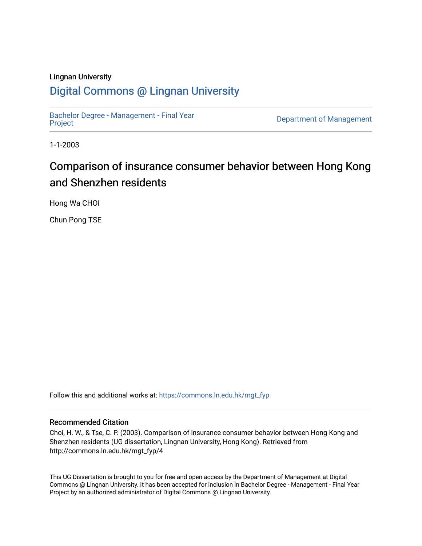#### Lingnan University

### [Digital Commons @ Lingnan University](https://commons.ln.edu.hk/)

[Bachelor Degree - Management - Final Year](https://commons.ln.edu.hk/mgt_fyp)

Department of Management

1-1-2003

# Comparison of insurance consumer behavior between Hong Kong and Shenzhen residents

Hong Wa CHOI

Chun Pong TSE

Follow this and additional works at: [https://commons.ln.edu.hk/mgt\\_fyp](https://commons.ln.edu.hk/mgt_fyp?utm_source=commons.ln.edu.hk%2Fmgt_fyp%2F4&utm_medium=PDF&utm_campaign=PDFCoverPages) 

#### Recommended Citation

Choi, H. W., & Tse, C. P. (2003). Comparison of insurance consumer behavior between Hong Kong and Shenzhen residents (UG dissertation, Lingnan University, Hong Kong). Retrieved from http://commons.ln.edu.hk/mgt\_fyp/4

This UG Dissertation is brought to you for free and open access by the Department of Management at Digital Commons @ Lingnan University. It has been accepted for inclusion in Bachelor Degree - Management - Final Year Project by an authorized administrator of Digital Commons @ Lingnan University.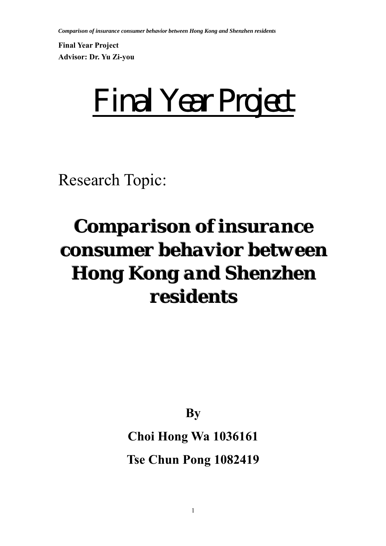**Final Year Project Advisor: Dr. Yu Zi-you** 

*Final Year Project* 

Research Topic:

# *Comparison of insurance consumer behavior between Hong Kong and Shenzhen* residents

**By** 

# **Choi Hong Wa 1036161**

**Tse Chun Pong 1082419**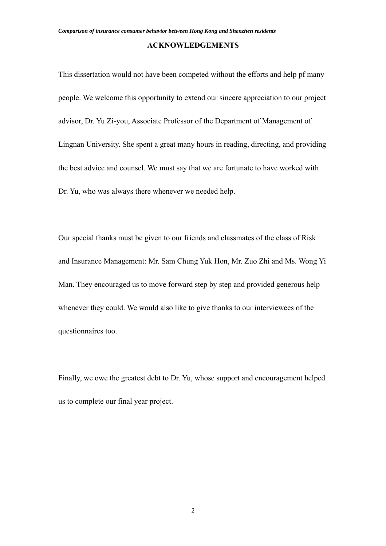#### **ACKNOWLEDGEMENTS**

This dissertation would not have been competed without the efforts and help pf many people. We welcome this opportunity to extend our sincere appreciation to our project advisor, Dr. Yu Zi-you, Associate Professor of the Department of Management of Lingnan University. She spent a great many hours in reading, directing, and providing the best advice and counsel. We must say that we are fortunate to have worked with Dr. Yu, who was always there whenever we needed help.

Our special thanks must be given to our friends and classmates of the class of Risk and Insurance Management: Mr. Sam Chung Yuk Hon, Mr. Zuo Zhi and Ms. Wong Yi Man. They encouraged us to move forward step by step and provided generous help whenever they could. We would also like to give thanks to our interviewees of the questionnaires too.

Finally, we owe the greatest debt to Dr. Yu, whose support and encouragement helped us to complete our final year project.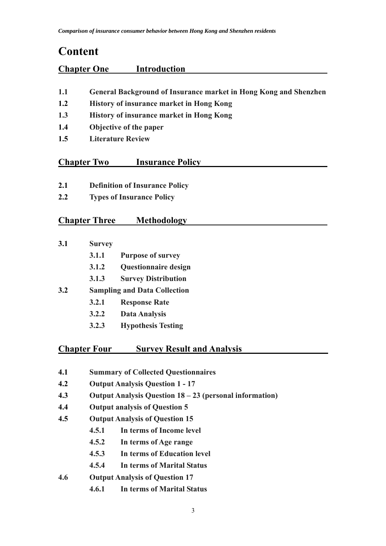# **Content**

| <b>Chapter One</b> | <b>Introduction</b> |
|--------------------|---------------------|
|                    |                     |

- **1.1 General Background of Insurance market in Hong Kong and Shenzhen**
- **1.2 History of insurance market in Hong Kong**
- **1.3 History of insurance market in Hong Kong**
- **1.4 Objective of the paper**
- **1.5 Literature Review**

#### **Chapter Two Insurance Policy**

- **2.1 Definition of Insurance Policy**
- **2.2 Types of Insurance Policy**

#### **Chapter Three Methodology**

- **3.1 Survey**
	- **3.1.1 Purpose of survey**
	- **3.1.2 Questionnaire design**
	- **3.1.3 Survey Distribution**
- **3.2 Sampling and Data Collection**
	- **3.2.1 Response Rate**
	- **3.2.2 Data Analysis**
	- **3.2.3 Hypothesis Testing**

#### **Chapter Four Survey Result and Analysis**

- **4.1 Summary of Collected Questionnaires**
- **4.2 Output Analysis Question 1 17**
- **4.3 Output Analysis Question 18 23 (personal information)**
- **4.4 Output analysis of Question 5**
- **4.5 Output Analysis of Question 15**
	- **4.5.1 In terms of Income level**
	- **4.5.2 In terms of Age range**
	- **4.5.3 In terms of Education level**
	- **4.5.4 In terms of Marital Status**
- **4.6 Output Analysis of Question 17**
	- **4.6.1 In terms of Marital Status**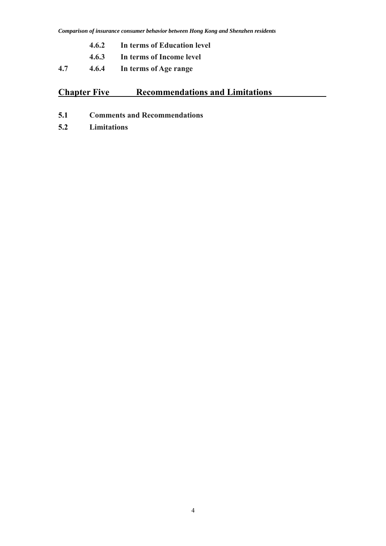- **4.6.2 In terms of Education level**
- **4.6.3 In terms of Income level**
- **4.7 4.6.4 In terms of Age range**

## **Chapter Five Recommendations and Limitations**

- **5.1 Comments and Recommendations**
- **5.2 Limitations**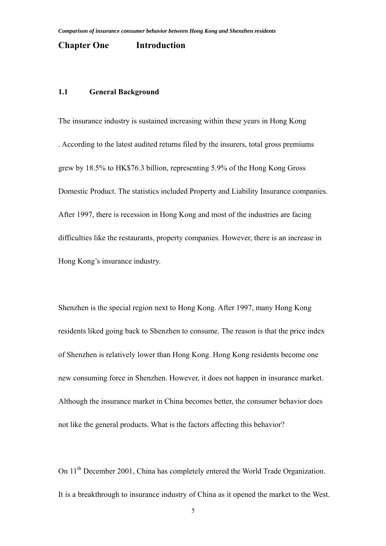#### **Chapter One Introduction**

#### **1.1 General Background**

The insurance industry is sustained increasing within these years in Hong Kong . According to the latest audited returns filed by the insurers, total gross premiums grew by 18.5% to HK\$76.3 billion, representing 5.9% of the Hong Kong Gross Domestic Product. The statistics included Property and Liability Insurance companies. After 1997, there is recession in Hong Kong and most of the industries are facing difficulties like the restaurants, property companies. However, there is an increase in Hong Kong's insurance industry.

Shenzhen is the special region next to Hong Kong. After 1997, many Hong Kong residents liked going back to Shenzhen to consume. The reason is that the price index of Shenzhen is relatively lower than Hong Kong. Hong Kong residents become one new consuming force in Shenzhen. However, it does not happen in insurance market. Although the insurance market in China becomes better, the consumer behavior does not like the general products. What is the factors affecting this behavior?

On 11<sup>th</sup> December 2001, China has completely entered the World Trade Organization. It is a breakthrough to insurance industry of China as it opened the market to the West.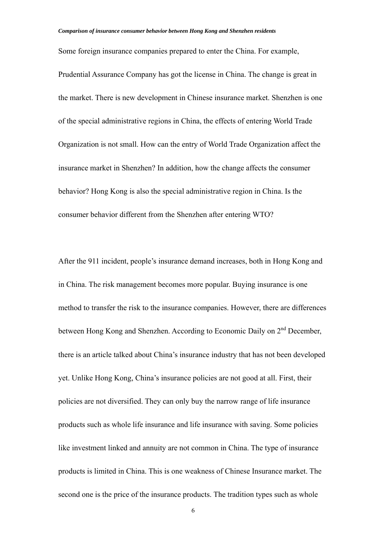Some foreign insurance companies prepared to enter the China. For example, Prudential Assurance Company has got the license in China. The change is great in the market. There is new development in Chinese insurance market. Shenzhen is one of the special administrative regions in China, the effects of entering World Trade Organization is not small. How can the entry of World Trade Organization affect the insurance market in Shenzhen? In addition, how the change affects the consumer behavior? Hong Kong is also the special administrative region in China. Is the consumer behavior different from the Shenzhen after entering WTO?

After the 911 incident, people's insurance demand increases, both in Hong Kong and in China. The risk management becomes more popular. Buying insurance is one method to transfer the risk to the insurance companies. However, there are differences between Hong Kong and Shenzhen. According to Economic Daily on 2nd December, there is an article talked about China's insurance industry that has not been developed yet. Unlike Hong Kong, China's insurance policies are not good at all. First, their policies are not diversified. They can only buy the narrow range of life insurance products such as whole life insurance and life insurance with saving. Some policies like investment linked and annuity are not common in China. The type of insurance products is limited in China. This is one weakness of Chinese Insurance market. The second one is the price of the insurance products. The tradition types such as whole

6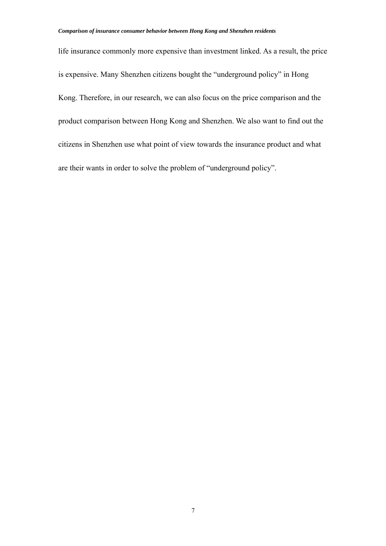life insurance commonly more expensive than investment linked. As a result, the price is expensive. Many Shenzhen citizens bought the "underground policy" in Hong Kong. Therefore, in our research, we can also focus on the price comparison and the product comparison between Hong Kong and Shenzhen. We also want to find out the citizens in Shenzhen use what point of view towards the insurance product and what are their wants in order to solve the problem of "underground policy".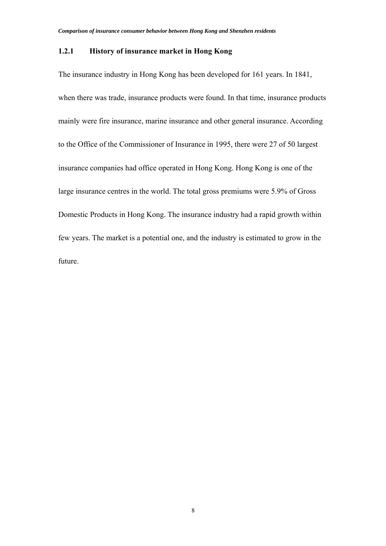#### **1.2.1 History of insurance market in Hong Kong**

The insurance industry in Hong Kong has been developed for 161 years. In 1841, when there was trade, insurance products were found. In that time, insurance products mainly were fire insurance, marine insurance and other general insurance. According to the Office of the Commissioner of Insurance in 1995, there were 27 of 50 largest insurance companies had office operated in Hong Kong. Hong Kong is one of the large insurance centres in the world. The total gross premiums were 5.9% of Gross Domestic Products in Hong Kong. The insurance industry had a rapid growth within few years. The market is a potential one, and the industry is estimated to grow in the future.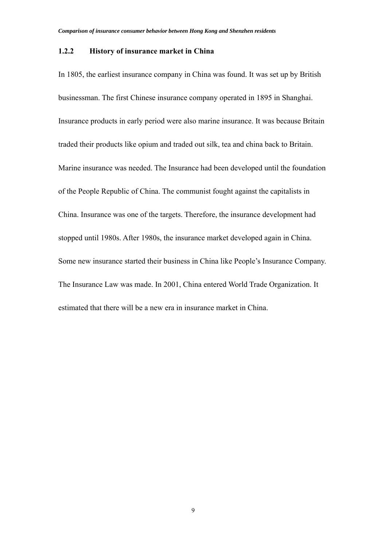#### **1.2.2 History of insurance market in China**

In 1805, the earliest insurance company in China was found. It was set up by British businessman. The first Chinese insurance company operated in 1895 in Shanghai. Insurance products in early period were also marine insurance. It was because Britain traded their products like opium and traded out silk, tea and china back to Britain. Marine insurance was needed. The Insurance had been developed until the foundation of the People Republic of China. The communist fought against the capitalists in China. Insurance was one of the targets. Therefore, the insurance development had stopped until 1980s. After 1980s, the insurance market developed again in China. Some new insurance started their business in China like People's Insurance Company. The Insurance Law was made. In 2001, China entered World Trade Organization. It estimated that there will be a new era in insurance market in China.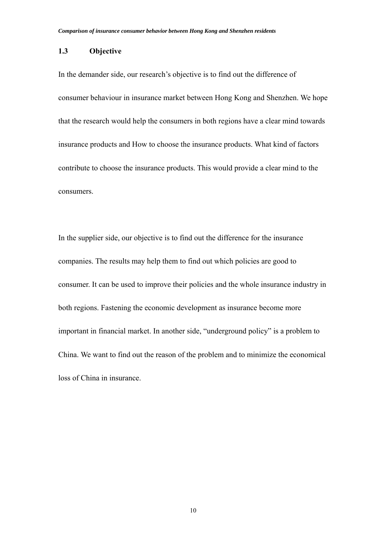#### **1.3 Objective**

In the demander side, our research's objective is to find out the difference of consumer behaviour in insurance market between Hong Kong and Shenzhen. We hope that the research would help the consumers in both regions have a clear mind towards insurance products and How to choose the insurance products. What kind of factors contribute to choose the insurance products. This would provide a clear mind to the consumers.

In the supplier side, our objective is to find out the difference for the insurance companies. The results may help them to find out which policies are good to consumer. It can be used to improve their policies and the whole insurance industry in both regions. Fastening the economic development as insurance become more important in financial market. In another side, "underground policy" is a problem to China. We want to find out the reason of the problem and to minimize the economical loss of China in insurance.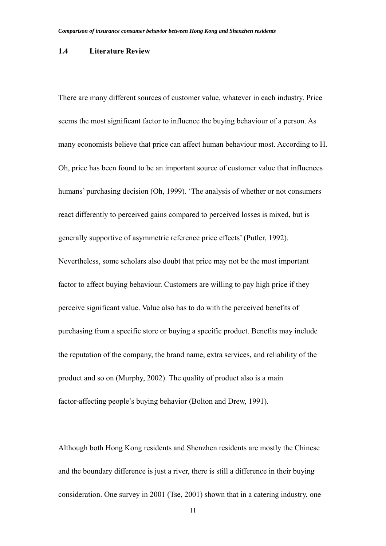#### **1.4 Literature Review**

There are many different sources of customer value, whatever in each industry. Price seems the most significant factor to influence the buying behaviour of a person. As many economists believe that price can affect human behaviour most. According to H. Oh, price has been found to be an important source of customer value that influences humans' purchasing decision (Oh, 1999). 'The analysis of whether or not consumers react differently to perceived gains compared to perceived losses is mixed, but is generally supportive of asymmetric reference price effects' (Putler, 1992). Nevertheless, some scholars also doubt that price may not be the most important factor to affect buying behaviour. Customers are willing to pay high price if they perceive significant value. Value also has to do with the perceived benefits of purchasing from a specific store or buying a specific product. Benefits may include the reputation of the company, the brand name, extra services, and reliability of the product and so on (Murphy, 2002). The quality of product also is a main factor-affecting people's buying behavior (Bolton and Drew, 1991).

Although both Hong Kong residents and Shenzhen residents are mostly the Chinese and the boundary difference is just a river, there is still a difference in their buying consideration. One survey in 2001 (Tse, 2001) shown that in a catering industry, one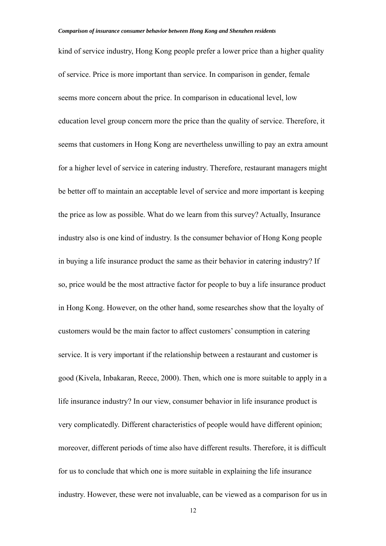kind of service industry, Hong Kong people prefer a lower price than a higher quality of service. Price is more important than service. In comparison in gender, female seems more concern about the price. In comparison in educational level, low education level group concern more the price than the quality of service. Therefore, it seems that customers in Hong Kong are nevertheless unwilling to pay an extra amount for a higher level of service in catering industry. Therefore, restaurant managers might be better off to maintain an acceptable level of service and more important is keeping the price as low as possible. What do we learn from this survey? Actually, Insurance industry also is one kind of industry. Is the consumer behavior of Hong Kong people in buying a life insurance product the same as their behavior in catering industry? If so, price would be the most attractive factor for people to buy a life insurance product in Hong Kong. However, on the other hand, some researches show that the loyalty of customers would be the main factor to affect customers' consumption in catering service. It is very important if the relationship between a restaurant and customer is good (Kivela, Inbakaran, Reece, 2000). Then, which one is more suitable to apply in a life insurance industry? In our view, consumer behavior in life insurance product is very complicatedly. Different characteristics of people would have different opinion; moreover, different periods of time also have different results. Therefore, it is difficult for us to conclude that which one is more suitable in explaining the life insurance industry. However, these were not invaluable, can be viewed as a comparison for us in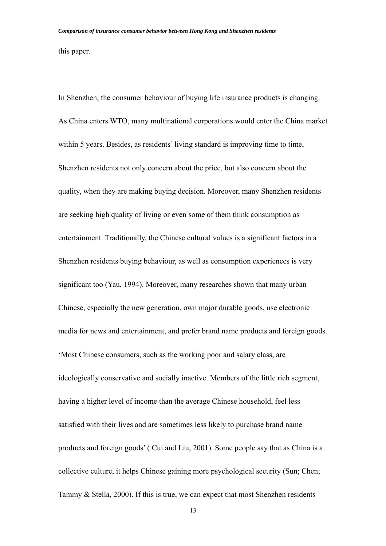this paper.

In Shenzhen, the consumer behaviour of buying life insurance products is changing. As China enters WTO, many multinational corporations would enter the China market within 5 years. Besides, as residents' living standard is improving time to time, Shenzhen residents not only concern about the price, but also concern about the quality, when they are making buying decision. Moreover, many Shenzhen residents are seeking high quality of living or even some of them think consumption as entertainment. Traditionally, the Chinese cultural values is a significant factors in a Shenzhen residents buying behaviour, as well as consumption experiences is very significant too (Yau, 1994). Moreover, many researches shown that many urban Chinese, especially the new generation, own major durable goods, use electronic media for news and entertainment, and prefer brand name products and foreign goods. 'Most Chinese consumers, such as the working poor and salary class, are ideologically conservative and socially inactive. Members of the little rich segment, having a higher level of income than the average Chinese household, feel less satisfied with their lives and are sometimes less likely to purchase brand name products and foreign goods' ( Cui and Liu, 2001). Some people say that as China is a collective culture, it helps Chinese gaining more psychological security (Sun; Chen; Tammy & Stella, 2000). If this is true, we can expect that most Shenzhen residents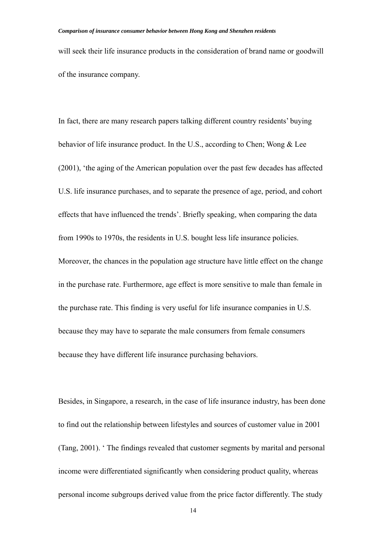will seek their life insurance products in the consideration of brand name or goodwill of the insurance company.

In fact, there are many research papers talking different country residents' buying behavior of life insurance product. In the U.S., according to Chen; Wong & Lee (2001), 'the aging of the American population over the past few decades has affected U.S. life insurance purchases, and to separate the presence of age, period, and cohort effects that have influenced the trends'. Briefly speaking, when comparing the data from 1990s to 1970s, the residents in U.S. bought less life insurance policies. Moreover, the chances in the population age structure have little effect on the change in the purchase rate. Furthermore, age effect is more sensitive to male than female in the purchase rate. This finding is very useful for life insurance companies in U.S. because they may have to separate the male consumers from female consumers because they have different life insurance purchasing behaviors.

Besides, in Singapore, a research, in the case of life insurance industry, has been done to find out the relationship between lifestyles and sources of customer value in 2001 (Tang, 2001). ' The findings revealed that customer segments by marital and personal income were differentiated significantly when considering product quality, whereas personal income subgroups derived value from the price factor differently. The study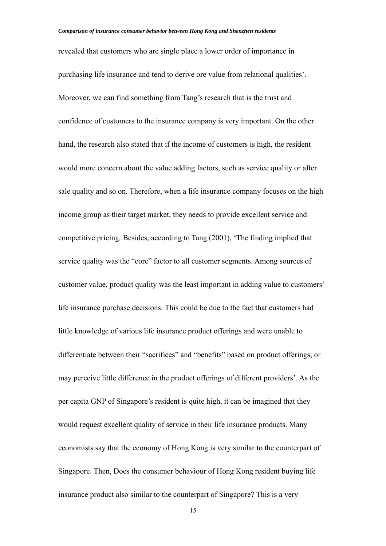revealed that customers who are single place a lower order of importance in purchasing life insurance and tend to derive ore value from relational qualities'. Moreover, we can find something from Tang's research that is the trust and confidence of customers to the insurance company is very important. On the other hand, the research also stated that if the income of customers is high, the resident would more concern about the value adding factors, such as service quality or after sale quality and so on. Therefore, when a life insurance company focuses on the high income group as their target market, they needs to provide excellent service and competitive pricing. Besides, according to Tang (2001), 'The finding implied that service quality was the "core" factor to all customer segments. Among sources of customer value, product quality was the least important in adding value to customers' life insurance purchase decisions. This could be due to the fact that customers had little knowledge of various life insurance product offerings and were unable to differentiate between their "sacrifices" and "benefits" based on product offerings, or may perceive little difference in the product offerings of different providers'. As the per capita GNP of Singapore's resident is quite high, it can be imagined that they would request excellent quality of service in their life insurance products. Many economists say that the economy of Hong Kong is very similar to the counterpart of Singapore. Then, Does the consumer behaviour of Hong Kong resident buying life insurance product also similar to the counterpart of Singapore? This is a very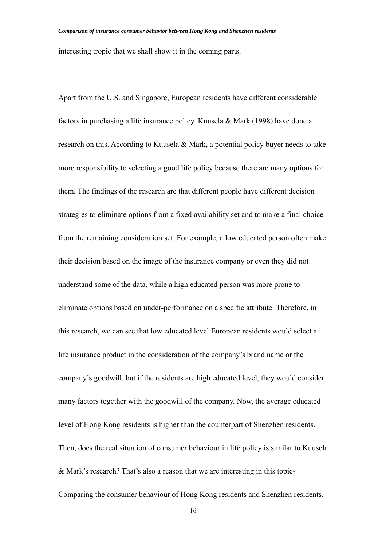interesting tropic that we shall show it in the coming parts.

Apart from the U.S. and Singapore, European residents have different considerable factors in purchasing a life insurance policy. Kuusela & Mark (1998) have done a research on this. According to Kuusela & Mark, a potential policy buyer needs to take more responsibility to selecting a good life policy because there are many options for them. The findings of the research are that different people have different decision strategies to eliminate options from a fixed availability set and to make a final choice from the remaining consideration set. For example, a low educated person often make their decision based on the image of the insurance company or even they did not understand some of the data, while a high educated person was more prone to eliminate options based on under-performance on a specific attribute. Therefore, in this research, we can see that low educated level European residents would select a life insurance product in the consideration of the company's brand name or the company's goodwill, but if the residents are high educated level, they would consider many factors together with the goodwill of the company. Now, the average educated level of Hong Kong residents is higher than the counterpart of Shenzhen residents. Then, does the real situation of consumer behaviour in life policy is similar to Kuusela & Mark's research? That's also a reason that we are interesting in this topic-Comparing the consumer behaviour of Hong Kong residents and Shenzhen residents.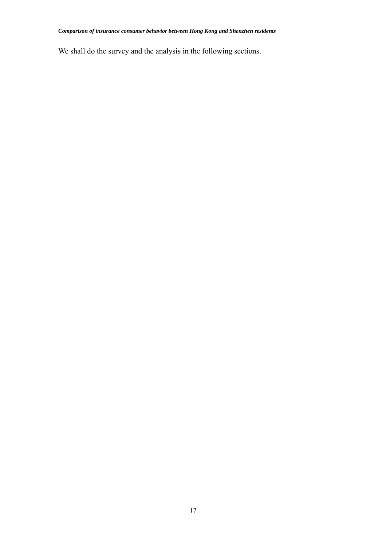We shall do the survey and the analysis in the following sections.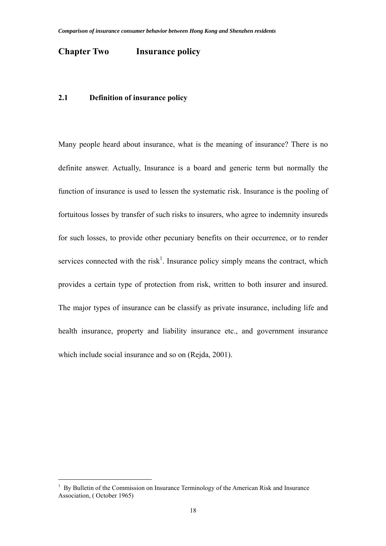#### **Chapter Two Insurance policy**

#### **2.1 Definition of insurance policy**

Many people heard about insurance, what is the meaning of insurance? There is no definite answer. Actually, Insurance is a board and generic term but normally the function of insurance is used to lessen the systematic risk. Insurance is the pooling of fortuitous losses by transfer of such risks to insurers, who agree to indemnity insureds for such losses, to provide other pecuniary benefits on their occurrence, or to render services connected with the risk<sup>1</sup>. Insurance policy simply means the contract, which provides a certain type of protection from risk, written to both insurer and insured. The major types of insurance can be classify as private insurance, including life and health insurance, property and liability insurance etc., and government insurance which include social insurance and so on (Rejda, 2001).

 $\overline{a}$ 

<sup>1</sup> By Bulletin of the Commission on Insurance Terminology of the American Risk and Insurance Association, ( October 1965)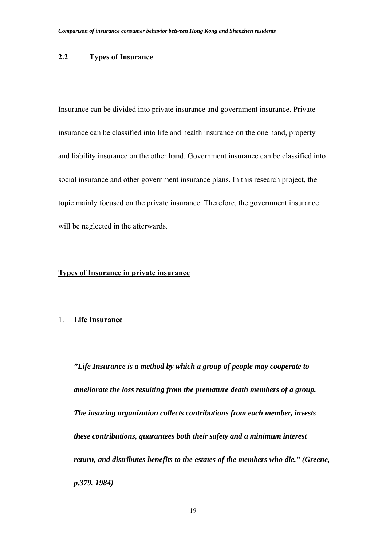#### **2.2 Types of Insurance**

Insurance can be divided into private insurance and government insurance. Private insurance can be classified into life and health insurance on the one hand, property and liability insurance on the other hand. Government insurance can be classified into social insurance and other government insurance plans. In this research project, the topic mainly focused on the private insurance. Therefore, the government insurance will be neglected in the afterwards.

#### **Types of Insurance in private insurance**

#### 1. **Life Insurance**

*"Life Insurance is a method by which a group of people may cooperate to ameliorate the loss resulting from the premature death members of a group. The insuring organization collects contributions from each member, invests these contributions, guarantees both their safety and a minimum interest return, and distributes benefits to the estates of the members who die." (Greene, p.379, 1984)*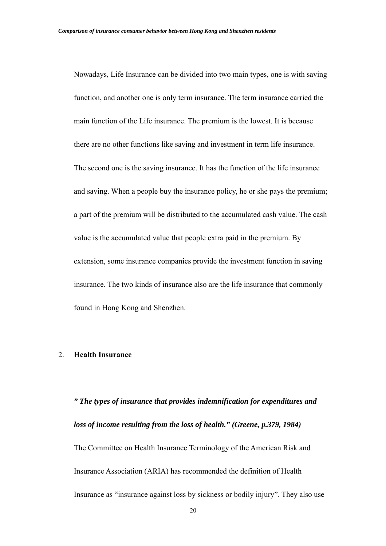Nowadays, Life Insurance can be divided into two main types, one is with saving function, and another one is only term insurance. The term insurance carried the main function of the Life insurance. The premium is the lowest. It is because there are no other functions like saving and investment in term life insurance. The second one is the saving insurance. It has the function of the life insurance and saving. When a people buy the insurance policy, he or she pays the premium; a part of the premium will be distributed to the accumulated cash value. The cash value is the accumulated value that people extra paid in the premium. By extension, some insurance companies provide the investment function in saving insurance. The two kinds of insurance also are the life insurance that commonly found in Hong Kong and Shenzhen.

#### 2. **Health Insurance**

*" The types of insurance that provides indemnification for expenditures and loss of income resulting from the loss of health." (Greene, p.379, 1984)*  The Committee on Health Insurance Terminology of the American Risk and Insurance Association (ARIA) has recommended the definition of Health Insurance as "insurance against loss by sickness or bodily injury". They also use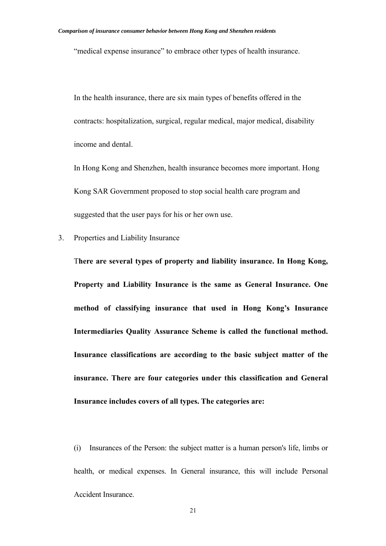"medical expense insurance" to embrace other types of health insurance.

In the health insurance, there are six main types of benefits offered in the contracts: hospitalization, surgical, regular medical, major medical, disability income and dental.

In Hong Kong and Shenzhen, health insurance becomes more important. Hong Kong SAR Government proposed to stop social health care program and suggested that the user pays for his or her own use.

3. Properties and Liability Insurance

T**here are several types of property and liability insurance. In Hong Kong, Property and Liability Insurance is the same as General Insurance. One method of classifying insurance that used in Hong Kong's Insurance Intermediaries Quality Assurance Scheme is called the functional method. Insurance classifications are according to the basic subject matter of the insurance. There are four categories under this classification and General Insurance includes covers of all types. The categories are:**

 (i) Insurances of the Person: the subject matter is a human person's life, limbs or health, or medical expenses. In General insurance, this will include Personal Accident Insurance.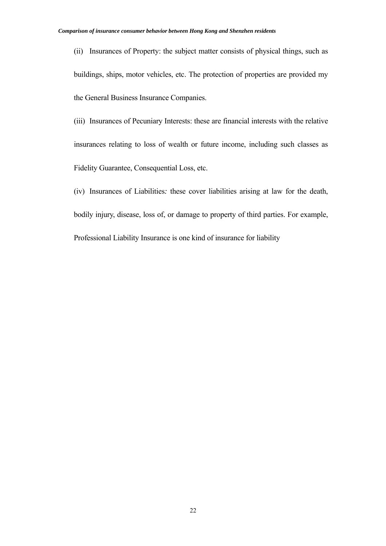(ii) Insurances of Property: the subject matter consists of physical things, such as buildings, ships, motor vehicles, etc. The protection of properties are provided my the General Business Insurance Companies.

 (iii) Insurances of Pecuniary Interests: these are financial interests with the relative insurances relating to loss of wealth or future income, including such classes as Fidelity Guarantee, Consequential Loss, etc.

 (iv) Insurances of Liabilities*:* these cover liabilities arising at law for the death, bodily injury, disease, loss of, or damage to property of third parties. For example, Professional Liability Insurance is one kind of insurance for liability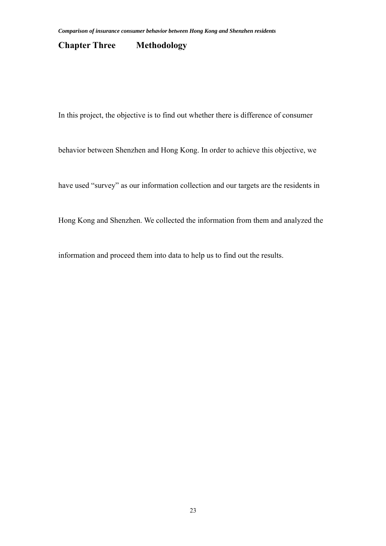#### **Chapter Three Methodology**

In this project, the objective is to find out whether there is difference of consumer

behavior between Shenzhen and Hong Kong. In order to achieve this objective, we

have used "survey" as our information collection and our targets are the residents in

Hong Kong and Shenzhen. We collected the information from them and analyzed the

information and proceed them into data to help us to find out the results.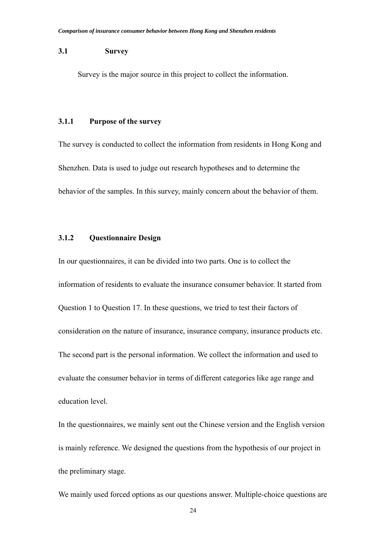#### **3.1 Survey**

Survey is the major source in this project to collect the information.

#### **3.1.1 Purpose of the survey**

The survey is conducted to collect the information from residents in Hong Kong and Shenzhen. Data is used to judge out research hypotheses and to determine the behavior of the samples. In this survey, mainly concern about the behavior of them.

#### **3.1.2 Questionnaire Design**

In our questionnaires, it can be divided into two parts. One is to collect the information of residents to evaluate the insurance consumer behavior. It started from Question 1 to Question 17. In these questions, we tried to test their factors of consideration on the nature of insurance, insurance company, insurance products etc. The second part is the personal information. We collect the information and used to evaluate the consumer behavior in terms of different categories like age range and education level.

In the questionnaires, we mainly sent out the Chinese version and the English version is mainly reference. We designed the questions from the hypothesis of our project in the preliminary stage.

We mainly used forced options as our questions answer. Multiple-choice questions are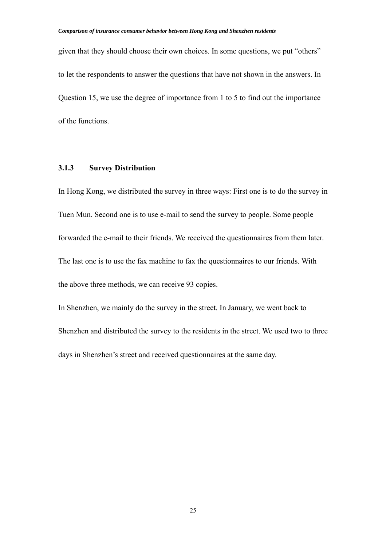given that they should choose their own choices. In some questions, we put "others" to let the respondents to answer the questions that have not shown in the answers. In Question 15, we use the degree of importance from 1 to 5 to find out the importance of the functions.

#### **3.1.3 Survey Distribution**

In Hong Kong, we distributed the survey in three ways: First one is to do the survey in Tuen Mun. Second one is to use e-mail to send the survey to people. Some people forwarded the e-mail to their friends. We received the questionnaires from them later. The last one is to use the fax machine to fax the questionnaires to our friends. With the above three methods, we can receive 93 copies.

In Shenzhen, we mainly do the survey in the street. In January, we went back to Shenzhen and distributed the survey to the residents in the street. We used two to three days in Shenzhen's street and received questionnaires at the same day.

25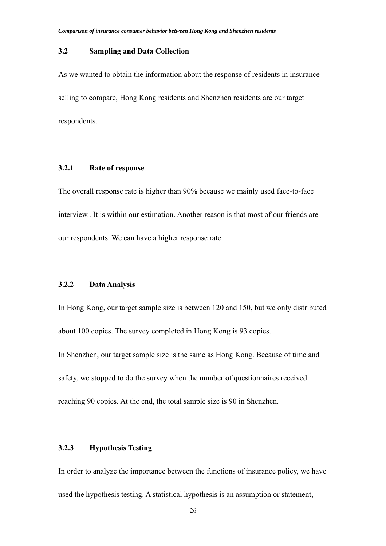#### **3.2 Sampling and Data Collection**

As we wanted to obtain the information about the response of residents in insurance selling to compare, Hong Kong residents and Shenzhen residents are our target respondents.

#### **3.2.1 Rate of response**

The overall response rate is higher than 90% because we mainly used face-to-face interview.. It is within our estimation. Another reason is that most of our friends are our respondents. We can have a higher response rate.

#### **3.2.2 Data Analysis**

In Hong Kong, our target sample size is between 120 and 150, but we only distributed about 100 copies. The survey completed in Hong Kong is 93 copies.

In Shenzhen, our target sample size is the same as Hong Kong. Because of time and safety, we stopped to do the survey when the number of questionnaires received reaching 90 copies. At the end, the total sample size is 90 in Shenzhen.

#### **3.2.3 Hypothesis Testing**

In order to analyze the importance between the functions of insurance policy, we have used the hypothesis testing. A statistical hypothesis is an assumption or statement,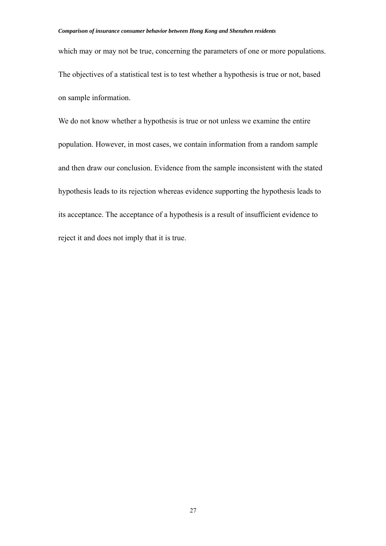which may or may not be true, concerning the parameters of one or more populations. The objectives of a statistical test is to test whether a hypothesis is true or not, based on sample information.

We do not know whether a hypothesis is true or not unless we examine the entire population. However, in most cases, we contain information from a random sample and then draw our conclusion. Evidence from the sample inconsistent with the stated hypothesis leads to its rejection whereas evidence supporting the hypothesis leads to its acceptance. The acceptance of a hypothesis is a result of insufficient evidence to reject it and does not imply that it is true.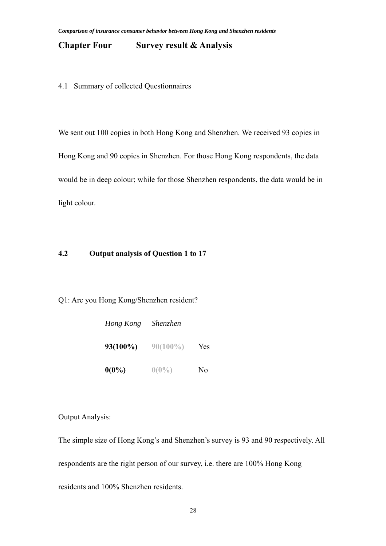#### **Chapter Four Survey result & Analysis**

4.1 Summary of collected Questionnaires

We sent out 100 copies in both Hong Kong and Shenzhen. We received 93 copies in Hong Kong and 90 copies in Shenzhen. For those Hong Kong respondents, the data would be in deep colour; while for those Shenzhen respondents, the data would be in light colour.

#### **4.2 Output analysis of Question 1 to 17**

Q1: Are you Hong Kong/Shenzhen resident?

| Hong Kong   | <i>Shenzhen</i> |                |
|-------------|-----------------|----------------|
| $93(100\%)$ | $90(100\%)$     | Yes            |
| $0(0\%)$    | $0(0\%)$        | N <sub>0</sub> |

Output Analysis:

The simple size of Hong Kong's and Shenzhen's survey is 93 and 90 respectively. All respondents are the right person of our survey, i.e. there are 100% Hong Kong residents and 100% Shenzhen residents.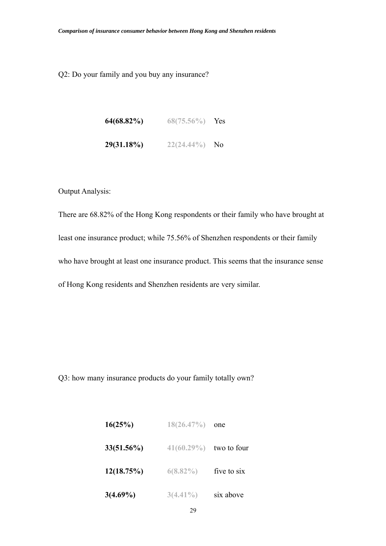Q2: Do your family and you buy any insurance?

| $64(68.82\%)$ | $68(75.56\%)$ | Yes.           |
|---------------|---------------|----------------|
| 29(31.18%)    | $22(24.44\%)$ | N <sub>0</sub> |

Output Analysis:

There are 68.82% of the Hong Kong respondents or their family who have brought at least one insurance product; while 75.56% of Shenzhen respondents or their family who have brought at least one insurance product. This seems that the insurance sense of Hong Kong residents and Shenzhen residents are very similar.

Q3: how many insurance products do your family totally own?

| 16(25%)       | 18(26.47%)    | one         |
|---------------|---------------|-------------|
| $33(51.56\%)$ | $41(60.29\%)$ | two to four |
| 12(18.75%)    | $6(8.82\%)$   | five to six |
| $3(4.69\%)$   | $3(4.41\%)$   | six above   |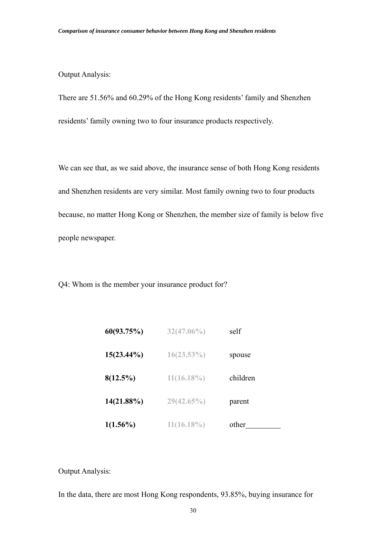#### Output Analysis:

There are 51.56% and 60.29% of the Hong Kong residents' family and Shenzhen residents' family owning two to four insurance products respectively.

We can see that, as we said above, the insurance sense of both Hong Kong residents and Shenzhen residents are very similar. Most family owning two to four products because, no matter Hong Kong or Shenzhen, the member size of family is below five people newspaper.

Q4: Whom is the member your insurance product for?

| 60(93.75%)    | $32(47.06\%)$ | self     |
|---------------|---------------|----------|
| $15(23.44\%)$ | $16(23.53\%)$ | spouse   |
| $8(12.5\%)$   | $11(16.18\%)$ | children |
| $14(21.88\%)$ | $29(42.65\%)$ | parent   |
| $1(1.56\%)$   | $11(16.18\%)$ | other    |

Output Analysis:

In the data, there are most Hong Kong respondents, 93.85%, buying insurance for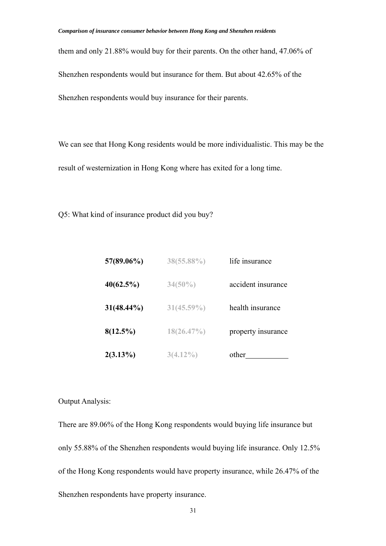them and only 21.88% would buy for their parents. On the other hand, 47.06% of Shenzhen respondents would but insurance for them. But about 42.65% of the Shenzhen respondents would buy insurance for their parents.

We can see that Hong Kong residents would be more individualistic. This may be the result of westernization in Hong Kong where has exited for a long time.

Q5: What kind of insurance product did you buy?

| 57(89.06%)    | 38(55.88%)    | life insurance     |
|---------------|---------------|--------------------|
| 40(62.5%)     | $34(50\%)$    | accident insurance |
| $31(48.44\%)$ | $31(45.59\%)$ | health insurance   |
| $8(12.5\%)$   | 18(26.47%)    | property insurance |
| $2(3.13\%)$   | $3(4.12\%)$   | other              |

#### Output Analysis:

There are 89.06% of the Hong Kong respondents would buying life insurance but only 55.88% of the Shenzhen respondents would buying life insurance. Only 12.5% of the Hong Kong respondents would have property insurance, while 26.47% of the Shenzhen respondents have property insurance.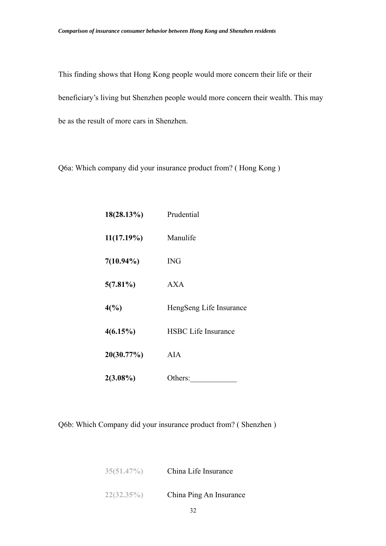This finding shows that Hong Kong people would more concern their life or their beneficiary's living but Shenzhen people would more concern their wealth. This may be as the result of more cars in Shenzhen.

Q6a: Which company did your insurance product from? ( Hong Kong )

| $18(28.13\%)$   | Prudential                 |  |
|-----------------|----------------------------|--|
| $11(17.19\%)$   | Manulife                   |  |
| $7(10.94\%)$    | <b>ING</b>                 |  |
| $5(7.81\%)$     | AXA                        |  |
| $4\binom{0}{0}$ | HengSeng Life Insurance    |  |
| 4(6.15%)        | <b>HSBC</b> Life Insurance |  |
| 20(30.77%)      | AIA                        |  |
| $2(3.08\%)$     | Others:                    |  |

Q6b: Which Company did your insurance product from? ( Shenzhen )

| 35(51.47%) | China Life Insurance    |  |
|------------|-------------------------|--|
| 22(32.35%) | China Ping An Insurance |  |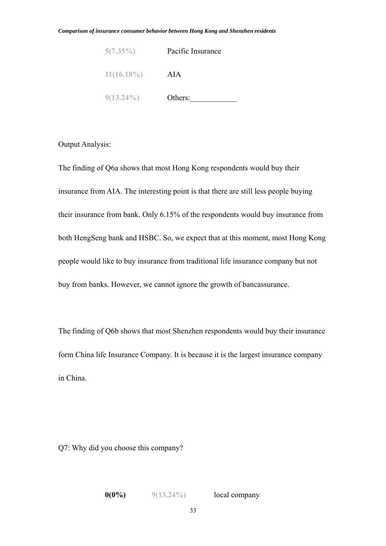| 5(7.35%)      | Pacific Insurance |  |
|---------------|-------------------|--|
| $11(16.18\%)$ | AIA               |  |
| $9(13.24\%)$  | Others:           |  |

#### Output Analysis:

The finding of Q6a shows that most Hong Kong respondents would buy their insurance from AIA. The interesting point is that there are still less people buying their insurance from bank. Only 6.15% of the respondents would buy insurance from both HengSeng bank and HSBC. So, we expect that at this moment, most Hong Kong people would like to buy insurance from traditional life insurance company but not buy from banks. However, we cannot ignore the growth of bancassurance.

The finding of Q6b shows that most Shenzhen respondents would buy their insurance form China life Insurance Company. It is because it is the largest insurance company in China.

Q7: Why did you choose this company?

**0(0%) 9(13.24%)** local company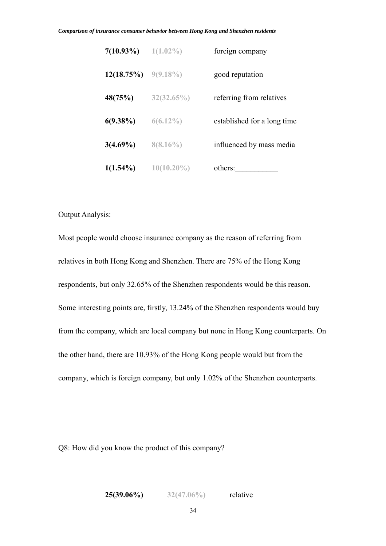| $7(10.93\%)$ | $1(1.02\%)$   | foreign company             |
|--------------|---------------|-----------------------------|
| 12(18.75%)   | $9(9.18\%)$   | good reputation             |
| 48(75%)      | 32(32.65%)    | referring from relatives    |
| $6(9.38\%)$  | $6(6.12\%)$   | established for a long time |
| $3(4.69\%)$  | $8(8.16\%)$   | influenced by mass media    |
| $1(1.54\%)$  | $10(10.20\%)$ | others:                     |

#### Output Analysis:

Most people would choose insurance company as the reason of referring from relatives in both Hong Kong and Shenzhen. There are 75% of the Hong Kong respondents, but only 32.65% of the Shenzhen respondents would be this reason. Some interesting points are, firstly, 13.24% of the Shenzhen respondents would buy from the company, which are local company but none in Hong Kong counterparts. On the other hand, there are 10.93% of the Hong Kong people would but from the company, which is foreign company, but only 1.02% of the Shenzhen counterparts.

Q8: How did you know the product of this company?

**25(39.06%) 32(47.06%)** relative

34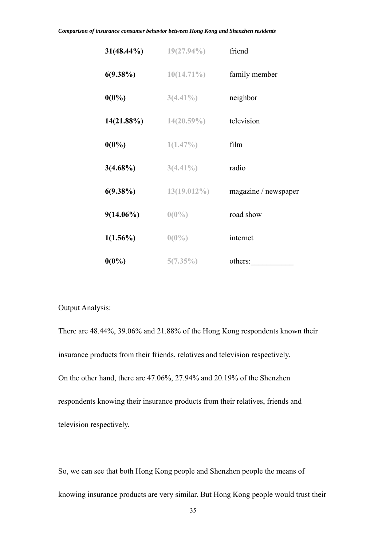| $31(48.44\%)$ | $19(27.94\%)$  | friend               |
|---------------|----------------|----------------------|
| $6(9.38\%)$   | $10(14.71\%)$  | family member        |
| $0(0\%)$      | $3(4.41\%)$    | neighbor             |
| 14(21.88%)    | $14(20.59\%)$  | television           |
| $0(0\%)$      | $1(1.47\%)$    | film                 |
| $3(4.68\%)$   | $3(4.41\%)$    | radio                |
| $6(9.38\%)$   | $13(19.012\%)$ | magazine / newspaper |
| $9(14.06\%)$  | $0(0\%)$       | road show            |
| $1(1.56\%)$   | $0(0\%)$       | internet             |
| $0(0\%)$      | 5(7.35%)       | others:              |

#### Output Analysis:

There are 48.44%, 39.06% and 21.88% of the Hong Kong respondents known their insurance products from their friends, relatives and television respectively. On the other hand, there are 47.06%, 27.94% and 20.19% of the Shenzhen respondents knowing their insurance products from their relatives, friends and television respectively.

So, we can see that both Hong Kong people and Shenzhen people the means of knowing insurance products are very similar. But Hong Kong people would trust their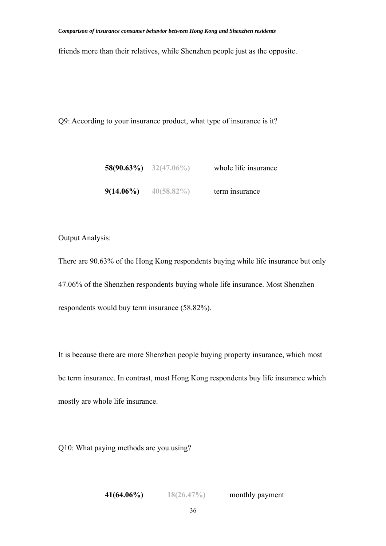friends more than their relatives, while Shenzhen people just as the opposite.

Q9: According to your insurance product, what type of insurance is it?

|              | 58(90.63%) $32(47.06\%)$ | whole life insurance |
|--------------|--------------------------|----------------------|
| $9(14.06\%)$ | $40(58.82\%)$            | term insurance       |

## Output Analysis:

There are 90.63% of the Hong Kong respondents buying while life insurance but only 47.06% of the Shenzhen respondents buying whole life insurance. Most Shenzhen respondents would buy term insurance (58.82%).

It is because there are more Shenzhen people buying property insurance, which most be term insurance. In contrast, most Hong Kong respondents buy life insurance which mostly are whole life insurance.

Q10: What paying methods are you using?

**41(64.06%) 18(26.47%)** monthly payment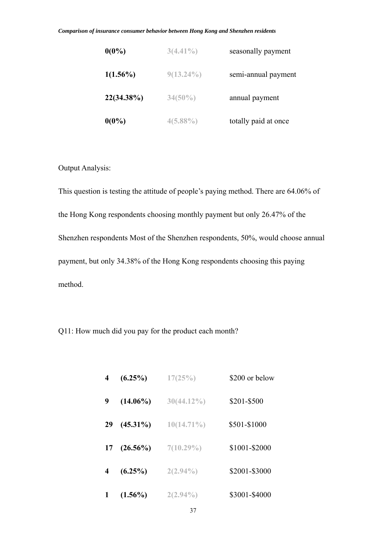| $0(0\%)$    | $3(4.41\%)$  | seasonally payment   |
|-------------|--------------|----------------------|
| $1(1.56\%)$ | $9(13.24\%)$ | semi-annual payment  |
| 22(34.38%)  | $34(50\%)$   | annual payment       |
| $0(0\%)$    | $4(5.88\%)$  | totally paid at once |

Output Analysis:

This question is testing the attitude of people's paying method. There are 64.06% of the Hong Kong respondents choosing monthly payment but only 26.47% of the Shenzhen respondents Most of the Shenzhen respondents, 50%, would choose annual payment, but only 34.38% of the Hong Kong respondents choosing this paying method.

Q11: How much did you pay for the product each month?

| 4  | $(6.25\%)$  | 17(25%)       | \$200 or below |
|----|-------------|---------------|----------------|
| 9  | $(14.06\%)$ | $30(44.12\%)$ | \$201-\$500    |
| 29 | $(45.31\%)$ | $10(14.71\%)$ | \$501-\$1000   |
| 17 | $(26.56\%)$ | $7(10.29\%)$  | \$1001-\$2000  |
| 4  | $(6.25\%)$  | $2(2.94\%)$   | \$2001-\$3000  |
|    | $(1.56\%)$  | $2(2.94\%)$   | \$3001-\$4000  |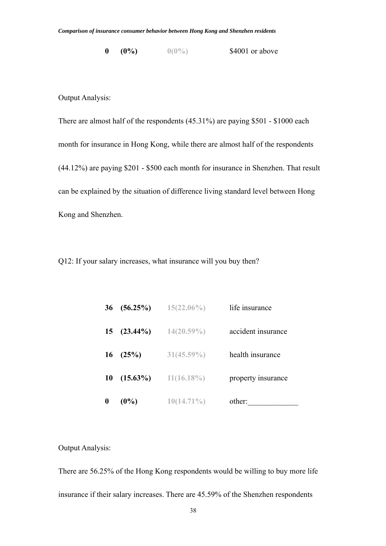**0 (0%) 0(0%)** \$4001 or above

Output Analysis:

There are almost half of the respondents (45.31%) are paying \$501 - \$1000 each month for insurance in Hong Kong, while there are almost half of the respondents (44.12%) are paying \$201 - \$500 each month for insurance in Shenzhen. That result can be explained by the situation of difference living standard level between Hong Kong and Shenzhen.

Q12: If your salary increases, what insurance will you buy then?

| 36 | $(56.25\%)$ | $15(22.06\%)$ | life insurance     |
|----|-------------|---------------|--------------------|
| 15 | $(23.44\%)$ | $14(20.59\%)$ | accident insurance |
| 16 | (25%)       | $31(45.59\%)$ | health insurance   |
| 10 | $(15.63\%)$ | $11(16.18\%)$ | property insurance |
| 0  | $(0\%)$     | $10(14.71\%)$ | other:             |

Output Analysis:

There are 56.25% of the Hong Kong respondents would be willing to buy more life insurance if their salary increases. There are 45.59% of the Shenzhen respondents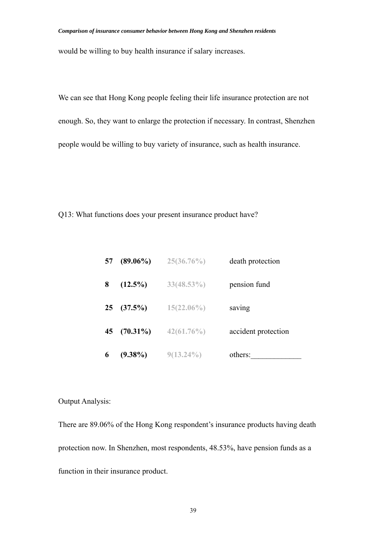would be willing to buy health insurance if salary increases.

We can see that Hong Kong people feeling their life insurance protection are not enough. So, they want to enlarge the protection if necessary. In contrast, Shenzhen people would be willing to buy variety of insurance, such as health insurance.

Q13: What functions does your present insurance product have?

| 57 | $(89.06\%)$ | $25(36.76\%)$ | death protection    |
|----|-------------|---------------|---------------------|
| 8  | $(12.5\%)$  | $33(48.53\%)$ | pension fund        |
| 25 | (37.5%)     | $15(22.06\%)$ | saving              |
| 45 | $(70.31\%)$ | $42(61.76\%)$ | accident protection |
| 6  | $(9.38\%)$  | $9(13.24\%)$  | others:             |

## Output Analysis:

There are 89.06% of the Hong Kong respondent's insurance products having death protection now. In Shenzhen, most respondents, 48.53%, have pension funds as a function in their insurance product.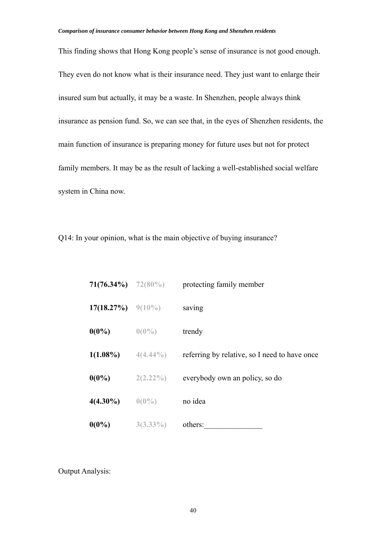This finding shows that Hong Kong people's sense of insurance is not good enough. They even do not know what is their insurance need. They just want to enlarge their insured sum but actually, it may be a waste. In Shenzhen, people always think insurance as pension fund. So, we can see that, in the eyes of Shenzhen residents, the main function of insurance is preparing money for future uses but not for protect family members. It may be as the result of lacking a well-established social welfare system in China now.

Q14: In your opinion, what is the main objective of buying insurance?

|                      | <b>71(76.34%)</b> $72(80\%)$ | protecting family member                      |
|----------------------|------------------------------|-----------------------------------------------|
| 17(18.27%) $9(10\%)$ |                              | saving                                        |
| $0(0\%)$             | $0(0\%)$                     | trendy                                        |
|                      | $1(1.08\%)$ $4(4.44\%)$      | referring by relative, so I need to have once |
| $0(0\%)$             | $2(2.22\%)$                  | everybody own an policy, so do                |
| $4(4.30\%)$          | $0(0\%)$                     | no idea                                       |
| $0(0\%)$             | $3(3.33\%)$                  | others:                                       |

Output Analysis: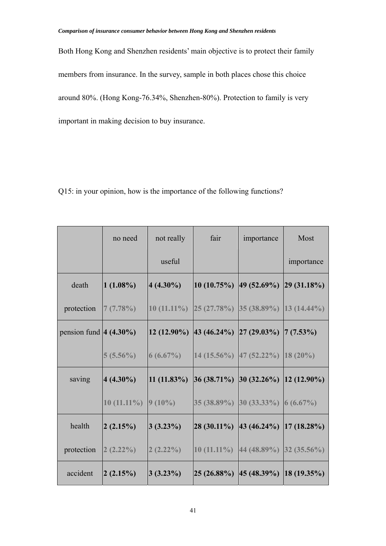Both Hong Kong and Shenzhen residents' main objective is to protect their family members from insurance. In the survey, sample in both places chose this choice around 80%. (Hong Kong-76.34%, Shenzhen-80%). Protection to family is very important in making decision to buy insurance.

Q15: in your opinion, how is the importance of the following functions?

|                            | no need                 | not really                                              | fair | importance                                                                                                                        | Most       |
|----------------------------|-------------------------|---------------------------------------------------------|------|-----------------------------------------------------------------------------------------------------------------------------------|------------|
|                            |                         | useful                                                  |      |                                                                                                                                   | importance |
| death                      | $(1.08\%)$              | $ 4 (4.30\%)$                                           |      | $ 10 (10.75\%) 49 (52.69\%) 29 (31.18\%)$                                                                                         |            |
| protection                 | 7(7.78%)                | $10(11.11\%)$ $25(27.78\%)$ $35(38.89\%)$ $13(14.44\%)$ |      |                                                                                                                                   |            |
| pension fund $ 4 (4.30\%)$ |                         |                                                         |      | $\left 12\right\rangle(12.90\%)$ $\left 43\right\rangle(46.24\%)$ $\left 27\right\rangle(29.03\%)$ $\left 7\right\rangle(7.53\%)$ |            |
|                            | $5(5.56\%)$             | $6(6.67\%)$                                             |      | $14(15.56\%)$ 47 (52.22%) 18 (20%)                                                                                                |            |
| saving                     | $ 4 (4.30\%)$           | $ 11 (11.83\%) $                                        |      | $ 36 (38.71\%) 30 (32.26\%) 12 (12.90\%)$                                                                                         |            |
|                            | $10(11.11\%)$ $9(10\%)$ |                                                         |      | 35 (38.89%) 30 (33.33%) 6 (6.67%)                                                                                                 |            |
| health                     | 2(2.15%)                | 3(3.23%)                                                |      | $ 28 (30.11\%)  43 (46.24\%)  17 (18.28\%)$                                                                                       |            |
| protection                 | 2(2.22%)                | 2(2.22%)                                                |      | 10 (11.11%) 44 (48.89%) 32 (35.56%)                                                                                               |            |
| accident                   | 2(2.15%)                | 3(3.23%)                                                |      | $ 25 (26.88\%) 45 (48.39\%) 18 (19.35\%)$                                                                                         |            |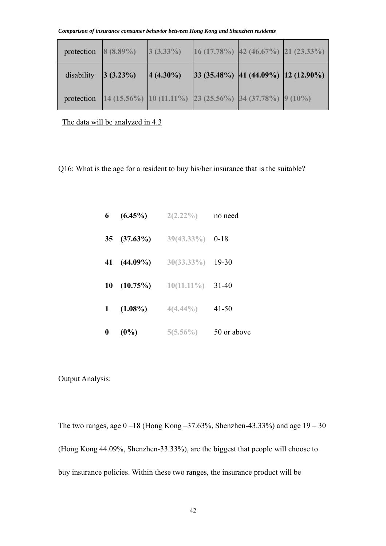| protection $8(8.89\%)$ |          | $3(3.33\%)$   | $16(17.78\%)$ 42 (46.67%) 21 (23.33%)                     |  |
|------------------------|----------|---------------|-----------------------------------------------------------|--|
| disability             | 3(3.23%) | $ 4 (4.30\%)$ | $ 33 (35.48\%) 41 (44.09\%) 12 (12.90\%)$                 |  |
| protection             |          |               | $14(15.56\%)$ 10 (11.11%) 23 (25.56%) 34 (37.78%) 9 (10%) |  |

The data will be analyzed in 4.3

Q16: What is the age for a resident to buy his/her insurance that is the suitable?

| $6\degree$       | $(6.45\%)$  | $2(2.22\%)$         | no need     |
|------------------|-------------|---------------------|-------------|
| 35 <sup>5</sup>  | $(37.63\%)$ | $39(43.33\%)$ 0-18  |             |
|                  | 41 (44.09%) | $30(33.33\%)$ 19-30 |             |
| 10               | $(10.75\%)$ | $10(11.11\%)$ 31-40 |             |
| $\mathbf{1}$     | $(1.08\%)$  | $4(4.44\%)$         | $41 - 50$   |
| $\boldsymbol{0}$ | $(0\%)$     | $5(5.56\%)$         | 50 or above |

Output Analysis:

The two ranges, age 0 –18 (Hong Kong –37.63%, Shenzhen-43.33%) and age 19 – 30 (Hong Kong 44.09%, Shenzhen-33.33%), are the biggest that people will choose to buy insurance policies. Within these two ranges, the insurance product will be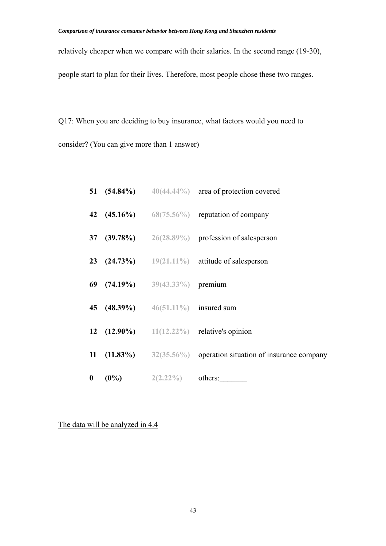relatively cheaper when we compare with their salaries. In the second range (19-30), people start to plan for their lives. Therefore, most people chose these two ranges.

Q17: When you are deciding to buy insurance, what factors would you need to consider? (You can give more than 1 answer)

|  |                                       | 51 (54.84%) $40(44.44\%)$ area of protection covered               |
|--|---------------------------------------|--------------------------------------------------------------------|
|  |                                       | 42 $(45.16\%)$ 68(75.56%) reputation of company                    |
|  |                                       | 37 (39.78%) $26(28.89\%)$ profession of salesperson                |
|  |                                       | <b>23</b> $(24.73\%)$ $19(21.11\%)$ attitude of salesperson        |
|  | 69 (74.19%) $39(43.33\%)$ premium     |                                                                    |
|  | 45 (48.39%) $46(51.11\%)$ insured sum |                                                                    |
|  |                                       | 12 $(12.90\%)$ 11(12.22%) relative's opinion                       |
|  |                                       | 11 $(11.83\%)$ 32(35.56%) operation situation of insurance company |
|  | <b>0</b> (0%) $2(2.22\%)$ others:     |                                                                    |

The data will be analyzed in 4.4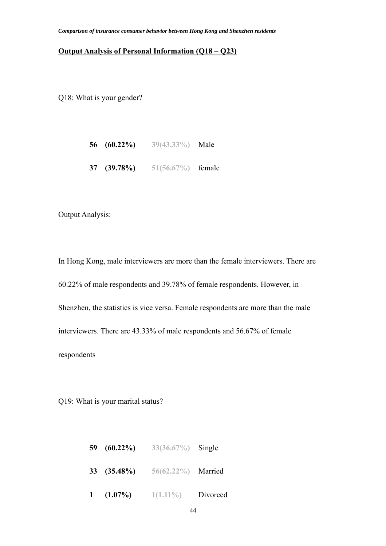### **Output Analysis of Personal Information (Q18 – Q23)**

Q18: What is your gender?

|  | 56 $(60.22\%)$ | $39(43.33\%)$ | Male |
|--|----------------|---------------|------|
|--|----------------|---------------|------|

**37 (39.78%) 51(56.67%)** female

Output Analysis:

In Hong Kong, male interviewers are more than the female interviewers. There are 60.22% of male respondents and 39.78% of female respondents. However, in Shenzhen, the statistics is vice versa. Female respondents are more than the male interviewers. There are 43.33% of male respondents and 56.67% of female respondents

Q19: What is your marital status?

| 59 $(60.22\%)$ | 33(36.67%) Single  |          |
|----------------|--------------------|----------|
| $33(35.48\%)$  | 56(62.22%) Married |          |
| $1(1.07\%)$    | $1(1.11\%)$        | Divorced |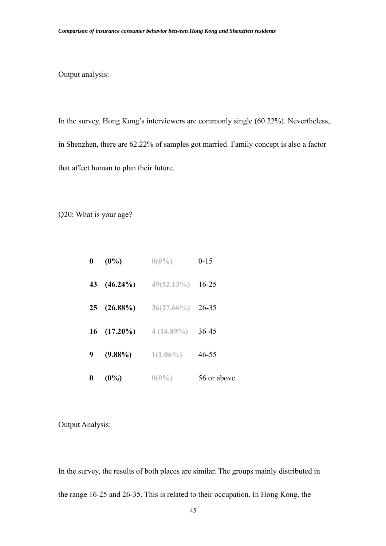Output analysis:

In the survey, Hong Kong's interviewers are commonly single (60.22%). Nevertheless, in Shenzhen, there are 62.22% of samples got married. Family concept is also a factor that affect human to plan their future.

Q20: What is your age?

| $\boldsymbol{0}$ | $(0\%)$       | $0(0\%)$      | $0 - 15$    |
|------------------|---------------|---------------|-------------|
| 43               | $(46.24\%)$   | $49(52.13\%)$ | $16 - 25$   |
| 25               | $(26.88\%)$   | $36(27.66\%)$ | 26-35       |
|                  | $16(17.20\%)$ | $4(14.89\%)$  | 36-45       |
| 9                | $(9.88\%)$    | $1(1.06\%)$   | $46 - 55$   |
| 0                | $(0\%)$       | $0(0\%)$      | 56 or above |

Output Analysis:

In the survey, the results of both places are similar. The groups mainly distributed in the range 16-25 and 26-35. This is related to their occupation. In Hong Kong, the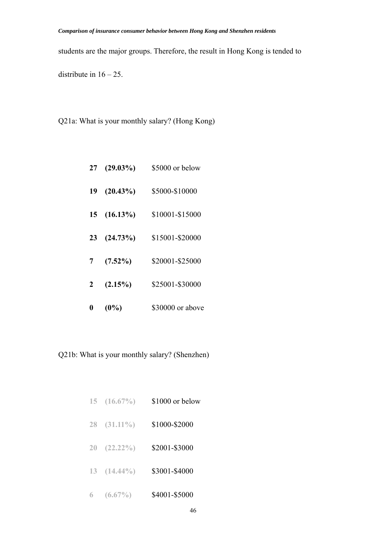students are the major groups. Therefore, the result in Hong Kong is tended to

distribute in  $16 - 25$ .

Q21a: What is your monthly salary? (Hong Kong)

| 27 | $(29.03\%)$ | \$5000 or below  |
|----|-------------|------------------|
| 19 | $(20.43\%)$ | \$5000-\$10000   |
| 15 | $(16.13\%)$ | \$10001-\$15000  |
| 23 | (24.73%)    | \$15001-\$20000  |
| 7  | $(7.52\%)$  | \$20001-\$25000  |
| 2  | $(2.15\%)$  | \$25001-\$30000  |
|    | $(0\%)$     | \$30000 or above |

Q21b: What is your monthly salary? (Shenzhen)

| 15 | $(16.67\%)$ | \$1000 or below |
|----|-------------|-----------------|
| 28 | $(31.11\%)$ | \$1000-\$2000   |
| 20 | $(22.22\%)$ | \$2001-\$3000   |
| 13 | $(14.44\%)$ | \$3001-\$4000   |
| 6  | $(6.67\%)$  | \$4001-\$5000   |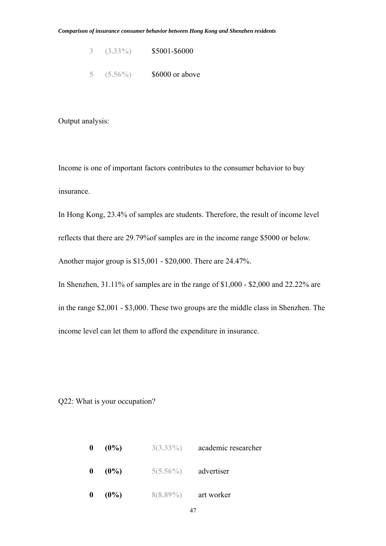- **3 (3.33%)** \$5001-\$6000
- **5 (5.56%)** \$6000 or above

Output analysis:

Income is one of important factors contributes to the consumer behavior to buy insurance.

In Hong Kong, 23.4% of samples are students. Therefore, the result of income level reflects that there are 29.79%of samples are in the income range \$5000 or below. Another major group is \$15,001 - \$20,000. There are 24.47%.

in the range \$2,001 - \$3,000. These two groups are the middle class in Shenzhen. The income level can let them to afford the expenditure in insurance.

In Shenzhen, 31.11% of samples are in the range of \$1,000 - \$2,000 and 22.22% are

Q22: What is your occupation?

| $\mathbf{0}$     | $(0\%)$ | $3(3.33\%)$ | academic researcher |
|------------------|---------|-------------|---------------------|
| $\bf{0}$         | $(0\%)$ | $5(5.56\%)$ | advertiser          |
| $\boldsymbol{0}$ | $(0\%)$ | $8(8.89\%)$ | art worker          |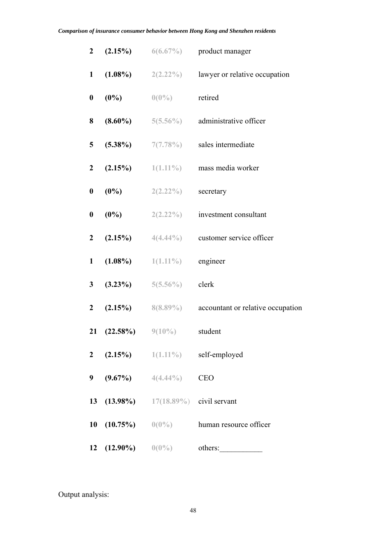| $\mathbf{2}$     | (2.15%)              |                                         | $6(6.67\%)$ product manager          |
|------------------|----------------------|-----------------------------------------|--------------------------------------|
| $\mathbf{1}$     | $(1.08\%)$           | $2(2.22\%)$                             | lawyer or relative occupation        |
| $\boldsymbol{0}$ | $(0\%)$              | $0(0\%)$                                | retired                              |
| 8                | $(8.60\%)$           | $5(5.56\%)$                             | administrative officer               |
| 5                | $(5.38\%)$           | 7(7.78%)                                | sales intermediate                   |
| $\boldsymbol{2}$ | (2.15%)              | $1(1.11\%)$                             | mass media worker                    |
| $\boldsymbol{0}$ | $(0\%)$              | $2(2.22\%)$                             | secretary                            |
| $\boldsymbol{0}$ | $(0\%)$              | $2(2.22\%)$                             | investment consultant                |
| $\boldsymbol{2}$ | (2.15%)              |                                         | $4(4.44\%)$ customer service officer |
| $\mathbf{1}$     | $(1.08\%)$           | $1(1.11\%)$                             | engineer                             |
| 3                | $(3.23\%)$           | $5(5.56\%)$                             | clerk                                |
| $\boldsymbol{2}$ | (2.15%)              | $8(8.89\%)$                             | accountant or relative occupation    |
| 21               | $(22.58\%)$          | $9(10\%)$                               | student                              |
| $\mathbf{2}$     |                      |                                         | $(2.15\%)$ $1(1.11\%)$ self-employed |
| 9                |                      | $(9.67\%)$ $4(4.44\%)$                  | <b>CEO</b>                           |
|                  |                      | 13 $(13.98\%)$ 17(18.89%) civil servant |                                      |
|                  |                      | 10 $(10.75\%)$ $0(0\%)$                 | human resource officer               |
| 12               | $(12.90\%)$ $0(0\%)$ |                                         | others:                              |

Output analysis: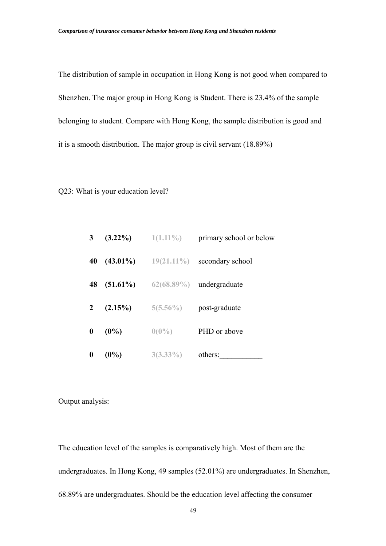The distribution of sample in occupation in Hong Kong is not good when compared to Shenzhen. The major group in Hong Kong is Student. There is 23.4% of the sample belonging to student. Compare with Hong Kong, the sample distribution is good and it is a smooth distribution. The major group is civil servant (18.89%)

#### Q23: What is your education level?

| 3 <sup>7</sup>   |             | $(3.22\%)$ 1(1.11%) | primary school or below     |
|------------------|-------------|---------------------|-----------------------------|
| 40               | $(43.01\%)$ | $19(21.11\%)$       | secondary school            |
| 48               | $(51.61\%)$ |                     | $62(68.89\%)$ undergraduate |
| $2^{\circ}$      | $(2.15\%)$  | $5(5.56\%)$         | post-graduate               |
| $\mathbf{0}$     | $(0\%)$     | $0(0\%)$            | PHD or above                |
| $\boldsymbol{0}$ | $(0\%)$     | $3(3.33\%)$         | others:                     |

Output analysis:

The education level of the samples is comparatively high. Most of them are the undergraduates. In Hong Kong, 49 samples (52.01%) are undergraduates. In Shenzhen, 68.89% are undergraduates. Should be the education level affecting the consumer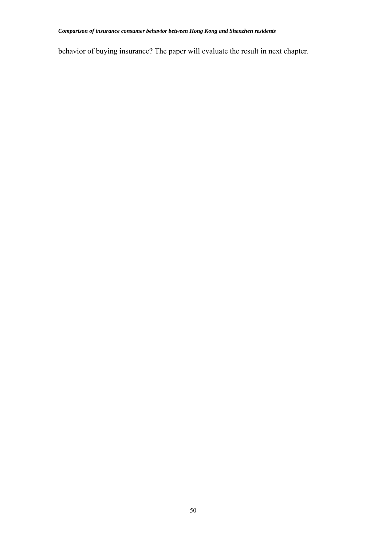behavior of buying insurance? The paper will evaluate the result in next chapter.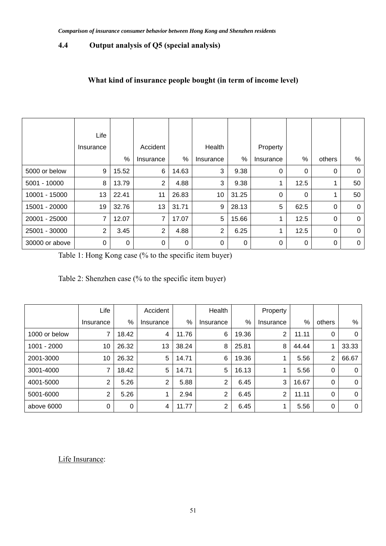# **4.4 Output analysis of Q5 (special analysis)**

# **What kind of insurance people bought (in term of income level)**

|                | Life           |       |                |       |           |       |           |             |             |              |
|----------------|----------------|-------|----------------|-------|-----------|-------|-----------|-------------|-------------|--------------|
|                | Insurance      |       | Accident       |       | Health    |       | Property  |             |             |              |
|                |                | %     | Insurance      | %     | Insurance | %     | Insurance | %           | others      | %            |
| 5000 or below  | 9              | 15.52 | 6              | 14.63 | 3         | 9.38  | 0         | 0           | $\mathbf 0$ | $\Omega$     |
| 5001 - 10000   | 8              | 13.79 | $\overline{2}$ | 4.88  | 3         | 9.38  |           | 12.5        |             | 50           |
| 10001 - 15000  | 13             | 22.41 | 11             | 26.83 | 10        | 31.25 | 0         | 0           | 1           | 50           |
| 15001 - 20000  | 19             | 32.76 | 13             | 31.71 | 9         | 28.13 | 5         | 62.5        | 0           | $\Omega$     |
| 20001 - 25000  | 7              | 12.07 | $\overline{7}$ | 17.07 | 5         | 15.66 |           | 12.5        | 0           | $\Omega$     |
| 25001 - 30000  | $\overline{2}$ | 3.45  | 2              | 4.88  | 2         | 6.25  |           | 12.5        | $\Omega$    | $\Omega$     |
| 30000 or above | 0              | 0     | 0              | 0     | 0         | 0     | 0         | $\mathbf 0$ | 0           | $\mathbf{0}$ |

Table 1: Hong Kong case (% to the specific item buyer)

| Table 2: Shenzhen case (% to the specific item buyer) |  |  |  |
|-------------------------------------------------------|--|--|--|
|-------------------------------------------------------|--|--|--|

|               | Life      |       | Accident       |       | Health         |       | Property  |       |                |       |
|---------------|-----------|-------|----------------|-------|----------------|-------|-----------|-------|----------------|-------|
|               | Insurance | %     | Insurance      | %     | Insurance      | %     | Insurance | %     | others         | %     |
| 1000 or below | 7         | 18.42 | 4              | 11.76 | 6              | 19.36 | 2         | 11.11 | 0              | 0     |
| $1001 - 2000$ | 10        | 26.32 | 13             | 38.24 | 8              | 25.81 | 8         | 44.44 | 1              | 33.33 |
| 2001-3000     | 10        | 26.32 | 5              | 14.71 | 6              | 19.36 |           | 5.56  | $\overline{2}$ | 66.67 |
| 3001-4000     | 7         | 18.42 | 5              | 14.71 | 5              | 16.13 | 4         | 5.56  | 0              | 0     |
| 4001-5000     | 2         | 5.26  | $\overline{2}$ | 5.88  | 2              | 6.45  | 3         | 16.67 | 0              | 0     |
| 5001-6000     | 2         | 5.26  |                | 2.94  | 2              | 6.45  | 2         | 11.11 | 0              | 0     |
| above 6000    | 0         | 0     | 4              | 11.77 | $\overline{2}$ | 6.45  | 4         | 5.56  | 0              | 0     |

Life Insurance: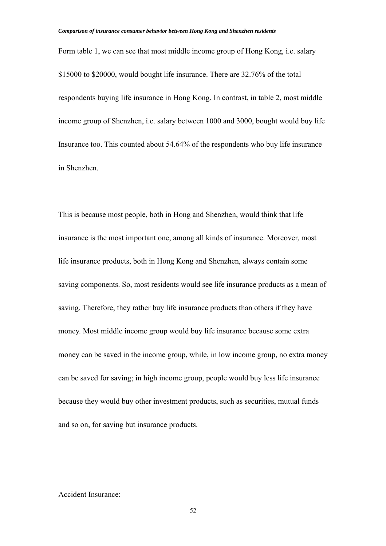Form table 1, we can see that most middle income group of Hong Kong, i.e. salary \$15000 to \$20000, would bought life insurance. There are 32.76% of the total respondents buying life insurance in Hong Kong. In contrast, in table 2, most middle income group of Shenzhen, i.e. salary between 1000 and 3000, bought would buy life Insurance too. This counted about 54.64% of the respondents who buy life insurance in Shenzhen.

This is because most people, both in Hong and Shenzhen, would think that life insurance is the most important one, among all kinds of insurance. Moreover, most life insurance products, both in Hong Kong and Shenzhen, always contain some saving components. So, most residents would see life insurance products as a mean of saving. Therefore, they rather buy life insurance products than others if they have money. Most middle income group would buy life insurance because some extra money can be saved in the income group, while, in low income group, no extra money can be saved for saving; in high income group, people would buy less life insurance because they would buy other investment products, such as securities, mutual funds and so on, for saving but insurance products.

#### Accident Insurance: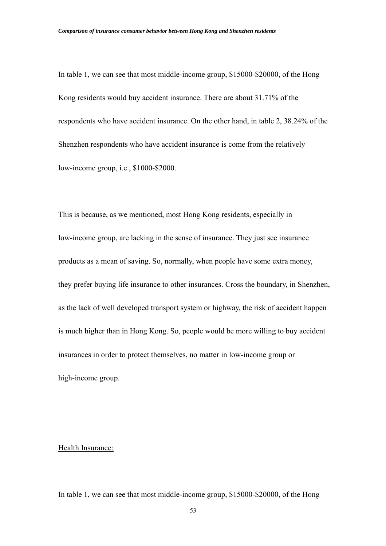In table 1, we can see that most middle-income group, \$15000-\$20000, of the Hong Kong residents would buy accident insurance. There are about 31.71% of the respondents who have accident insurance. On the other hand, in table 2, 38.24% of the Shenzhen respondents who have accident insurance is come from the relatively low-income group, i.e., \$1000-\$2000.

This is because, as we mentioned, most Hong Kong residents, especially in low-income group, are lacking in the sense of insurance. They just see insurance products as a mean of saving. So, normally, when people have some extra money, they prefer buying life insurance to other insurances. Cross the boundary, in Shenzhen, as the lack of well developed transport system or highway, the risk of accident happen is much higher than in Hong Kong. So, people would be more willing to buy accident insurances in order to protect themselves, no matter in low-income group or high-income group.

Health Insurance:

In table 1, we can see that most middle-income group, \$15000-\$20000, of the Hong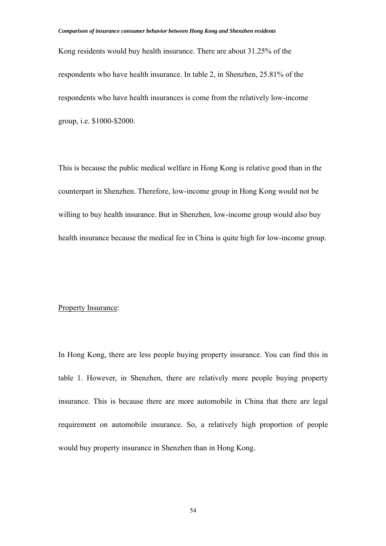Kong residents would buy health insurance. There are about 31.25% of the respondents who have health insurance. In table 2, in Shenzhen, 25.81% of the respondents who have health insurances is come from the relatively low-income group, i.e. \$1000-\$2000.

This is because the public medical welfare in Hong Kong is relative good than in the counterpart in Shenzhen. Therefore, low-income group in Hong Kong would not be willing to buy health insurance. But in Shenzhen, low-income group would also buy health insurance because the medical fee in China is quite high for low-income group.

#### Property Insurance:

In Hong Kong, there are less people buying property insurance. You can find this in table 1. However, in Shenzhen, there are relatively more people buying property insurance. This is because there are more automobile in China that there are legal requirement on automobile insurance. So, a relatively high proportion of people would buy property insurance in Shenzhen than in Hong Kong.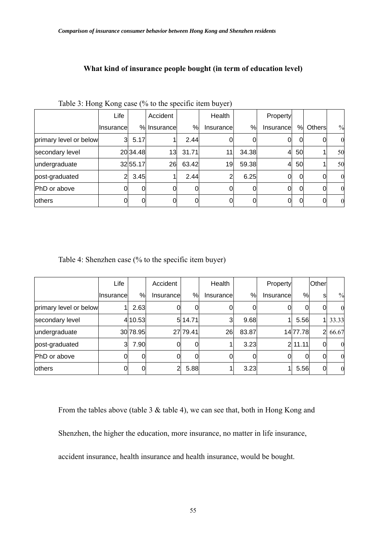| Table 3: Hong Kong case (% to the specific item buyer) |                   |          |               |          |            |        |            |          |              |                  |  |  |
|--------------------------------------------------------|-------------------|----------|---------------|----------|------------|--------|------------|----------|--------------|------------------|--|--|
|                                                        | Life              |          |               | Accident |            | Health |            | Property |              |                  |  |  |
|                                                        | <b>Ilnsurance</b> |          | %I Insurancel | %        | Insurancel | %      | Insurancel | %        | Others       | $\frac{0}{0}$    |  |  |
| primary level or below                                 | 3                 | 5.17     |               | 2.44     |            |        |            | 0        | O            | $\boldsymbol{0}$ |  |  |
| secondary level                                        |                   | 20 34.48 | 13            | 31.71    | 11         | 34.38  | 4          | 50       |              | 50               |  |  |
| undergraduate                                          |                   | 32 55.17 | 26            | 63.42    | 19         | 59.38  | 4          | 50       |              | 50               |  |  |
| post-graduated                                         | 2                 | 3.45     |               | 2.44     | 2          | 6.25   | 0          | $\Omega$ | 0            | $\boldsymbol{0}$ |  |  |
| PhD or above                                           |                   | 0        |               |          |            |        | 0          | $\Omega$ | <sub>0</sub> | $\boldsymbol{0}$ |  |  |
| <b>lothers</b>                                         |                   |          |               |          |            |        | 01         | 0        | 0            | $\boldsymbol{0}$ |  |  |

# **What kind of insurance people bought (in term of education level)**

Table 4: Shenzhen case (% to the specific item buyer)

|                        | Life        |          | Accident   |          | Health     |       | Property  |          | <b>Other</b> |                  |
|------------------------|-------------|----------|------------|----------|------------|-------|-----------|----------|--------------|------------------|
|                        | Ilnsurancel | %        | Insurancel | %        | Insurancel | %     | Insurance | %        | sl           | $\frac{0}{0}$    |
| primary level or below |             | 2.63     |            |          |            |       |           | 0        | 0            | $\boldsymbol{0}$ |
| secondary level        |             | 4 10.53  |            | 514.71   | 3          | 9.68  |           | 5.56     |              | 1 33.33          |
| undergraduate          |             | 30 78.95 |            | 27 79.41 | 26         | 83.87 |           | 14 77.78 |              | 2 66.67          |
| post-graduated         | 3           | 7.90     |            | 0        |            | 3.23  |           | 2 11.11  | $\Omega$     | $\overline{0}$   |
| PhD or above           |             | 0        |            | 0        |            | 0     | OI        | 0        | 0l           | $\mathbf{0}$     |
| <b>lothers</b>         |             | 0        | 2          | 5.88     |            | 3.23  |           | 5.56     | 0            | $\boldsymbol{0}$ |

From the tables above (table 3 & table 4), we can see that, both in Hong Kong and

Shenzhen, the higher the education, more insurance, no matter in life insurance,

accident insurance, health insurance and health insurance, would be bought.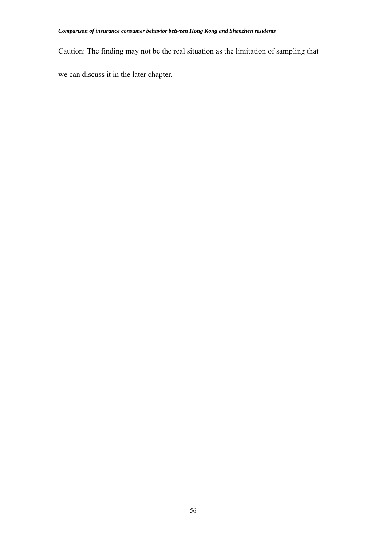Caution: The finding may not be the real situation as the limitation of sampling that

we can discuss it in the later chapter.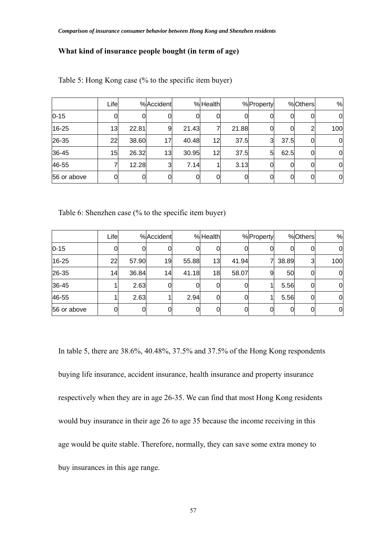## **What kind of insurance people bought (in term of age)**

|             | Lifel |       | %Accident |       | %Health |       | %Property       |      | %Others | $\%$        |
|-------------|-------|-------|-----------|-------|---------|-------|-----------------|------|---------|-------------|
| $0 - 15$    |       |       | 0         |       |         | Ul    | 0               | 0    |         | 0           |
| 16-25       | 13    | 22.81 | 9         | 21.43 |         | 21.88 | <sub>0</sub>    |      |         | 100         |
| 26-35       | 22    | 38.60 | 17        | 40.48 | 12      | 37.5  | $\mathbf{3}$    | 37.5 |         | $\mathbf 0$ |
| 36-45       | 15    | 26.32 | 13        | 30.95 | 12      | 37.5  | $5\overline{)}$ | 62.5 |         | 0           |
| 46-55       |       | 12.28 | 3         | 7.14  |         | 3.13  | O               |      |         | $\mathbf 0$ |
| 56 or above | 0     |       | 0         |       |         | 01    | <sup>O</sup>    |      |         | $\mathbf 0$ |

Table 5: Hong Kong case (% to the specific item buyer)

Table 6: Shenzhen case (% to the specific item buyer)

|             | $L$ ifel |       | %Accident    |          | %Health      |       | %Property |       | %Others | %              |
|-------------|----------|-------|--------------|----------|--------------|-------|-----------|-------|---------|----------------|
| $0 - 15$    |          |       | 0            |          | 0            |       |           |       |         | 0              |
| 16-25       | 22       | 57.90 | 19           | 55.88    | 13           | 41.94 |           | 38.89 | 3       | 100            |
| 26-35       | 14       | 36.84 | 14           | 41.18    | 18           | 58.07 | 9         | 50    |         | $\overline{0}$ |
| 36-45       |          | 2.63  | <sub>0</sub> |          | $\Omega$     |       |           | 5.56  |         | 0              |
| 46-55       |          | 2.63  |              | 2.94     | <sub>0</sub> |       |           | 5.56  |         | 0              |
| 56 or above | 0        | 0     | 0            | $\Omega$ | <sub>0</sub> |       |           |       |         | $\overline{0}$ |

In table 5, there are 38.6%, 40.48%, 37.5% and 37.5% of the Hong Kong respondents buying life insurance, accident insurance, health insurance and property insurance respectively when they are in age 26-35. We can find that most Hong Kong residents would buy insurance in their age 26 to age 35 because the income receiving in this age would be quite stable. Therefore, normally, they can save some extra money to buy insurances in this age range.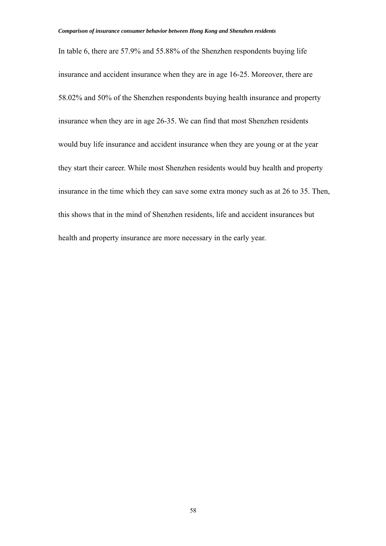In table 6, there are 57.9% and 55.88% of the Shenzhen respondents buying life insurance and accident insurance when they are in age 16-25. Moreover, there are 58.02% and 50% of the Shenzhen respondents buying health insurance and property insurance when they are in age 26-35. We can find that most Shenzhen residents would buy life insurance and accident insurance when they are young or at the year they start their career. While most Shenzhen residents would buy health and property insurance in the time which they can save some extra money such as at 26 to 35. Then, this shows that in the mind of Shenzhen residents, life and accident insurances but health and property insurance are more necessary in the early year.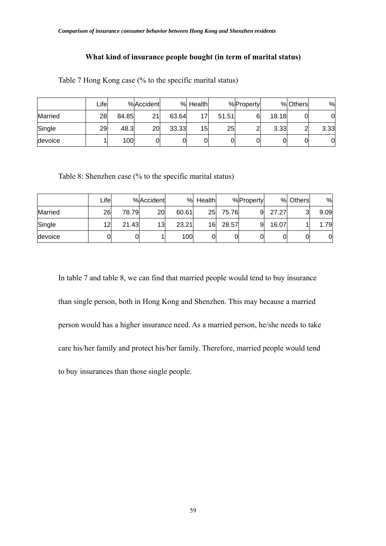## **What kind of insurance people bought (in term of marital status)**

|                | ∟ifel |       | %Accident |       | % Health |       | %Property |       | % Others | %    |
|----------------|-------|-------|-----------|-------|----------|-------|-----------|-------|----------|------|
| <b>Married</b> | 28    | 84.85 | 21        | 63.64 | 17       | 51.51 |           | 18.18 |          | 0    |
| Single         | 29    | 48.3  | 20        | 33.33 | 15       | 25    | ົ         | 3.33  | ⌒        | 3.33 |
| devoice        |       | 100   |           |       |          |       |           |       | 0        | 0    |

Table 7 Hong Kong case (% to the specific marital status)

Table 8: Shenzhen case (% to the specific marital status)

|         | Lifel |       | %Accident | %     | Health |       | %Property |       | % Others | %    |
|---------|-------|-------|-----------|-------|--------|-------|-----------|-------|----------|------|
| Married | 26    | 78.79 | 20        | 60.61 | 25     | 75.76 | 9         | 27.27 | ว        | 9.09 |
| Single  | 12    | 21.43 | 13        | 23.21 | 16     | 28.57 | 9         | 16.07 |          | .79  |
| devoice | 01    |       |           | 100   |        | 0     |           | 0     |          | 0    |

In table 7 and table 8, we can find that married people would tend to buy insurance than single person, both in Hong Kong and Shenzhen. This may because a married person would has a higher insurance need. As a married person, he/she needs to take care his/her family and protect his/her family. Therefore, married people would tend to buy insurances than those single people.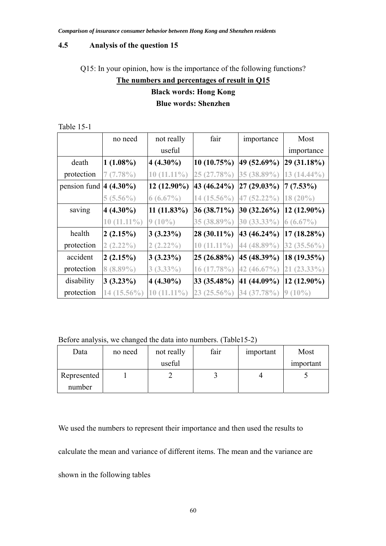#### **4.5 Analysis of the question 15**

Q15: In your opinion, how is the importance of the following functions?

# **The numbers and percentages of result in Q15 Black words: Hong Kong Blue words: Shenzhen**

|                            | no need       | not really             | fair           | importance      | Most              |
|----------------------------|---------------|------------------------|----------------|-----------------|-------------------|
|                            |               | useful                 |                |                 | importance        |
| death                      | $1(1.08\%)$   | $4(4.30\%)$            | $ 10(10.75\%)$ | 49 (52.69%)     | 29(31.18%)        |
| protection                 | 7(7.78%)      | $10(11.11\%)$          | 25 (27.78%)    | 35 (38.89%)     | $13(14.44\%)$     |
| pension fund $ 4 (4.30\%)$ |               | $ 12 \ (12.90\%)$      | 43 (46.24%)    | $27(29.03\%)$   | $ 7(7.53\%)$      |
|                            | $5(5.56\%)$   | $6(6.67\%)$            | 14 (15.56%)    | 47 (52.22%)     | $18(20\%)$        |
| saving                     | $4(4.30\%)$   | $11(11.83\%)$          | $36(38.71\%)$  | $ 30 (32.26\%)$ | $ 12 (12.90\%)$   |
|                            | $10(11.11\%)$ | $9(10\%)$              | 35 (38.89%)    | 30 (33.33%)     | $6(6.67\%)$       |
| health                     | 2(2.15%)      | 3(3.23%)               | $ 28(30.11\%)$ | 43 (46.24%)     | $17(18.28\%)$     |
| protection                 | $2(2.22\%)$   | $2(2.22\%)$            | $10(11.11\%)$  | 44 (48.89%)     | $32(35.56\%)$     |
| accident                   | 2(2.15%)      | 3(3.23%)               | 25(26.88%)     | 45 (48.39%)     | $ 18(19.35\%)$    |
| protection                 | $8(8.89\%)$   | $3(3.33\%)$            | $16(17.78\%)$  | 42 $(46.67\%)$  | $21(23.33\%)$     |
| disability                 | $3(3.23\%)$   | $4(4.30\%)$            | 33 (35.48%)    | 41 (44.09%)     | $ 12 \ (12.90\%)$ |
| protection                 | 14 (15.56%)   | $11.11\%$<br><b>10</b> | $23(25.56\%)$  | 34 (37.78%)     | $9(10\%)$         |

Table 15-1

Before analysis, we changed the data into numbers. (Table15-2)

| Data        | no need | not really | fair | important | Most      |
|-------------|---------|------------|------|-----------|-----------|
|             |         | useful     |      |           | important |
| Represented |         |            |      |           |           |
| number      |         |            |      |           |           |

We used the numbers to represent their importance and then used the results to calculate the mean and variance of different items. The mean and the variance are shown in the following tables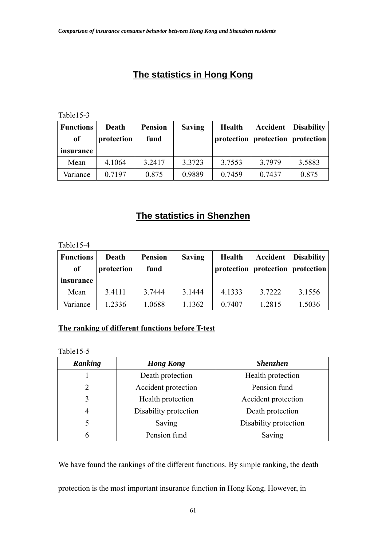# **The statistics in Hong Kong**

Table15-3

| <b>Functions</b><br>of | Death<br>protection | <b>Pension</b><br>fund | <b>Saving</b> | <b>Health</b> | Accident<br>protection   protection   protection | <b>Disability</b> |
|------------------------|---------------------|------------------------|---------------|---------------|--------------------------------------------------|-------------------|
| insurance              |                     |                        |               |               |                                                  |                   |
| Mean                   | 4.1064              | 3.2417                 | 3.3723        | 3.7553        | 3.7979                                           | 3.5883            |
| Variance               | 0.7197              | 0.875                  | 0.9889        | 0.7459        | 0.7437                                           | 0.875             |

# **The statistics in Shenzhen**

Table15-4

| <b>Functions</b><br>of | Death<br>protection | <b>Pension</b><br>fund | <b>Saving</b> | <b>Health</b> | Accident<br>protection   protection   protection | <b>Disability</b> |
|------------------------|---------------------|------------------------|---------------|---------------|--------------------------------------------------|-------------------|
| insurance              |                     |                        |               |               |                                                  |                   |
| Mean                   | 3.4111              | 3.7444                 | 3.1444        | 4.1333        | 3.7222                                           | 3.1556            |
| Variance               | 1.2336              | 1.0688                 | 1.1362        | 0.7407        | 1.2815                                           | 1.5036            |

# **The ranking of different functions before T-test**

Table15-5

| Ranking | <b>Hong Kong</b>      | <b>Shenzhen</b>       |
|---------|-----------------------|-----------------------|
|         | Death protection      | Health protection     |
|         | Accident protection   | Pension fund          |
| 3       | Health protection     | Accident protection   |
| 4       | Disability protection | Death protection      |
|         | Saving                | Disability protection |
| 6       | Pension fund          | Saving                |

We have found the rankings of the different functions. By simple ranking, the death

protection is the most important insurance function in Hong Kong. However, in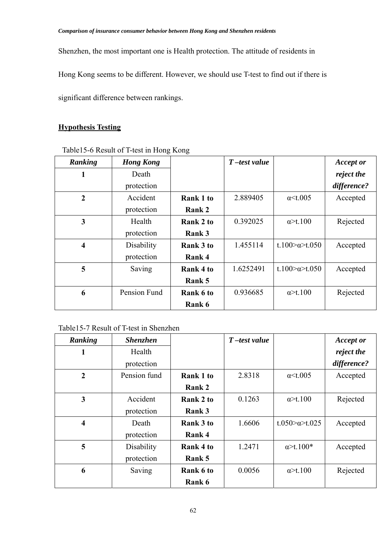Shenzhen, the most important one is Health protection. The attitude of residents in

Hong Kong seems to be different. However, we should use T-test to find out if there is

significant difference between rankings.

# **Hypothesis Testing**

| Ranking                 | <b>Hong Kong</b> |                  | $T$ -test value |                                | <b>Accept or</b> |
|-------------------------|------------------|------------------|-----------------|--------------------------------|------------------|
| 1                       | Death            |                  |                 |                                | reject the       |
|                         | protection       |                  |                 |                                | difference?      |
| $\boldsymbol{2}$        | Accident         | <b>Rank 1 to</b> | 2.889405        | $\alpha$ < t.005               | Accepted         |
|                         | protection       | Rank 2           |                 |                                |                  |
| 3                       | Health           | Rank 2 to        | 0.392025        | $\alpha$ >t.100                | Rejected         |
|                         | protection       | Rank 3           |                 |                                |                  |
| $\overline{\mathbf{4}}$ | Disability       | Rank 3 to        | 1.455114        | t.100 $\alpha$ t.050           | Accepted         |
|                         | protection       | Rank 4           |                 |                                |                  |
| 5                       | Saving           | Rank 4 to        | 1.6252491       | t.100 $\approx$ a $\geq$ t.050 | Accepted         |
|                         |                  | Rank 5           |                 |                                |                  |
| 6                       | Pension Fund     | Rank 6 to        | 0.936685        | $\alpha$ >t.100                | Rejected         |
|                         |                  | Rank 6           |                 |                                |                  |

## Table15-6 Result of T-test in Hong Kong

| Ranking                 | <b>Shenzhen</b> |           | $T$ -test value |                       | <b>Accept or</b> |
|-------------------------|-----------------|-----------|-----------------|-----------------------|------------------|
| 1                       | Health          |           |                 |                       | reject the       |
|                         | protection      |           |                 |                       | difference?      |
| $\overline{2}$          | Pension fund    | Rank 1 to | 2.8318          | $\alpha$ < t.005      | Accepted         |
|                         |                 | Rank 2    |                 |                       |                  |
| 3                       | Accident        | Rank 2 to | 0.1263          | $\alpha$ >t.100       | Rejected         |
|                         | protection      | Rank 3    |                 |                       |                  |
| $\overline{\mathbf{4}}$ | Death           | Rank 3 to | 1.6606          | t.050 $\approx$ t.025 | Accepted         |
|                         | protection      | Rank 4    |                 |                       |                  |
| 5                       | Disability      | Rank 4 to | 1.2471          | $\alpha$ >t.100*      | Accepted         |
|                         | protection      | Rank 5    |                 |                       |                  |
| 6                       | Saving          | Rank 6 to | 0.0056          | $\alpha$ >t.100       | Rejected         |
|                         |                 | Rank 6    |                 |                       |                  |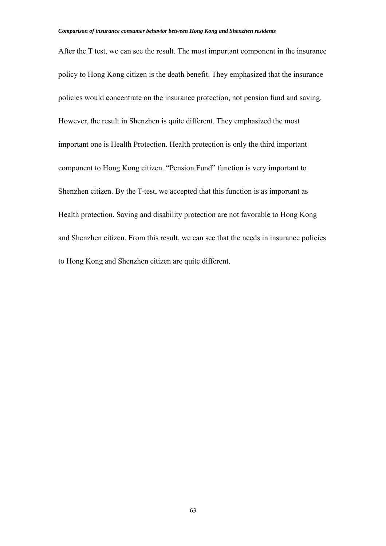After the T test, we can see the result. The most important component in the insurance policy to Hong Kong citizen is the death benefit. They emphasized that the insurance policies would concentrate on the insurance protection, not pension fund and saving. However, the result in Shenzhen is quite different. They emphasized the most important one is Health Protection. Health protection is only the third important component to Hong Kong citizen. "Pension Fund" function is very important to Shenzhen citizen. By the T-test, we accepted that this function is as important as Health protection. Saving and disability protection are not favorable to Hong Kong and Shenzhen citizen. From this result, we can see that the needs in insurance policies to Hong Kong and Shenzhen citizen are quite different.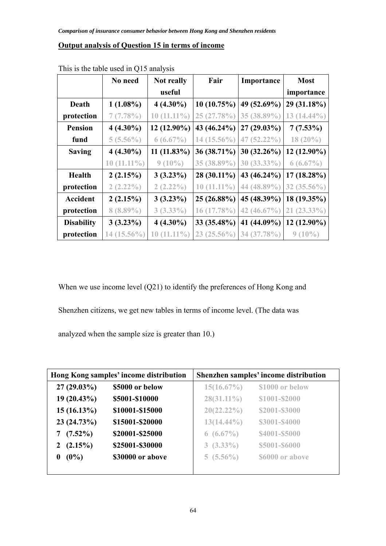## **Output analysis of Question 15 in terms of income**

|                   | No need           | Not really        | Fair          | Importance     | <b>Most</b>    |
|-------------------|-------------------|-------------------|---------------|----------------|----------------|
|                   |                   | useful            |               |                | importance     |
| Death             | $1(1.08\%)$       | $4(4.30\%)$       | 10(10.75%)    | 49 (52.69%)    | 29 (31.18%)    |
| protection        | 7(7.78%)          | $10(11.11\%)$     | 25 (27.78%)   | 35 (38.89%)    | $13(14.44\%)$  |
| <b>Pension</b>    | $4(4.30\%)$       | 12 (12.90%)       | 43 (46.24%)   | $27(29.03\%)$  | $7(7.53\%)$    |
| fund              | $5(5.56\%)$       | $6(6.67\%)$       | 14 (15.56%)   | 47 $(52.22\%)$ | $18(20\%)$     |
| <b>Saving</b>     | $4(4.30\%)$       | $11(11.83\%)$     | 36 (38.71%)   | $30(32.26\%)$  | 12 (12.90%)    |
|                   | $10(11.11\%)$     | $9(10\%)$         | 35 (38.89%)   | 30 (33.33%)    | $6(6.67\%)$    |
| <b>Health</b>     | 2(2.15%)          | $3(3.23\%)$       | 28 (30.11%)   | 43 (46.24%)    | $17(18.28\%)$  |
| protection        | $2(2.22\%)$       | $2(2.22\%)$       | $10(11.11\%)$ | 44 (48.89%)    | 32 $(35.56\%)$ |
| Accident          | 2(2.15%)          | $3(3.23\%)$       | 25 (26.88%)   | 45 (48.39%)    | 18 (19.35%)    |
| protection        | $8(8.89\%)$       | $3(3.33\%)$       | $16(17.78\%)$ | 42 $(46.67\%)$ | $21(23.33\%)$  |
| <b>Disability</b> | $3(3.23\%)$       | $4(4.30\%)$       | 33 (35.48%)   | 41 (44.09%)    | $12(12.90\%)$  |
| protection        | $(15.56\%)$<br>14 | $(11.11\%)$<br>10 | $23(25.56\%)$ | 34 (37.78%)    | $9(10\%)$      |

This is the table used in Q15 analysis

When we use income level (Q21) to identify the preferences of Hong Kong and

Shenzhen citizens, we get new tables in terms of income level. (The data was

analyzed when the sample size is greater than 10.)

| Hong Kong samples' income distribution |                  | Shenzhen samples' income distribution |                 |
|----------------------------------------|------------------|---------------------------------------|-----------------|
| $27(29.03\%)$                          | \$5000 or below  | $15(16.67\%)$                         | \$1000 or below |
| $19(20.43\%)$                          | \$5001-\$10000   | $28(31.11\%)$                         | \$1001-\$2000   |
| $15(16.13\%)$                          | \$10001-\$15000  | $20(22.22\%)$                         | \$2001-\$3000   |
| 23 (24.73%)                            | \$15001-\$20000  | $13(14.44\%)$                         | \$3001-\$4000   |
| $(7.52\%)$<br>7                        | \$20001-\$25000  | $6(6.67\%)$                           | \$4001-\$5000   |
| $(2.15\%)$<br>2                        | \$25001-\$30000  | $3(3.33\%)$                           | \$5001-\$6000   |
| $(0\%)$<br>0                           | \$30000 or above | $5(5.56\%)$                           | \$6000 or above |
|                                        |                  |                                       |                 |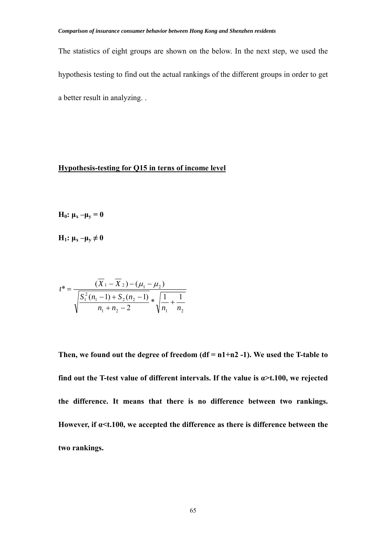The statistics of eight groups are shown on the below. In the next step, we used the hypothesis testing to find out the actual rankings of the different groups in order to get a better result in analyzing. .

## **Hypothesis-testing for Q15 in terns of income level**

**H**<sub>0</sub>:  $\mu$ <sub>x</sub> – $\mu$ <sub>y</sub> = 0

**H**<sub>1</sub>:  $\mu_x - \mu_y \neq 0$ 

$$
t^* = \frac{(X_1 - X_2) - (\mu_1 - \mu_2)}{\sqrt{\frac{S_1^2(n_1 - 1) + S_2(n_2 - 1)}{n_1 + n_2 - 2}} * \sqrt{\frac{1}{n_1} + \frac{1}{n_2}}}
$$

**Then, we found out the degree of freedom (df = n1+n2 -1). We used the T-table to find out the T-test value of different intervals. If the value is**  $\alpha$  **>t.100, we rejected the difference. It means that there is no difference between two rankings. However, if α<t.100, we accepted the difference as there is difference between the two rankings.**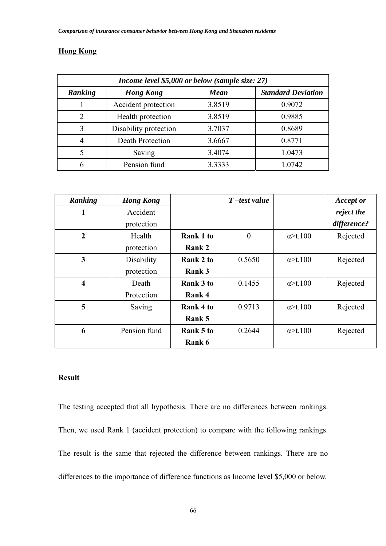## **Hong Kong**

| Income level \$5,000 or below (sample size: 27) |                       |             |                           |  |  |
|-------------------------------------------------|-----------------------|-------------|---------------------------|--|--|
| Ranking                                         | <b>Hong Kong</b>      | <b>Mean</b> | <b>Standard Deviation</b> |  |  |
|                                                 | Accident protection   | 3.8519      | 0.9072                    |  |  |
| 2                                               | Health protection     | 3.8519      | 0.9885                    |  |  |
| 3                                               | Disability protection | 3.7037      | 0.8689                    |  |  |
| $\overline{4}$                                  | Death Protection      | 3.6667      | 0.8771                    |  |  |
| 5                                               | Saving                | 3.4074      | 1.0473                    |  |  |
| 6                                               | Pension fund          | 3.3333      | 1.0742                    |  |  |

| Ranking                 | <b>Hong Kong</b> |           | $T$ -test value |                 | <b>Accept or</b> |
|-------------------------|------------------|-----------|-----------------|-----------------|------------------|
| 1                       | Accident         |           |                 |                 | reject the       |
|                         | protection       |           |                 |                 | difference?      |
| $\overline{2}$          | Health           | Rank 1 to | $\theta$        | $\alpha$ >t.100 | Rejected         |
|                         | protection       | Rank 2    |                 |                 |                  |
| 3                       | Disability       | Rank 2 to | 0.5650          | $\alpha$ >t.100 | Rejected         |
|                         | protection       | Rank 3    |                 |                 |                  |
| $\overline{\mathbf{4}}$ | Death            | Rank 3 to | 0.1455          | $\alpha$ >t.100 | Rejected         |
|                         | Protection       | Rank 4    |                 |                 |                  |
| 5                       | Saving           | Rank 4 to | 0.9713          | $\alpha$ >t.100 | Rejected         |
|                         |                  | Rank 5    |                 |                 |                  |
| 6                       | Pension fund     | Rank 5 to | 0.2644          | $\alpha$ >t.100 | Rejected         |
|                         |                  | Rank 6    |                 |                 |                  |

## **Result**

The testing accepted that all hypothesis. There are no differences between rankings. Then, we used Rank 1 (accident protection) to compare with the following rankings. The result is the same that rejected the difference between rankings. There are no differences to the importance of difference functions as Income level \$5,000 or below.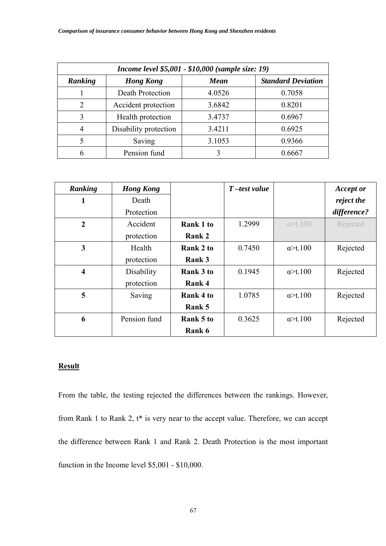| Income level \$5,001 - \$10,000 (sample size: 19) |                       |             |                           |  |  |
|---------------------------------------------------|-----------------------|-------------|---------------------------|--|--|
| Ranking                                           | <b>Hong Kong</b>      | <b>Mean</b> | <b>Standard Deviation</b> |  |  |
|                                                   | Death Protection      | 4.0526      | 0.7058                    |  |  |
| $\mathfrak{D}$                                    | Accident protection   | 3.6842      | 0.8201                    |  |  |
| 3                                                 | Health protection     | 3.4737      | 0.6967                    |  |  |
| $\overline{4}$                                    | Disability protection | 3.4211      | 0.6925                    |  |  |
| 5                                                 | Saving                | 3.1053      | 0.9366                    |  |  |
| 6                                                 | Pension fund          |             | 0.6667                    |  |  |

| Ranking                 | <b>Hong Kong</b> |           | $T$ -test value |                  | <b>Accept or</b> |
|-------------------------|------------------|-----------|-----------------|------------------|------------------|
| 1                       | Death            |           |                 |                  | reject the       |
|                         | Protection       |           |                 |                  | difference?      |
| $\overline{2}$          | Accident         | Rank 1 to | 1.2999          | $\alpha$ >t.100  | Rejected         |
|                         | protection       | Rank 2    |                 |                  |                  |
| 3                       | Health           | Rank 2 to | 0.7450          | $\alpha$ >t.100  | Rejected         |
|                         | protection       | Rank 3    |                 |                  |                  |
| $\overline{\mathbf{4}}$ | Disability       | Rank 3 to | 0.1945          | $\alpha$ >t.100  | Rejected         |
|                         | protection       | Rank 4    |                 |                  |                  |
| 5                       | Saving           | Rank 4 to | 1.0785          | $\alpha$ >t.100  | Rejected         |
|                         |                  | Rank 5    |                 |                  |                  |
| 6                       | Pension fund     | Rank 5 to | 0.3625          | $\alpha > t.100$ | Rejected         |
|                         |                  | Rank 6    |                 |                  |                  |

From the table, the testing rejected the differences between the rankings. However, from Rank 1 to Rank 2, t\* is very near to the accept value. Therefore, we can accept the difference between Rank 1 and Rank 2. Death Protection is the most important function in the Income level \$5,001 - \$10,000.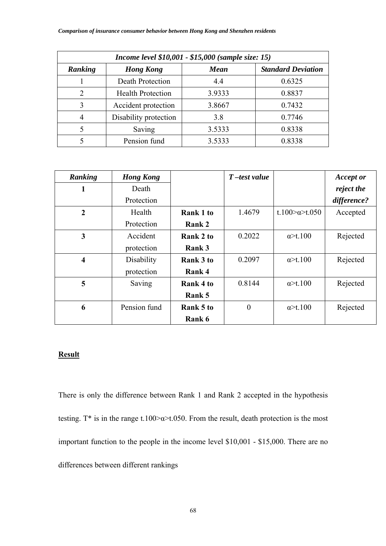| Income level \$10,001 - \$15,000 (sample size: 15) |                          |             |                           |  |  |
|----------------------------------------------------|--------------------------|-------------|---------------------------|--|--|
| Ranking                                            | <b>Hong Kong</b>         | <b>Mean</b> | <b>Standard Deviation</b> |  |  |
|                                                    | Death Protection         | 4.4         | 0.6325                    |  |  |
| $\overline{2}$                                     | <b>Health Protection</b> | 3.9333      | 0.8837                    |  |  |
| 3                                                  | Accident protection      | 3.8667      | 0.7432                    |  |  |
| 4                                                  | Disability protection    | 3.8         | 0.7746                    |  |  |
| 5                                                  | Saving                   | 3.5333      | 0.8338                    |  |  |
|                                                    | Pension fund             | 3.5333      | 0.8338                    |  |  |

| Ranking                 | <b>Hong Kong</b> |                  | $T$ -test value |                                | <b>Accept or</b> |
|-------------------------|------------------|------------------|-----------------|--------------------------------|------------------|
| 1                       | Death            |                  |                 |                                | reject the       |
|                         | Protection       |                  |                 |                                | difference?      |
| $\boldsymbol{2}$        | Health           | Rank 1 to        | 1.4679          | t.100 $\approx$ a $\geq$ t.050 | Accepted         |
|                         | Protection       | Rank 2           |                 |                                |                  |
| 3                       | Accident         | Rank 2 to        | 0.2022          | $\alpha$ >t.100                | Rejected         |
|                         | protection       | Rank 3           |                 |                                |                  |
| $\overline{\mathbf{4}}$ | Disability       | <b>Rank 3 to</b> | 0.2097          | $\alpha$ >t.100                | Rejected         |
|                         | protection       | Rank 4           |                 |                                |                  |
| 5                       | Saving           | Rank 4 to        | 0.8144          | $\alpha$ >t.100                | Rejected         |
|                         |                  | Rank 5           |                 |                                |                  |
| 6                       | Pension fund     | Rank 5 to        | $\theta$        | $\alpha$ >t.100                | Rejected         |
|                         |                  | Rank 6           |                 |                                |                  |

There is only the difference between Rank 1 and Rank 2 accepted in the hypothesis testing.  $T^*$  is in the range t.100 $\approx$ α $\approx$ t.050. From the result, death protection is the most important function to the people in the income level \$10,001 - \$15,000. There are no differences between different rankings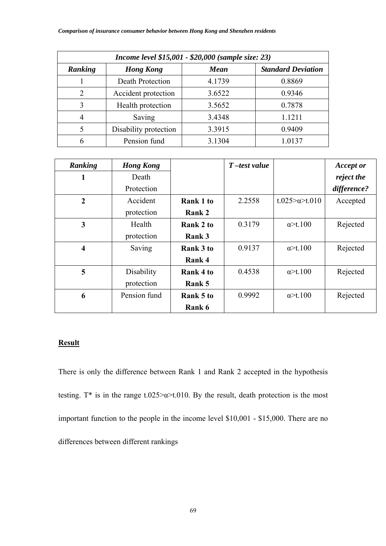| Income level \$15,001 - \$20,000 (sample size: 23) |                       |        |                           |  |  |
|----------------------------------------------------|-----------------------|--------|---------------------------|--|--|
| Ranking                                            | <b>Hong Kong</b>      | Mean   | <b>Standard Deviation</b> |  |  |
|                                                    | Death Protection      | 4.1739 | 0.8869                    |  |  |
| 2                                                  | Accident protection   | 3.6522 | 0.9346                    |  |  |
| 3                                                  | Health protection     | 3.5652 | 0.7878                    |  |  |
| 4                                                  | Saving                | 3.4348 | 1.1211                    |  |  |
| 5                                                  | Disability protection | 3.3915 | 0.9409                    |  |  |
| 6                                                  | Pension fund          | 3.1304 | 1.0137                    |  |  |

| Ranking                 | <b>Hong Kong</b> |                  | $T$ -test value |                        | <b>Accept or</b> |
|-------------------------|------------------|------------------|-----------------|------------------------|------------------|
| 1                       | Death            |                  |                 |                        | reject the       |
|                         | Protection       |                  |                 |                        | difference?      |
| $\overline{2}$          | Accident         | <b>Rank 1 to</b> | 2.2558          | t.025> $\alpha$ >t.010 | Accepted         |
|                         | protection       | Rank 2           |                 |                        |                  |
| 3                       | Health           | Rank 2 to        | 0.3179          | $\alpha$ >t.100        | Rejected         |
|                         | protection       | Rank 3           |                 |                        |                  |
| $\overline{\mathbf{4}}$ | Saving           | <b>Rank 3 to</b> | 0.9137          | $\alpha$ >t.100        | Rejected         |
|                         |                  | Rank 4           |                 |                        |                  |
| 5                       | Disability       | Rank 4 to        | 0.4538          | $\alpha$ >t.100        | Rejected         |
|                         | protection       | Rank 5           |                 |                        |                  |
| 6                       | Pension fund     | Rank 5 to        | 0.9992          | $\alpha$ >t.100        | Rejected         |
|                         |                  | Rank 6           |                 |                        |                  |

There is only the difference between Rank 1 and Rank 2 accepted in the hypothesis testing.  $T^*$  is in the range t.025> $\alpha$ >t.010. By the result, death protection is the most important function to the people in the income level \$10,001 - \$15,000. There are no differences between different rankings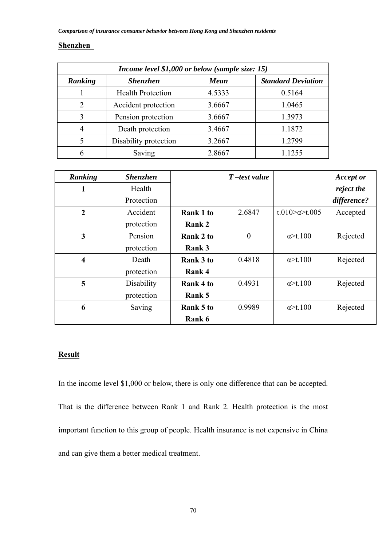### **Shenzhen**

| Income level \$1,000 or below (sample size: 15) |                          |             |                           |  |  |
|-------------------------------------------------|--------------------------|-------------|---------------------------|--|--|
| Ranking                                         | <b>Shenzhen</b>          | <b>Mean</b> | <b>Standard Deviation</b> |  |  |
|                                                 | <b>Health Protection</b> | 4.5333      | 0.5164                    |  |  |
| 2                                               | Accident protection      | 3.6667      | 1.0465                    |  |  |
| 3                                               | Pension protection       | 3.6667      | 1.3973                    |  |  |
| $\overline{4}$                                  | Death protection         | 3.4667      | 1.1872                    |  |  |
| 5                                               | Disability protection    | 3.2667      | 1.2799                    |  |  |
| 6                                               | Saving                   | 2.8667      | 1.1255                    |  |  |

| Ranking                 | <b>Shenzhen</b> |                  | $T$ -test value |                       | <b>Accept or</b> |
|-------------------------|-----------------|------------------|-----------------|-----------------------|------------------|
| 1                       | Health          |                  |                 |                       | reject the       |
|                         | Protection      |                  |                 |                       | difference?      |
| $\overline{2}$          | Accident        | <b>Rank 1 to</b> | 2.6847          | t.010 $\approx$ t.005 | Accepted         |
|                         | protection      | Rank 2           |                 |                       |                  |
| 3                       | Pension         | Rank 2 to        | $\theta$        | $\alpha$ >t.100       | Rejected         |
|                         | protection      | Rank 3           |                 |                       |                  |
| $\overline{\mathbf{4}}$ | Death           | Rank 3 to        | 0.4818          | $\alpha$ >t.100       | Rejected         |
|                         | protection      | Rank 4           |                 |                       |                  |
| 5                       | Disability      | Rank 4 to        | 0.4931          | $\alpha$ >t.100       | Rejected         |
|                         | protection      | Rank 5           |                 |                       |                  |
| 6                       | Saving          | Rank 5 to        | 0.9989          | $\alpha$ >t.100       | Rejected         |
|                         |                 | Rank 6           |                 |                       |                  |

# **Result**

In the income level \$1,000 or below, there is only one difference that can be accepted. That is the difference between Rank 1 and Rank 2. Health protection is the most important function to this group of people. Health insurance is not expensive in China and can give them a better medical treatment.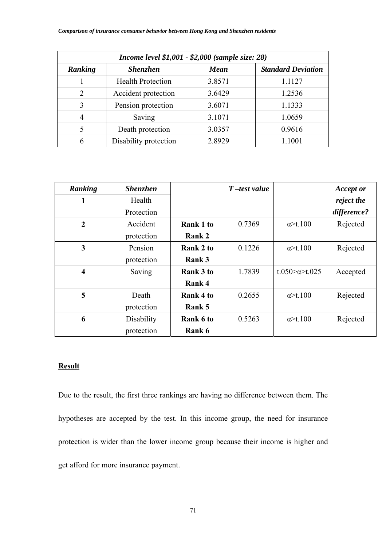| Income level \$1,001 - \$2,000 (sample size: 28) |                          |             |                           |  |  |
|--------------------------------------------------|--------------------------|-------------|---------------------------|--|--|
| Ranking                                          | <b>Shenzhen</b>          | <b>Mean</b> | <b>Standard Deviation</b> |  |  |
|                                                  | <b>Health Protection</b> | 3.8571      | 1.1127                    |  |  |
| $\overline{2}$                                   | Accident protection      | 3.6429      | 1.2536                    |  |  |
| 3                                                | Pension protection       | 3.6071      | 1.1333                    |  |  |
| 4                                                | Saving                   | 3.1071      | 1.0659                    |  |  |
| 5                                                | Death protection         | 3.0357      | 0.9616                    |  |  |
| 6                                                | Disability protection    | 2.8929      | 1.1001                    |  |  |

| Ranking                 | <b>Shenzhen</b> |                  | $T$ -test value |                       | <b>Accept or</b> |
|-------------------------|-----------------|------------------|-----------------|-----------------------|------------------|
| 1                       | Health          |                  |                 |                       | reject the       |
|                         | Protection      |                  |                 |                       | difference?      |
| $\boldsymbol{2}$        | Accident        | <b>Rank 1 to</b> | 0.7369          | $\alpha$ >t.100       | Rejected         |
|                         | protection      | Rank 2           |                 |                       |                  |
| 3                       | Pension         | Rank 2 to        | 0.1226          | $\alpha$ >t.100       | Rejected         |
|                         | protection      | Rank 3           |                 |                       |                  |
| $\overline{\mathbf{4}}$ | Saving          | <b>Rank 3 to</b> | 1.7839          | t.050 $\approx$ t.025 | Accepted         |
|                         |                 | Rank 4           |                 |                       |                  |
| 5                       | Death           | Rank 4 to        | 0.2655          | $\alpha$ >t.100       | Rejected         |
|                         | protection      | Rank 5           |                 |                       |                  |
| 6                       | Disability      | Rank 6 to        | 0.5263          | $\alpha$ >t.100       | Rejected         |
|                         | protection      | Rank 6           |                 |                       |                  |

Due to the result, the first three rankings are having no difference between them. The hypotheses are accepted by the test. In this income group, the need for insurance protection is wider than the lower income group because their income is higher and get afford for more insurance payment.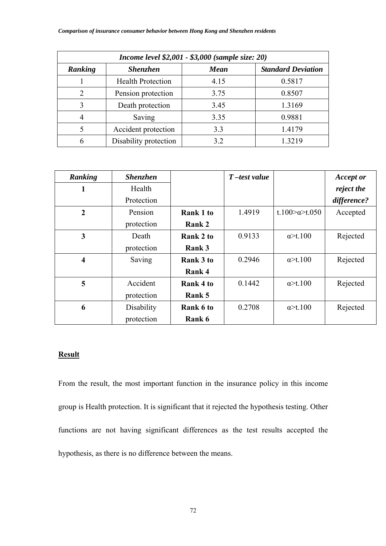| Income level \$2,001 - \$3,000 (sample size: 20) |                          |             |                           |  |  |
|--------------------------------------------------|--------------------------|-------------|---------------------------|--|--|
| Ranking                                          | <b>Shenzhen</b>          | <b>Mean</b> | <b>Standard Deviation</b> |  |  |
|                                                  | <b>Health Protection</b> | 4.15        | 0.5817                    |  |  |
| $\overline{2}$                                   | Pension protection       | 3.75        | 0.8507                    |  |  |
| 3                                                | Death protection         | 3.45        | 1.3169                    |  |  |
| $\overline{4}$                                   | Saving                   | 3.35        | 0.9881                    |  |  |
| 5                                                | Accident protection      | 3.3         | 1.4179                    |  |  |
| 6                                                | Disability protection    | 3.2         | 1.3219                    |  |  |

| Ranking                 | <b>Shenzhen</b> |                  | $T$ -test value |                                | <b>Accept or</b> |
|-------------------------|-----------------|------------------|-----------------|--------------------------------|------------------|
| 1                       | Health          |                  |                 |                                | reject the       |
|                         | Protection      |                  |                 |                                | difference?      |
| $\boldsymbol{2}$        | Pension         | <b>Rank 1 to</b> | 1.4919          | t.100 $\approx$ a $\geq$ t.050 | Accepted         |
|                         | protection      | <b>Rank 2</b>    |                 |                                |                  |
| 3                       | Death           | Rank 2 to        | 0.9133          | $\alpha$ >t.100                | Rejected         |
|                         | protection      | Rank 3           |                 |                                |                  |
| $\overline{\mathbf{4}}$ | Saving          | <b>Rank 3 to</b> | 0.2946          | $\alpha$ >t.100                | Rejected         |
|                         |                 | Rank 4           |                 |                                |                  |
| 5                       | Accident        | Rank 4 to        | 0.1442          | $\alpha$ >t.100                | Rejected         |
|                         | protection      | Rank 5           |                 |                                |                  |
| 6                       | Disability      | Rank 6 to        | 0.2708          | $\alpha$ >t.100                | Rejected         |
|                         | protection      | Rank 6           |                 |                                |                  |

From the result, the most important function in the insurance policy in this income group is Health protection. It is significant that it rejected the hypothesis testing. Other functions are not having significant differences as the test results accepted the hypothesis, as there is no difference between the means.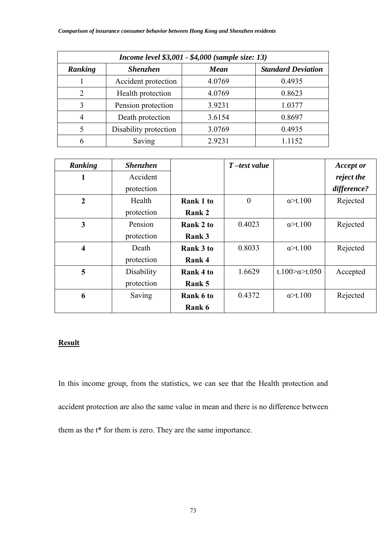| Income level \$3,001 - \$4,000 (sample size: 13) |                       |             |                           |  |  |  |
|--------------------------------------------------|-----------------------|-------------|---------------------------|--|--|--|
| Ranking                                          | <b>Shenzhen</b>       | <b>Mean</b> | <b>Standard Deviation</b> |  |  |  |
|                                                  | Accident protection   | 4.0769      | 0.4935                    |  |  |  |
| $\overline{2}$                                   | Health protection     | 4.0769      | 0.8623                    |  |  |  |
| 3                                                | Pension protection    | 3.9231      | 1.0377                    |  |  |  |
| 4                                                | Death protection      | 3.6154      | 0.8697                    |  |  |  |
| 5                                                | Disability protection | 3.0769      | 0.4935                    |  |  |  |
| 6                                                | Saving                | 2.9231      | 1.1152                    |  |  |  |

| Ranking                 | <b>Shenzhen</b> |                  | $T$ -test value |                                | <b>Accept or</b> |
|-------------------------|-----------------|------------------|-----------------|--------------------------------|------------------|
| 1                       | Accident        |                  |                 |                                | reject the       |
|                         | protection      |                  |                 |                                | difference?      |
| $\overline{2}$          | Health          | <b>Rank 1 to</b> | $\overline{0}$  | $\alpha$ >t.100                | Rejected         |
|                         | protection      | Rank 2           |                 |                                |                  |
| 3                       | Pension         | Rank 2 to        | 0.4023          | $\alpha$ >t.100                | Rejected         |
|                         | protection      | Rank 3           |                 |                                |                  |
| $\overline{\mathbf{4}}$ | Death           | <b>Rank 3 to</b> | 0.8033          | $\alpha$ >t.100                | Rejected         |
|                         | protection      | Rank 4           |                 |                                |                  |
| 5                       | Disability      | Rank 4 to        | 1.6629          | t.100 $\approx$ a $\geq$ t.050 | Accepted         |
|                         | protection      | Rank 5           |                 |                                |                  |
| 6                       | Saving          | Rank 6 to        | 0.4372          | $\alpha$ >t.100                | Rejected         |
|                         |                 | Rank 6           |                 |                                |                  |

In this income group, from the statistics, we can see that the Health protection and accident protection are also the same value in mean and there is no difference between them as the t\* for them is zero. They are the same importance.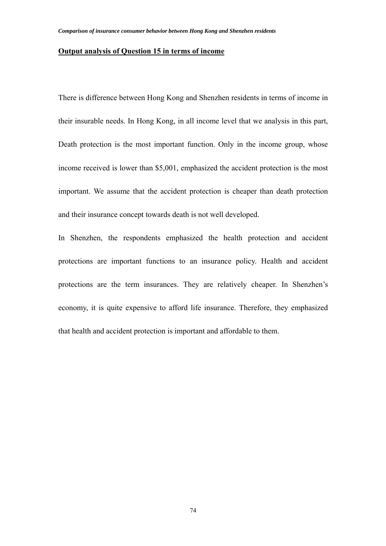#### **Output analysis of Question 15 in terms of income**

There is difference between Hong Kong and Shenzhen residents in terms of income in their insurable needs. In Hong Kong, in all income level that we analysis in this part, Death protection is the most important function. Only in the income group, whose income received is lower than \$5,001, emphasized the accident protection is the most important. We assume that the accident protection is cheaper than death protection and their insurance concept towards death is not well developed.

In Shenzhen, the respondents emphasized the health protection and accident protections are important functions to an insurance policy. Health and accident protections are the term insurances. They are relatively cheaper. In Shenzhen's economy, it is quite expensive to afford life insurance. Therefore, they emphasized that health and accident protection is important and affordable to them.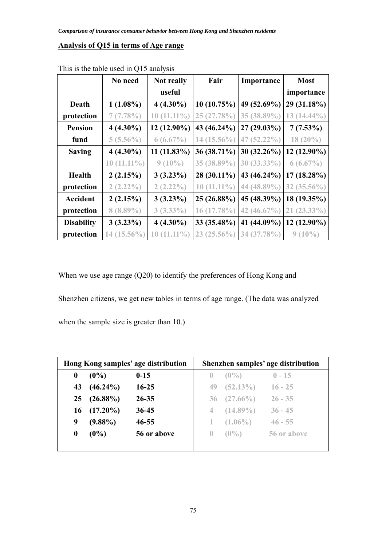### **Analysis of Q15 in terms of Age range**

|                   | No need       | <b>Not really</b> | Fair          | Importance     | <b>Most</b>   |
|-------------------|---------------|-------------------|---------------|----------------|---------------|
|                   |               | useful            |               |                | importance    |
| Death             | $1(1.08\%)$   | $4(4.30\%)$       | 10(10.75%)    | 49 (52.69%)    | 29 (31.18%)   |
| protection        | 7(7.78%)      | $10(11.11\%)$     | 25 (27.78%)   | 35 (38.89%)    | $13(14.44\%)$ |
| <b>Pension</b>    | $4(4.30\%)$   | 12 (12.90%)       | 43 (46.24%)   | 27 (29.03%)    | $7(7.53\%)$   |
| fund              | $5(5.56\%)$   | $6(6.67\%)$       | $14(15.56\%)$ | $47(52.22\%)$  | $18(20\%)$    |
| <b>Saving</b>     | $4(4.30\%)$   | $11(11.83\%)$     | 36 (38.71%)   | $30(32.26\%)$  | $12(12.90\%)$ |
|                   | $10(11.11\%)$ | $9(10\%)$         | 35 (38.89%)   | $30(33.33\%)$  | $6(6.67\%)$   |
| <b>Health</b>     | 2(2.15%)      | $3(3.23\%)$       | 28 (30.11%)   | 43 (46.24%)    | $17(18.28\%)$ |
| protection        | $2(2.22\%)$   | $2(2.22\%)$       | $10(11.11\%)$ | 44 (48.89%)    | $32(35.56\%)$ |
| <b>Accident</b>   | 2(2.15%)      | $3(3.23\%)$       | 25 (26.88%)   | 45 (48.39%)    | $18(19.35\%)$ |
| protection        | $8(8.89\%)$   | $3(3.33\%)$       | 16 (17.78%)   | 42 $(46.67\%)$ | $21(23.33\%)$ |
| <b>Disability</b> | $3(3.23\%)$   | $4(4.30\%)$       | 33 (35.48%)   | 41 (44.09%)    | $12(12.90\%)$ |
| protection        | 14 (15.56%)   | $(11.11\%)$<br>10 | $23(25.56\%)$ | 34 (37.78%)    | $9(10\%)$     |

This is the table used in Q15 analysis

When we use age range (Q20) to identify the preferences of Hong Kong and

Shenzhen citizens, we get new tables in terms of age range. (The data was analyzed

when the sample size is greater than 10.)

|                  | Hong Kong samples' age distribution |             |                  | Shenzhen samples' age distribution |             |  |
|------------------|-------------------------------------|-------------|------------------|------------------------------------|-------------|--|
| $\boldsymbol{0}$ | $(0\%)$                             | $0 - 15$    | $\bf{0}$         | $(0\%)$                            | $0 - 15$    |  |
| 43               | $(46.24\%)$                         | $16 - 25$   | 49               | $(52.13\%)$                        | $16 - 25$   |  |
| 25 <sub>1</sub>  | $(26.88\%)$                         | $26 - 35$   |                  | $36 (27.66\%)$                     | $26 - 35$   |  |
| 16               | $(17.20\%)$                         | $36 - 45$   | 4                | $(14.89\%)$                        | $36 - 45$   |  |
| 9                | $(9.88\%)$                          | $46 - 55$   |                  | $(1.06\%)$                         | $46 - 55$   |  |
| $\bf{0}$         | $(0\%)$                             | 56 or above | $\left( \right)$ | $(0\%)$                            | 56 or above |  |
|                  |                                     |             |                  |                                    |             |  |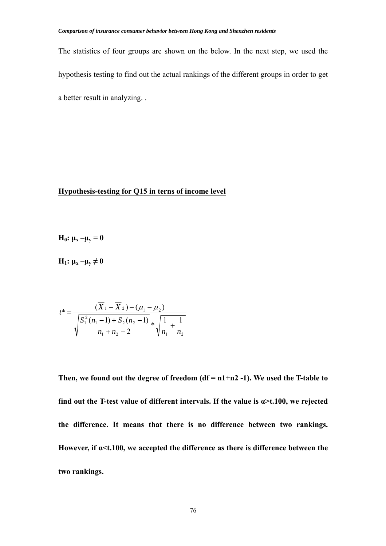The statistics of four groups are shown on the below. In the next step, we used the hypothesis testing to find out the actual rankings of the different groups in order to get a better result in analyzing. .

### **Hypothesis-testing for Q15 in terns of income level**

$$
H_0: \mu_x - \mu_y = 0
$$

**H**<sub>1</sub>:  $\mu_x - \mu_y \neq 0$ 

$$
t^* = \frac{(X_1 - X_2) - (\mu_1 - \mu_2)}{\sqrt{\frac{S_1^2(n_1 - 1) + S_2(n_2 - 1)}{n_1 + n_2 - 2}} * \sqrt{\frac{1}{n_1} + \frac{1}{n_2}}}
$$

**Then, we found out the degree of freedom (df = n1+n2 -1). We used the T-table to find out the T-test value of different intervals. If the value is α>t.100, we rejected the difference. It means that there is no difference between two rankings. However, if α<t.100, we accepted the difference as there is difference between the two rankings.**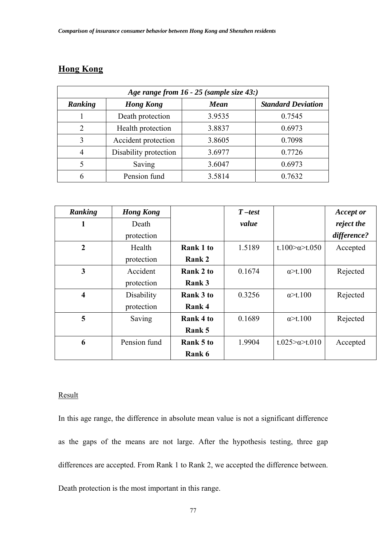## **Hong Kong**

| Age range from 16 - 25 (sample size 43:) |                       |             |                           |  |  |  |
|------------------------------------------|-----------------------|-------------|---------------------------|--|--|--|
| Ranking                                  | <b>Hong Kong</b>      | <b>Mean</b> | <b>Standard Deviation</b> |  |  |  |
|                                          | Death protection      | 3.9535      | 0.7545                    |  |  |  |
| $\mathfrak{D}_{\mathfrak{p}}$            | Health protection     | 3.8837      | 0.6973                    |  |  |  |
| 3                                        | Accident protection   | 3.8605      | 0.7098                    |  |  |  |
| 4                                        | Disability protection | 3.6977      | 0.7726                    |  |  |  |
| 5                                        | Saving                | 3.6047      | 0.6973                    |  |  |  |
| 6                                        | Pension fund          | 3.5814      | 0.7632                    |  |  |  |

| Ranking                 | <b>Hong Kong</b> |                  | $T-test$ |                                | <b>Accept or</b> |
|-------------------------|------------------|------------------|----------|--------------------------------|------------------|
| 1                       | Death            |                  | value    |                                | reject the       |
|                         | protection       |                  |          |                                | difference?      |
| $\overline{2}$          | Health           | <b>Rank 1 to</b> | 1.5189   | t.100 $\approx$ a $\geq$ t.050 | Accepted         |
|                         | protection       | Rank 2           |          |                                |                  |
| 3                       | Accident         | Rank 2 to        | 0.1674   | $\alpha$ >t.100                | Rejected         |
|                         | protection       | Rank 3           |          |                                |                  |
| $\overline{\mathbf{4}}$ | Disability       | Rank 3 to        | 0.3256   | $\alpha$ >t.100                | Rejected         |
|                         | protection       | Rank 4           |          |                                |                  |
| 5                       | Saving           | Rank 4 to        | 0.1689   | $\alpha$ >t.100                | Rejected         |
|                         |                  | Rank 5           |          |                                |                  |
| 6                       | Pension fund     | Rank 5 to        | 1.9904   | t.025> $\alpha$ >t.010         | Accepted         |
|                         |                  | Rank 6           |          |                                |                  |

### **Result**

In this age range, the difference in absolute mean value is not a significant difference as the gaps of the means are not large. After the hypothesis testing, three gap differences are accepted. From Rank 1 to Rank 2, we accepted the difference between. Death protection is the most important in this range.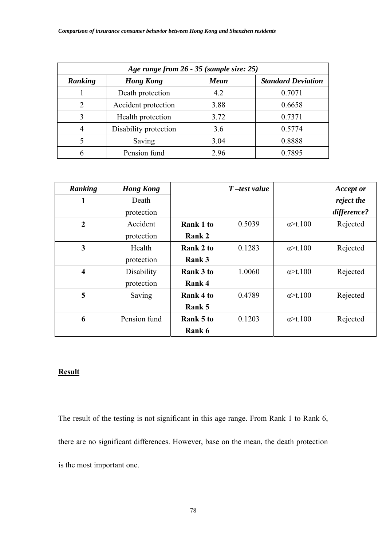| Age range from 26 - 35 (sample size: 25) |                       |             |                           |  |  |  |
|------------------------------------------|-----------------------|-------------|---------------------------|--|--|--|
| Ranking                                  | <b>Hong Kong</b>      | <b>Mean</b> | <b>Standard Deviation</b> |  |  |  |
|                                          | Death protection      | 4.2         | 0.7071                    |  |  |  |
| 2                                        | Accident protection   | 3.88        | 0.6658                    |  |  |  |
| 3                                        | Health protection     | 3.72        | 0.7371                    |  |  |  |
| $\overline{4}$                           | Disability protection | 3.6         | 0.5774                    |  |  |  |
| 5                                        | Saving                | 3.04        | 0.8888                    |  |  |  |
| 6                                        | Pension fund          | 2.96        | 0.7895                    |  |  |  |

| Ranking                 | <b>Hong Kong</b> |           | $T$ -test value |                  | <b>Accept or</b> |
|-------------------------|------------------|-----------|-----------------|------------------|------------------|
| 1                       | Death            |           |                 |                  | reject the       |
|                         | protection       |           |                 |                  | difference?      |
| $\overline{2}$          | Accident         | Rank 1 to | 0.5039          | $\alpha > t.100$ | Rejected         |
|                         | protection       | Rank 2    |                 |                  |                  |
| 3                       | Health           | Rank 2 to | 0.1283          | $\alpha$ >t.100  | Rejected         |
|                         | protection       | Rank 3    |                 |                  |                  |
| $\overline{\mathbf{4}}$ | Disability       | Rank 3 to | 1.0060          | $\alpha$ >t.100  | Rejected         |
|                         | protection       | Rank 4    |                 |                  |                  |
| 5                       | Saving           | Rank 4 to | 0.4789          | $\alpha$ >t.100  | Rejected         |
|                         |                  | Rank 5    |                 |                  |                  |
| 6                       | Pension fund     | Rank 5 to | 0.1203          | $\alpha$ >t.100  | Rejected         |
|                         |                  | Rank 6    |                 |                  |                  |

The result of the testing is not significant in this age range. From Rank 1 to Rank 6, there are no significant differences. However, base on the mean, the death protection is the most important one.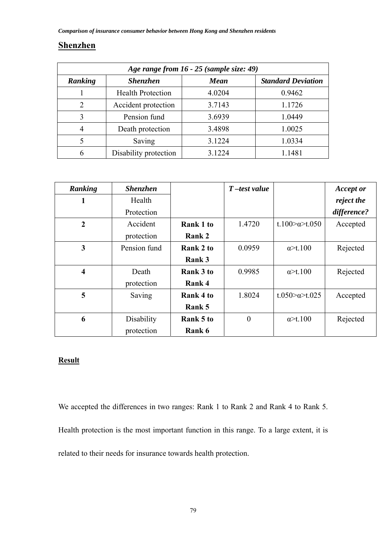## **Shenzhen**

| Age range from 16 - 25 (sample size: 49) |                          |        |                           |  |  |
|------------------------------------------|--------------------------|--------|---------------------------|--|--|
| Ranking                                  | <b>Shenzhen</b>          | Mean   | <b>Standard Deviation</b> |  |  |
|                                          | <b>Health Protection</b> | 4.0204 | 0.9462                    |  |  |
| 2                                        | Accident protection      | 3.7143 | 1.1726                    |  |  |
| 3                                        | Pension fund             | 3.6939 | 1.0449                    |  |  |
| $\overline{4}$                           | Death protection         | 3.4898 | 1.0025                    |  |  |
| 5                                        | Saving                   | 3.1224 | 1.0334                    |  |  |
| 6                                        | Disability protection    | 3 1224 | 1.1481                    |  |  |

| Ranking                 | <b>Shenzhen</b> |                  | $T$ -test value |                                | <b>Accept or</b> |
|-------------------------|-----------------|------------------|-----------------|--------------------------------|------------------|
| 1                       | Health          |                  |                 |                                | reject the       |
|                         | Protection      |                  |                 |                                | difference?      |
| $\overline{2}$          | Accident        | Rank 1 to        | 1.4720          | t.100 $\approx$ a $\geq$ t.050 | Accepted         |
|                         | protection      | Rank 2           |                 |                                |                  |
| 3                       | Pension fund    | Rank 2 to        | 0.0959          | $\alpha$ >t.100                | Rejected         |
|                         |                 | Rank 3           |                 |                                |                  |
| $\overline{\mathbf{4}}$ | Death           | <b>Rank 3 to</b> | 0.9985          | $\alpha$ >t.100                | Rejected         |
|                         | protection      | Rank 4           |                 |                                |                  |
| 5                       | Saving          | Rank 4 to        | 1.8024          | t.050 $\approx$ t.025          | Accepted         |
|                         |                 | Rank 5           |                 |                                |                  |
| 6                       | Disability      | Rank 5 to        | $\overline{0}$  | $\alpha$ >t.100                | Rejected         |
|                         | protection      | Rank 6           |                 |                                |                  |

## **Result**

We accepted the differences in two ranges: Rank 1 to Rank 2 and Rank 4 to Rank 5. Health protection is the most important function in this range. To a large extent, it is related to their needs for insurance towards health protection.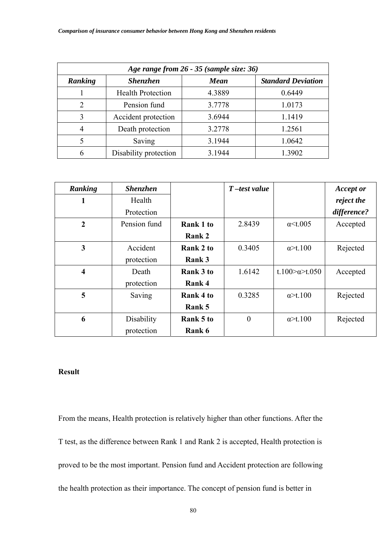| Age range from 26 - 35 (sample size: 36) |                          |             |                           |  |  |  |
|------------------------------------------|--------------------------|-------------|---------------------------|--|--|--|
| Ranking                                  | <b>Shenzhen</b>          | <b>Mean</b> | <b>Standard Deviation</b> |  |  |  |
|                                          | <b>Health Protection</b> | 4.3889      | 0.6449                    |  |  |  |
| $\overline{2}$                           | Pension fund             | 3.7778      | 1.0173                    |  |  |  |
| 3                                        | Accident protection      | 3.6944      | 1.1419                    |  |  |  |
| 4                                        | Death protection         | 3.2778      | 1.2561                    |  |  |  |
| 5                                        | Saving                   | 3.1944      | 1.0642                    |  |  |  |
| 6                                        | Disability protection    | 3.1944      | 1.3902                    |  |  |  |

| Ranking                 | <b>Shenzhen</b> |                  | $T$ -test value |                                | <b>Accept or</b> |
|-------------------------|-----------------|------------------|-----------------|--------------------------------|------------------|
| 1                       | Health          |                  |                 |                                | reject the       |
|                         | Protection      |                  |                 |                                | difference?      |
| $\overline{2}$          | Pension fund    | Rank 1 to        | 2.8439          | $\alpha$ < t.005               | Accepted         |
|                         |                 | Rank 2           |                 |                                |                  |
| 3                       | Accident        | Rank 2 to        | 0.3405          | $\alpha$ >t.100                | Rejected         |
|                         | protection      | Rank 3           |                 |                                |                  |
| $\overline{\mathbf{4}}$ | Death           | <b>Rank 3 to</b> | 1.6142          | t.100 $\approx$ a $\geq$ t.050 | Accepted         |
|                         | protection      | Rank 4           |                 |                                |                  |
| 5                       | Saving          | Rank 4 to        | 0.3285          | $\alpha$ >t.100                | Rejected         |
|                         |                 | Rank 5           |                 |                                |                  |
| 6                       | Disability      | Rank 5 to        | $\overline{0}$  | $\alpha$ >t.100                | Rejected         |
|                         | protection      | Rank 6           |                 |                                |                  |

From the means, Health protection is relatively higher than other functions. After the T test, as the difference between Rank 1 and Rank 2 is accepted, Health protection is proved to be the most important. Pension fund and Accident protection are following the health protection as their importance. The concept of pension fund is better in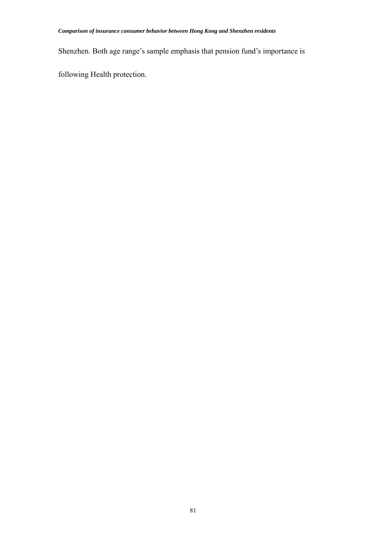Shenzhen. Both age range's sample emphasis that pension fund's importance is

following Health protection.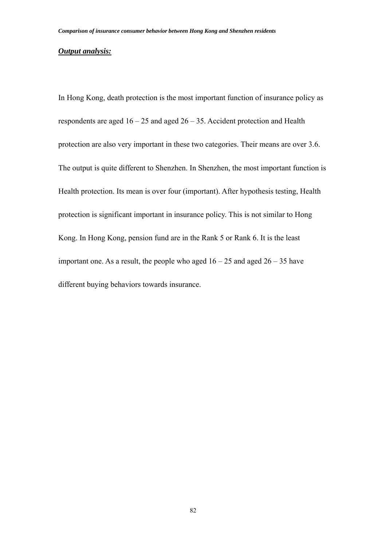#### *Output analysis:*

In Hong Kong, death protection is the most important function of insurance policy as respondents are aged  $16 - 25$  and aged  $26 - 35$ . Accident protection and Health protection are also very important in these two categories. Their means are over 3.6. The output is quite different to Shenzhen. In Shenzhen, the most important function is Health protection. Its mean is over four (important). After hypothesis testing, Health protection is significant important in insurance policy. This is not similar to Hong Kong. In Hong Kong, pension fund are in the Rank 5 or Rank 6. It is the least important one. As a result, the people who aged  $16 - 25$  and aged  $26 - 35$  have different buying behaviors towards insurance.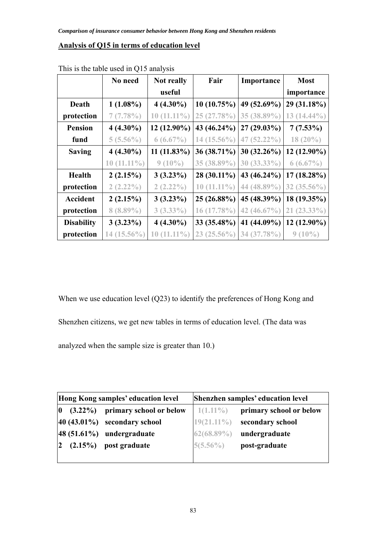### **Analysis of Q15 in terms of education level**

|                   | No need       | <b>Not really</b> | Fair          | Importance     | <b>Most</b>    |
|-------------------|---------------|-------------------|---------------|----------------|----------------|
|                   |               | useful            |               |                | importance     |
| Death             | $1(1.08\%)$   | $4(4.30\%)$       | 10(10.75%)    | 49 (52.69%)    | 29 (31.18%)    |
| protection        | 7(7.78%)      | $10(11.11\%)$     | 25 (27.78%)   | 35 (38.89%)    | $13(14.44\%)$  |
| <b>Pension</b>    | $4(4.30\%)$   | 12 (12.90%)       | 43 (46.24%)   | $27(29.03\%)$  | $7(7.53\%)$    |
| fund              | $5(5.56\%)$   | $6(6.67\%)$       | $14(15.56\%)$ | $47(52.22\%)$  | $18(20\%)$     |
| <b>Saving</b>     | $4(4.30\%)$   | $11(11.83\%)$     | 36 (38.71%)   | $30(32.26\%)$  | 12 (12.90%)    |
|                   | $10(11.11\%)$ | $9(10\%)$         | 35 (38.89%)   | $30(33.33\%)$  | $6(6.67\%)$    |
| <b>Health</b>     | 2(2.15%)      | $3(3.23\%)$       | 28 (30.11%)   | 43 (46.24%)    | $17(18.28\%)$  |
| protection        | $2(2.22\%)$   | $2(2.22\%)$       | $10(11.11\%)$ | 44 (48.89%)    | 32 $(35.56\%)$ |
| <b>Accident</b>   | 2(2.15%)      | $3(3.23\%)$       | 25 (26.88%)   | 45 (48.39%)    | 18 (19.35%)    |
| protection        | $8(8.89\%)$   | $3(3.33\%)$       | 16 (17.78%)   | 42 $(46.67\%)$ | $21(23.33\%)$  |
| <b>Disability</b> | $3(3.23\%)$   | $4(4.30\%)$       | 33 (35.48%)   | 41 (44.09%)    | $12(12.90\%)$  |
| protection        | $14(15.56\%)$ | $10(11.11\%)$     | $23(25.56\%)$ | 34 (37.78%)    | $9(10\%)$      |

This is the table used in Q15 analysis

When we use education level (Q23) to identify the preferences of Hong Kong and Shenzhen citizens, we get new tables in terms of education level. (The data was analyzed when the sample size is greater than 10.)

| Hong Kong samples' education level |                                                   | Shenzhen samples' education level |                         |  |
|------------------------------------|---------------------------------------------------|-----------------------------------|-------------------------|--|
|                                    | $\vert 0 \rangle$ (3.22%) primary school or below | $1(1.11\%)$                       | primary school or below |  |
|                                    | $ 40 (43.01\%)$ secondary school                  | $19(21.11\%)$                     | secondary school        |  |
|                                    | $ 48(51.61%)$ undergraduate                       | $62(68.89\%)$                     | undergraduate           |  |
| $\overline{2}$                     | $(2.15\%)$ post graduate                          | $5(5.56\%)$                       | post-graduate           |  |
|                                    |                                                   |                                   |                         |  |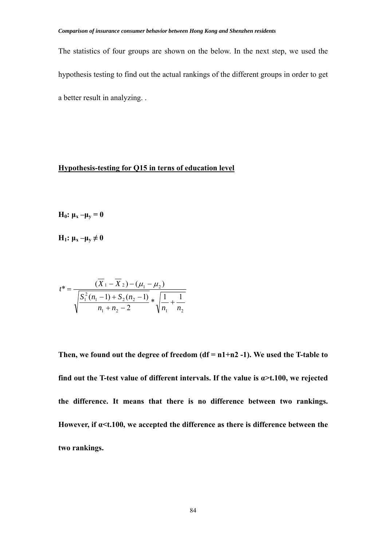The statistics of four groups are shown on the below. In the next step, we used the hypothesis testing to find out the actual rankings of the different groups in order to get a better result in analyzing. .

### **Hypothesis-testing for Q15 in terns of education level**

**H**<sub>0</sub>:  $\mu$ <sub>x</sub> – $\mu$ <sub>y</sub> = 0

**H**<sub>1</sub>:  $\mu_x - \mu_y \neq 0$ 

$$
t^* = \frac{(X_1 - X_2) - (\mu_1 - \mu_2)}{\sqrt{\frac{S_1^2(n_1 - 1) + S_2(n_2 - 1)}{n_1 + n_2 - 2}} * \sqrt{\frac{1}{n_1} + \frac{1}{n_2}}}
$$

**Then, we found out the degree of freedom (df = n1+n2 -1). We used the T-table to find out the T-test value of different intervals. If the value is**  $\alpha$  **>t.100, we rejected the difference. It means that there is no difference between two rankings. However, if α<t.100, we accepted the difference as there is difference between the two rankings.**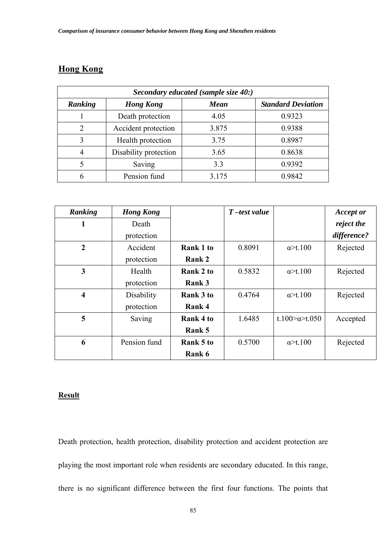# **Hong Kong**

| Secondary educated (sample size 40:) |                       |             |                           |  |  |  |
|--------------------------------------|-----------------------|-------------|---------------------------|--|--|--|
| Ranking                              | <b>Hong Kong</b>      | <b>Mean</b> | <b>Standard Deviation</b> |  |  |  |
|                                      | Death protection      | 4.05        | 0.9323                    |  |  |  |
| $\mathcal{D}$                        | Accident protection   | 3.875       | 0.9388                    |  |  |  |
| 3                                    | Health protection     | 3.75        | 0.8987                    |  |  |  |
| 4                                    | Disability protection | 3.65        | 0.8638                    |  |  |  |
| 5                                    | Saving                | 3.3         | 0.9392                    |  |  |  |
| 6                                    | Pension fund          | 3.175       | 0.9842                    |  |  |  |

| Ranking                 | <b>Hong Kong</b> |                  | $T$ -test value |                                | <b>Accept or</b> |
|-------------------------|------------------|------------------|-----------------|--------------------------------|------------------|
| 1                       | Death            |                  |                 |                                | reject the       |
|                         | protection       |                  |                 |                                | difference?      |
| $\overline{2}$          | Accident         | Rank 1 to        | 0.8091          | $\alpha$ >t.100                | Rejected         |
|                         | protection       | Rank 2           |                 |                                |                  |
| 3                       | Health           | Rank 2 to        | 0.5832          | $\alpha$ >t.100                | Rejected         |
|                         | protection       | Rank 3           |                 |                                |                  |
| $\overline{\mathbf{4}}$ | Disability       | <b>Rank 3 to</b> | 0.4764          | $\alpha$ >t.100                | Rejected         |
|                         | protection       | Rank 4           |                 |                                |                  |
| 5                       | Saving           | Rank 4 to        | 1.6485          | t.100 $\approx$ a $\geq$ t.050 | Accepted         |
|                         |                  | Rank 5           |                 |                                |                  |
| 6                       | Pension fund     | Rank 5 to        | 0.5700          | $\alpha$ >t.100                | Rejected         |
|                         |                  | Rank 6           |                 |                                |                  |

### **Result**

Death protection, health protection, disability protection and accident protection are playing the most important role when residents are secondary educated. In this range, there is no significant difference between the first four functions. The points that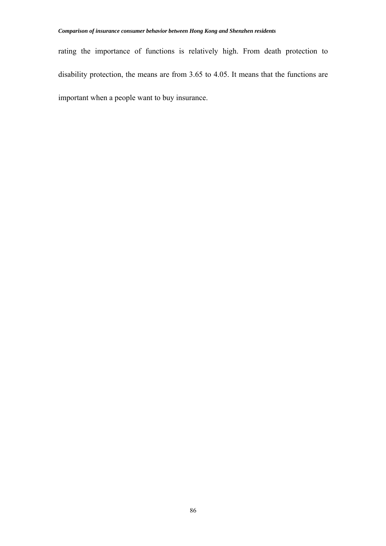rating the importance of functions is relatively high. From death protection to disability protection, the means are from 3.65 to 4.05. It means that the functions are important when a people want to buy insurance.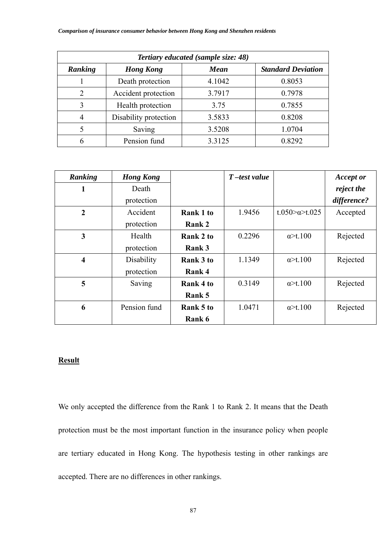| <b>Tertiary educated (sample size: 48)</b>                              |                       |        |        |  |  |
|-------------------------------------------------------------------------|-----------------------|--------|--------|--|--|
| <b>Standard Deviation</b><br>Ranking<br><b>Mean</b><br><b>Hong Kong</b> |                       |        |        |  |  |
|                                                                         | Death protection      | 4.1042 | 0.8053 |  |  |
| $\overline{2}$                                                          | Accident protection   | 3.7917 | 0.7978 |  |  |
| 3                                                                       | Health protection     | 3.75   | 0.7855 |  |  |
| $\overline{4}$                                                          | Disability protection | 3.5833 | 0.8208 |  |  |
| 5                                                                       | Saving                | 3.5208 | 1.0704 |  |  |
| 6                                                                       | Pension fund          | 3.3125 | 0.8292 |  |  |

| Ranking                 | <b>Hong Kong</b> |               | $T$ -test value |                       | <b>Accept or</b> |
|-------------------------|------------------|---------------|-----------------|-----------------------|------------------|
| 1                       | Death            |               |                 |                       | reject the       |
|                         | protection       |               |                 |                       | difference?      |
| $\boldsymbol{2}$        | Accident         | Rank 1 to     | 1.9456          | t.050 $\approx$ t.025 | Accepted         |
|                         | protection       | <b>Rank 2</b> |                 |                       |                  |
| 3                       | Health           | Rank 2 to     | 0.2296          | $\alpha$ >t.100       | Rejected         |
|                         | protection       | Rank 3        |                 |                       |                  |
| $\overline{\mathbf{4}}$ | Disability       | Rank 3 to     | 1.1349          | $\alpha$ >t.100       | Rejected         |
|                         | protection       | Rank 4        |                 |                       |                  |
| 5                       | Saving           | Rank 4 to     | 0.3149          | $\alpha$ >t.100       | Rejected         |
|                         |                  | Rank 5        |                 |                       |                  |
| 6                       | Pension fund     | Rank 5 to     | 1.0471          | $\alpha$ >t.100       | Rejected         |
|                         |                  | Rank 6        |                 |                       |                  |

We only accepted the difference from the Rank 1 to Rank 2. It means that the Death protection must be the most important function in the insurance policy when people are tertiary educated in Hong Kong. The hypothesis testing in other rankings are accepted. There are no differences in other rankings.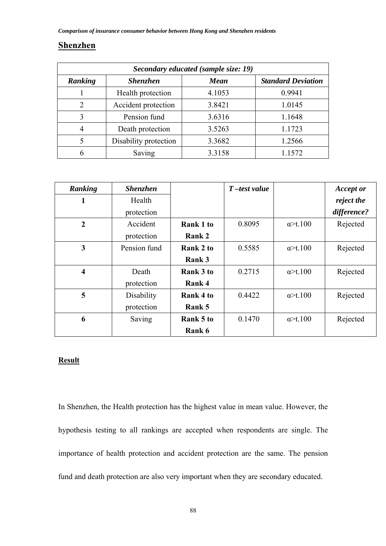## **Shenzhen**

| Secondary educated (sample size: 19) |                       |             |                           |  |  |
|--------------------------------------|-----------------------|-------------|---------------------------|--|--|
| Ranking                              | <b>Shenzhen</b>       | <b>Mean</b> | <b>Standard Deviation</b> |  |  |
|                                      | Health protection     | 4.1053      | 0.9941                    |  |  |
| 2                                    | Accident protection   | 3.8421      | 1.0145                    |  |  |
| 3                                    | Pension fund          | 3.6316      | 1.1648                    |  |  |
| 4                                    | Death protection      | 3.5263      | 1.1723                    |  |  |
| 5                                    | Disability protection | 3.3682      | 1.2566                    |  |  |
| 6                                    | Saving                | 3.3158      | 1.1572                    |  |  |

| Ranking                 | <b>Shenzhen</b> |           | $T$ -test value |                 | <b>Accept or</b> |
|-------------------------|-----------------|-----------|-----------------|-----------------|------------------|
| 1                       | Health          |           |                 |                 | reject the       |
|                         | protection      |           |                 |                 | difference?      |
| $\overline{2}$          | Accident        | Rank 1 to | 0.8095          | $\alpha$ >t.100 | Rejected         |
|                         | protection      | Rank 2    |                 |                 |                  |
| 3                       | Pension fund    | Rank 2 to | 0.5585          | $\alpha$ >t.100 | Rejected         |
|                         |                 | Rank 3    |                 |                 |                  |
| $\overline{\mathbf{4}}$ | Death           | Rank 3 to | 0.2715          | $\alpha$ >t.100 | Rejected         |
|                         | protection      | Rank 4    |                 |                 |                  |
| 5                       | Disability      | Rank 4 to | 0.4422          | $\alpha$ >t.100 | Rejected         |
|                         | protection      | Rank 5    |                 |                 |                  |
| 6                       | Saving          | Rank 5 to | 0.1470          | $\alpha$ >t.100 | Rejected         |
|                         |                 | Rank 6    |                 |                 |                  |

## **Result**

In Shenzhen, the Health protection has the highest value in mean value. However, the hypothesis testing to all rankings are accepted when respondents are single. The importance of health protection and accident protection are the same. The pension fund and death protection are also very important when they are secondary educated.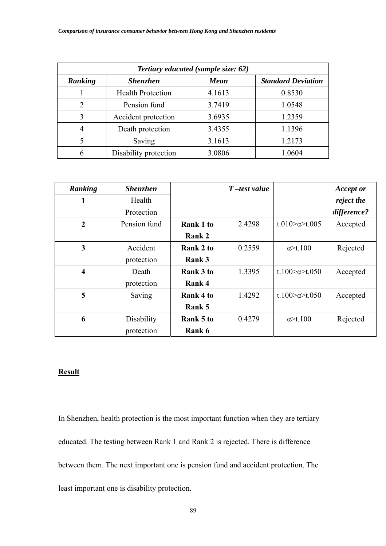| Tertiary educated (sample size: 62)                                    |                          |        |        |  |  |  |
|------------------------------------------------------------------------|--------------------------|--------|--------|--|--|--|
| Ranking<br><b>Standard Deviation</b><br><b>Shenzhen</b><br><b>Mean</b> |                          |        |        |  |  |  |
|                                                                        | <b>Health Protection</b> | 4.1613 | 0.8530 |  |  |  |
| $\overline{2}$                                                         | Pension fund             | 3.7419 | 1.0548 |  |  |  |
| 3                                                                      | Accident protection      | 3.6935 | 1.2359 |  |  |  |
| $\overline{4}$                                                         | Death protection         | 3.4355 | 1.1396 |  |  |  |
| 5                                                                      | Saving                   | 3.1613 | 1.2173 |  |  |  |
| 6                                                                      | Disability protection    | 3.0806 | 1.0604 |  |  |  |

| Ranking                 | <b>Shenzhen</b> |                  | $T$ -test value |                                | <b>Accept or</b> |
|-------------------------|-----------------|------------------|-----------------|--------------------------------|------------------|
| 1                       | Health          |                  |                 |                                | reject the       |
|                         | Protection      |                  |                 |                                | difference?      |
| $\overline{2}$          | Pension fund    | Rank 1 to        | 2.4298          | t.010 $\approx$ t.005          | Accepted         |
|                         |                 | Rank 2           |                 |                                |                  |
| 3                       | Accident        | Rank 2 to        | 0.2559          | $\alpha$ >t.100                | Rejected         |
|                         | protection      | Rank 3           |                 |                                |                  |
| $\overline{\mathbf{4}}$ | Death           | <b>Rank 3 to</b> | 1.3395          | t.100 $\approx$ a $\geq$ t.050 | Accepted         |
|                         | protection      | Rank 4           |                 |                                |                  |
| 5                       | Saving          | Rank 4 to        | 1.4292          | t.100 $\approx$ a $\geq$ t.050 | Accepted         |
|                         |                 | Rank 5           |                 |                                |                  |
| 6                       | Disability      | Rank 5 to        | 0.4279          | $\alpha$ >t.100                | Rejected         |
|                         | protection      | Rank 6           |                 |                                |                  |

In Shenzhen, health protection is the most important function when they are tertiary educated. The testing between Rank 1 and Rank 2 is rejected. There is difference between them. The next important one is pension fund and accident protection. The least important one is disability protection.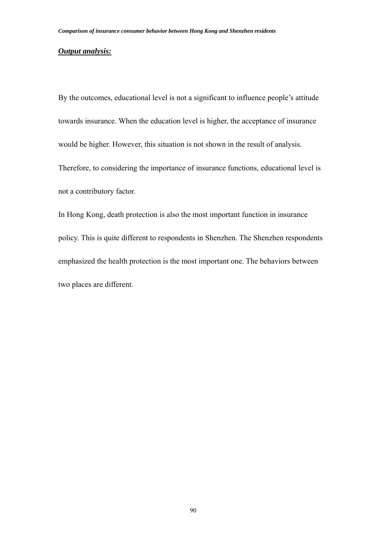#### *Output analysis:*

By the outcomes, educational level is not a significant to influence people's attitude towards insurance. When the education level is higher, the acceptance of insurance would be higher. However, this situation is not shown in the result of analysis. Therefore, to considering the importance of insurance functions, educational level is not a contributory factor.

In Hong Kong, death protection is also the most important function in insurance policy. This is quite different to respondents in Shenzhen. The Shenzhen respondents emphasized the health protection is the most important one. The behaviors between two places are different.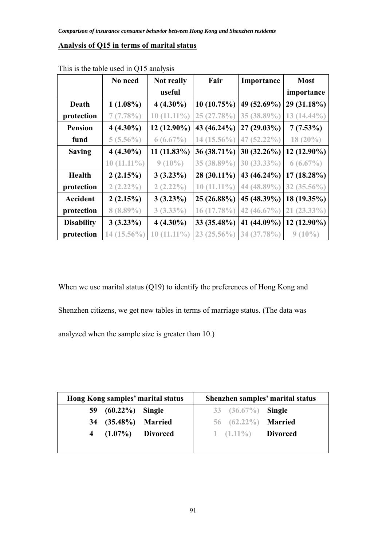### **Analysis of Q15 in terms of marital status**

|                   | No need           | Not really        | Fair          | Importance     | <b>Most</b>   |
|-------------------|-------------------|-------------------|---------------|----------------|---------------|
|                   |                   | useful            |               |                | importance    |
| Death             | $1(1.08\%)$       | $4(4.30\%)$       | 10(10.75%)    | 49 (52.69%)    | 29 (31.18%)   |
| protection        | 7(7.78%)          | $10(11.11\%)$     | 25 (27.78%)   | 35 (38.89%)    | $13(14.44\%)$ |
| <b>Pension</b>    | $4(4.30\%)$       | 12 (12.90%)       | 43 (46.24%)   | $27(29.03\%)$  | $7(7.53\%)$   |
| fund              | $5(5.56\%)$       | $6(6.67\%)$       | 14 (15.56%)   | $47(52.22\%)$  | $18(20\%)$    |
| <b>Saving</b>     | $4(4.30\%)$       | $11(11.83\%)$     | 36 (38.71%)   | $30(32.26\%)$  | $12(12.90\%)$ |
|                   | $10(11.11\%)$     | $9(10\%)$         | 35 (38.89%)   | $30(33.33\%)$  | $6(6.67\%)$   |
| <b>Health</b>     | 2(2.15%)          | $3(3.23\%)$       | 28 (30.11%)   | 43 (46.24%)    | $17(18.28\%)$ |
| protection        | $2(2.22\%)$       | $2(2.22\%)$       | $10(11.11\%)$ | 44 (48.89%)    | 32 (35.56%)   |
| <b>Accident</b>   | 2(2.15%)          | $3(3.23\%)$       | 25 (26.88%)   | 45 (48.39%)    | 18 (19.35%)   |
| protection        | $8(8.89\%)$       | $3(3.33\%)$       | $16(17.78\%)$ | 42 $(46.67\%)$ | $21(23.33\%)$ |
| <b>Disability</b> | $3(3.23\%)$       | $4(4.30\%)$       | 33 (35.48%)   | 41 (44.09%)    | $12(12.90\%)$ |
| protection        | $(15.56\%)$<br>14 | $(11.11\%)$<br>10 | $23(25.56\%)$ | 34 (37.78%)    | $9(10\%)$     |

This is the table used in Q15 analysis

When we use marital status (Q19) to identify the preferences of Hong Kong and Shenzhen citizens, we get new tables in terms of marriage status. (The data was analyzed when the sample size is greater than 10.)

| Hong Kong samples' marital status |                     |  | Shenzhen samples' marital status |                            |  |  |
|-----------------------------------|---------------------|--|----------------------------------|----------------------------|--|--|
|                                   | 59 (60.22%) Single  |  |                                  | 33 $(36.67\%)$ Single      |  |  |
|                                   | 34 (35.48%) Married |  |                                  | 56 (62.22%) <b>Married</b> |  |  |
|                                   | 4 (1.07%) Divorced  |  |                                  | 1 $(1.11\%)$ Divorced      |  |  |
|                                   |                     |  |                                  |                            |  |  |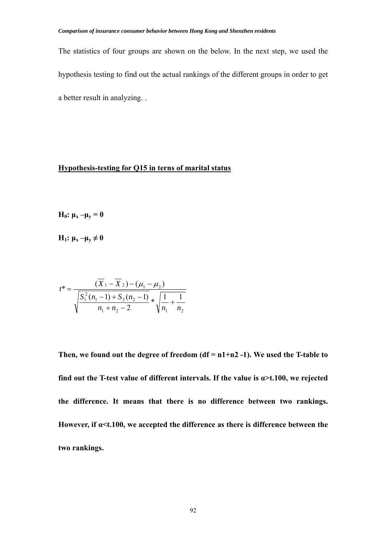The statistics of four groups are shown on the below. In the next step, we used the hypothesis testing to find out the actual rankings of the different groups in order to get a better result in analyzing. .

### **Hypothesis-testing for Q15 in terns of marital status**

**H**<sub>0</sub>:  $\mu$ <sub>x</sub> – $\mu$ <sub>y</sub> = 0

**H**<sub>1</sub>:  $\mu_x - \mu_y \neq 0$ 

$$
t^* = \frac{(X_1 - X_2) - (\mu_1 - \mu_2)}{\sqrt{\frac{S_1^2(n_1 - 1) + S_2(n_2 - 1)}{n_1 + n_2 - 2}} * \sqrt{\frac{1}{n_1} + \frac{1}{n_2}}}
$$

**Then, we found out the degree of freedom (df = n1+n2 -1). We used the T-table to find out the T-test value of different intervals. If the value is**  $\alpha$  **>t.100, we rejected the difference. It means that there is no difference between two rankings. However, if α<t.100, we accepted the difference as there is difference between the two rankings.**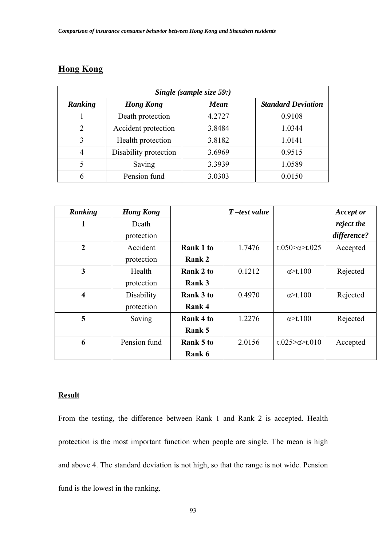# **Hong Kong**

| Single (sample size 59:) |                       |             |                           |  |  |  |
|--------------------------|-----------------------|-------------|---------------------------|--|--|--|
| Ranking                  | <b>Hong Kong</b>      | <b>Mean</b> | <b>Standard Deviation</b> |  |  |  |
|                          | Death protection      | 4.2727      | 0.9108                    |  |  |  |
| 2                        | Accident protection   | 3.8484      | 1.0344                    |  |  |  |
| 3                        | Health protection     | 3.8182      | 1.0141                    |  |  |  |
| 4                        | Disability protection | 3.6969      | 0.9515                    |  |  |  |
| 5                        | Saving                | 3.3939      | 1.0589                    |  |  |  |
| 6                        | Pension fund          | 3.0303      | 0.0150                    |  |  |  |

| Ranking                 | <b>Hong Kong</b> |                  | $T$ -test value |                        | <b>Accept or</b> |
|-------------------------|------------------|------------------|-----------------|------------------------|------------------|
| 1                       | Death            |                  |                 |                        | reject the       |
|                         | protection       |                  |                 |                        | difference?      |
| $\overline{2}$          | Accident         | <b>Rank 1 to</b> | 1.7476          | t.050 $\approx$ t.025  | Accepted         |
|                         | protection       | Rank 2           |                 |                        |                  |
| 3                       | Health           | Rank 2 to        | 0.1212          | $\alpha$ >t.100        | Rejected         |
|                         | protection       | Rank 3           |                 |                        |                  |
| $\overline{\mathbf{4}}$ | Disability       | Rank 3 to        | 0.4970          | $\alpha$ >t.100        | Rejected         |
|                         | protection       | Rank 4           |                 |                        |                  |
| 5                       | Saving           | Rank 4 to        | 1.2276          | $\alpha$ >t.100        | Rejected         |
|                         |                  | Rank 5           |                 |                        |                  |
| 6                       | Pension fund     | Rank 5 to        | 2.0156          | t.025> $\alpha$ >t.010 | Accepted         |
|                         |                  | Rank 6           |                 |                        |                  |

### **Result**

From the testing, the difference between Rank 1 and Rank 2 is accepted. Health protection is the most important function when people are single. The mean is high and above 4. The standard deviation is not high, so that the range is not wide. Pension fund is the lowest in the ranking.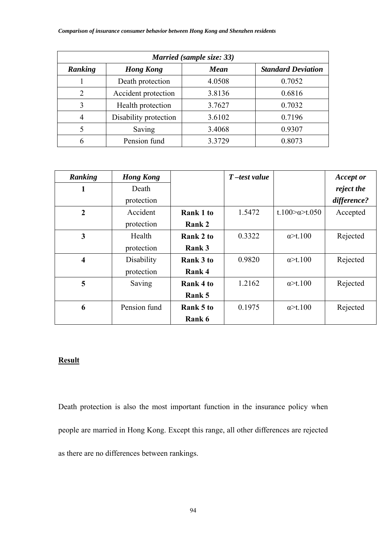| Married (sample size: 33) |                       |             |                           |  |  |  |
|---------------------------|-----------------------|-------------|---------------------------|--|--|--|
| Ranking                   | <b>Hong Kong</b>      | <b>Mean</b> | <b>Standard Deviation</b> |  |  |  |
|                           | Death protection      | 4.0508      | 0.7052                    |  |  |  |
| 2                         | Accident protection   | 3.8136      | 0.6816                    |  |  |  |
| 3                         | Health protection     | 3.7627      | 0.7032                    |  |  |  |
| 4                         | Disability protection | 3.6102      | 0.7196                    |  |  |  |
| 5                         | Saving                | 3.4068      | 0.9307                    |  |  |  |
| 6                         | Pension fund          | 3.3729      | 0.8073                    |  |  |  |

| Ranking                 | <b>Hong Kong</b> |                  | $T$ -test value |                      | <b>Accept or</b> |
|-------------------------|------------------|------------------|-----------------|----------------------|------------------|
| 1                       | Death            |                  |                 |                      | reject the       |
|                         | protection       |                  |                 |                      | difference?      |
| $\overline{2}$          | Accident         | <b>Rank 1 to</b> | 1.5472          | t.100 $\alpha$ t.050 | Accepted         |
|                         | protection       | <b>Rank 2</b>    |                 |                      |                  |
| 3                       | Health           | Rank 2 to        | 0.3322          | $\alpha$ >t.100      | Rejected         |
|                         | protection       | Rank 3           |                 |                      |                  |
| $\overline{\mathbf{4}}$ | Disability       | <b>Rank 3 to</b> | 0.9820          | $\alpha$ >t.100      | Rejected         |
|                         | protection       | Rank 4           |                 |                      |                  |
| 5                       | Saving           | Rank 4 to        | 1.2162          | $\alpha$ >t.100      | Rejected         |
|                         |                  | Rank 5           |                 |                      |                  |
| 6                       | Pension fund     | Rank 5 to        | 0.1975          | $\alpha$ >t.100      | Rejected         |
|                         |                  | Rank 6           |                 |                      |                  |

Death protection is also the most important function in the insurance policy when people are married in Hong Kong. Except this range, all other differences are rejected as there are no differences between rankings.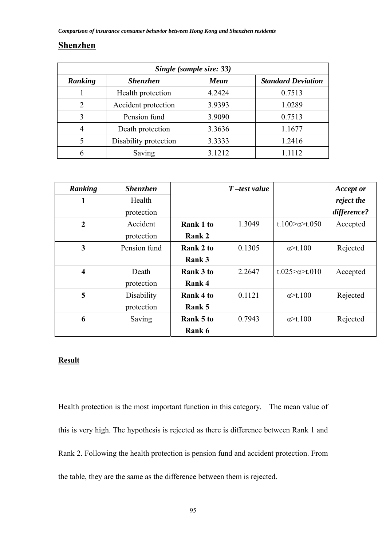## **Shenzhen**

|                | Single (sample size: 33) |        |                           |  |  |  |  |
|----------------|--------------------------|--------|---------------------------|--|--|--|--|
| Ranking        | <b>Shenzhen</b>          | Mean   | <b>Standard Deviation</b> |  |  |  |  |
|                | Health protection        | 4.2424 | 0.7513                    |  |  |  |  |
| $\overline{2}$ | Accident protection      | 3.9393 | 1.0289                    |  |  |  |  |
| 3              | Pension fund             | 3.9090 | 0.7513                    |  |  |  |  |
| $\overline{4}$ | Death protection         | 3.3636 | 1.1677                    |  |  |  |  |
| 5              | Disability protection    | 3.3333 | 1.2416                    |  |  |  |  |
| h              | Saving                   | 3.1212 | 1 1 1 1 2                 |  |  |  |  |

| Ranking                 | <b>Shenzhen</b> |                  | $T$ -test value |                                | <b>Accept or</b> |
|-------------------------|-----------------|------------------|-----------------|--------------------------------|------------------|
| 1                       | Health          |                  |                 |                                | reject the       |
|                         | protection      |                  |                 |                                | difference?      |
| $\overline{2}$          | Accident        | Rank 1 to        | 1.3049          | t.100 $\approx$ a $\geq$ t.050 | Accepted         |
|                         | protection      | Rank 2           |                 |                                |                  |
| 3                       | Pension fund    | Rank 2 to        | 0.1305          | $\alpha$ >t.100                | Rejected         |
|                         |                 | Rank 3           |                 |                                |                  |
| $\overline{\mathbf{4}}$ | Death           | <b>Rank 3 to</b> | 2.2647          | t.025 $\approx$ t.010          | Accepted         |
|                         | protection      | Rank 4           |                 |                                |                  |
| 5                       | Disability      | Rank 4 to        | 0.1121          | $\alpha$ >t.100                | Rejected         |
|                         | protection      | Rank 5           |                 |                                |                  |
| 6                       | Saving          | Rank 5 to        | 0.7943          | $\alpha$ >t.100                | Rejected         |
|                         |                 | Rank 6           |                 |                                |                  |

## **Result**

Health protection is the most important function in this category. The mean value of this is very high. The hypothesis is rejected as there is difference between Rank 1 and Rank 2. Following the health protection is pension fund and accident protection. From the table, they are the same as the difference between them is rejected.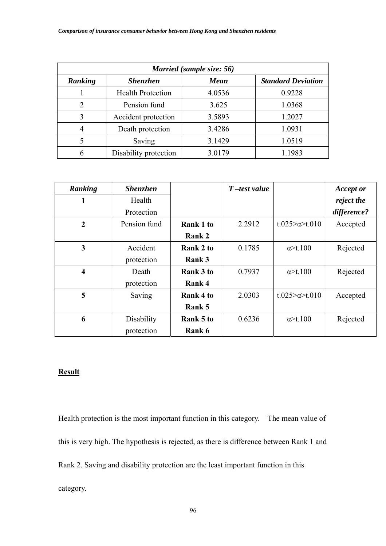| Married (sample size: 56) |                          |             |                           |  |  |  |
|---------------------------|--------------------------|-------------|---------------------------|--|--|--|
| Ranking                   | <b>Shenzhen</b>          | <b>Mean</b> | <b>Standard Deviation</b> |  |  |  |
|                           | <b>Health Protection</b> | 4.0536      | 0.9228                    |  |  |  |
| $\overline{2}$            | Pension fund             | 3.625       | 1.0368                    |  |  |  |
| 3                         | Accident protection      | 3.5893      | 1.2027                    |  |  |  |
| $\overline{4}$            | Death protection         | 3.4286      | 1.0931                    |  |  |  |
| 5                         | Saving                   | 3.1429      | 1.0519                    |  |  |  |
| 6                         | Disability protection    | 3.0179      | 1.1983                    |  |  |  |

| Ranking                 | <b>Shenzhen</b> |                  | $T$ -test value |                          | <b>Accept or</b> |
|-------------------------|-----------------|------------------|-----------------|--------------------------|------------------|
| 1                       | Health          |                  |                 |                          | reject the       |
|                         | Protection      |                  |                 |                          | difference?      |
| $\overline{2}$          | Pension fund    | Rank 1 to        | 2.2912          | $t.025 > \alpha > t.010$ | Accepted         |
|                         |                 | Rank 2           |                 |                          |                  |
| 3                       | Accident        | Rank 2 to        | 0.1785          | $\alpha$ >t.100          | Rejected         |
|                         | protection      | Rank 3           |                 |                          |                  |
| $\overline{\mathbf{4}}$ | Death           | <b>Rank 3 to</b> | 0.7937          | $\alpha$ >t.100          | Rejected         |
|                         | protection      | Rank 4           |                 |                          |                  |
| 5                       | Saving          | Rank 4 to        | 2.0303          | t.025 $\approx$ t.010    | Accepted         |
|                         |                 | Rank 5           |                 |                          |                  |
| 6                       | Disability      | Rank 5 to        | 0.6236          | $\alpha$ >t.100          | Rejected         |
|                         | protection      | Rank 6           |                 |                          |                  |

Health protection is the most important function in this category. The mean value of this is very high. The hypothesis is rejected, as there is difference between Rank 1 and Rank 2. Saving and disability protection are the least important function in this category.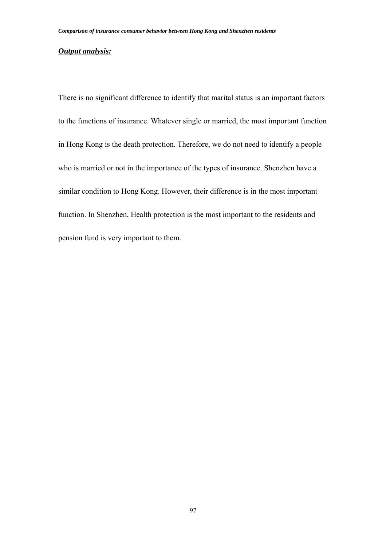#### *Output analysis:*

There is no significant difference to identify that marital status is an important factors to the functions of insurance. Whatever single or married, the most important function in Hong Kong is the death protection. Therefore, we do not need to identify a people who is married or not in the importance of the types of insurance. Shenzhen have a similar condition to Hong Kong. However, their difference is in the most important function. In Shenzhen, Health protection is the most important to the residents and pension fund is very important to them.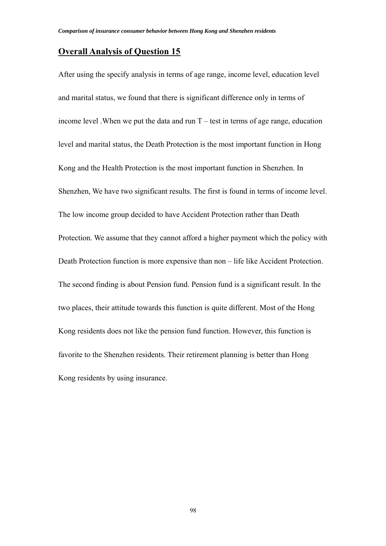### **Overall Analysis of Question 15**

After using the specify analysis in terms of age range, income level, education level and marital status, we found that there is significant difference only in terms of income level . When we put the data and run  $T$  – test in terms of age range, education level and marital status, the Death Protection is the most important function in Hong Kong and the Health Protection is the most important function in Shenzhen. In Shenzhen, We have two significant results. The first is found in terms of income level. The low income group decided to have Accident Protection rather than Death Protection. We assume that they cannot afford a higher payment which the policy with Death Protection function is more expensive than non – life like Accident Protection. The second finding is about Pension fund. Pension fund is a significant result. In the two places, their attitude towards this function is quite different. Most of the Hong Kong residents does not like the pension fund function. However, this function is favorite to the Shenzhen residents. Their retirement planning is better than Hong Kong residents by using insurance.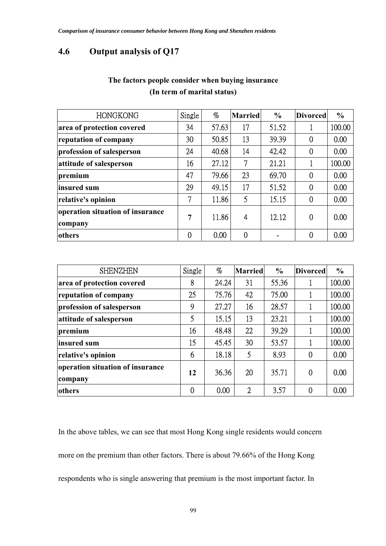# **4.6 Output analysis of Q17**

| <b>HONGKONG</b>                             | Single         | $\%$  | <b>Married</b> | $\frac{0}{0}$ | <b>Divorced</b> | $\frac{6}{6}$ |
|---------------------------------------------|----------------|-------|----------------|---------------|-----------------|---------------|
| area of protection covered                  | 34             | 57.63 | 17             | 51.52         |                 | 100.00        |
| reputation of company                       | 30             | 50.85 | 13             | 39.39         | $\theta$        | 0.00          |
| profession of salesperson                   | 24             | 40.68 | 14             | 42.42         | $\mathbf 0$     | 0.00          |
| attitude of salesperson                     | 16             | 27.12 | 7              | 21.21         |                 | 100.00        |
| premium                                     | 47             | 79.66 | 23             | 69.70         | $\theta$        | 0.00          |
| insured sum                                 | 29             | 49.15 | 17             | 51.52         | $\overline{0}$  | 0.00          |
| relative's opinion                          | 7              | 11.86 | 5              | 15.15         | $\overline{0}$  | 0.00          |
| operation situation of insurance<br>company | $\overline{7}$ | 11.86 | 4              | 12.12         | $\theta$        | 0.00          |
| others                                      | $\mathbf 0$    | 0.00  | $\Omega$       |               | $\overline{0}$  | 0.00          |

# **The factors people consider when buying insurance (In term of marital status)**

| <b>SHENZHEN</b>                             | Single         | $\%$  | <b>Married</b> | $\frac{6}{6}$ | <b>Divorced</b> | $\frac{0}{0}$ |
|---------------------------------------------|----------------|-------|----------------|---------------|-----------------|---------------|
| area of protection covered                  | 8              | 24.24 | 31             | 55.36         |                 | 100.00        |
| reputation of company                       | 25             | 75.76 | 42             | 75.00         |                 | 100.00        |
| profession of salesperson                   | 9              | 27.27 | 16             | 28.57         |                 | 100.00        |
| attitude of salesperson                     | 5              | 15.15 | 13             | 23.21         |                 | 100.00        |
| premium                                     | 16             | 48.48 | 22             | 39.29         |                 | 100.00        |
| insured sum                                 | 15             | 45.45 | 30             | 53.57         |                 | 100.00        |
| relative's opinion                          | 6              | 18.18 | 5              | 8.93          | $\overline{0}$  | 0.00          |
| operation situation of insurance<br>company | 12             | 36.36 | 20             | 35.71         | 0               | 0.00          |
| <b>lothers</b>                              | $\overline{0}$ | 0.00  | $\overline{2}$ | 3.57          | $\theta$        | 0.00          |

In the above tables, we can see that most Hong Kong single residents would concern more on the premium than other factors. There is about 79.66% of the Hong Kong respondents who is single answering that premium is the most important factor. In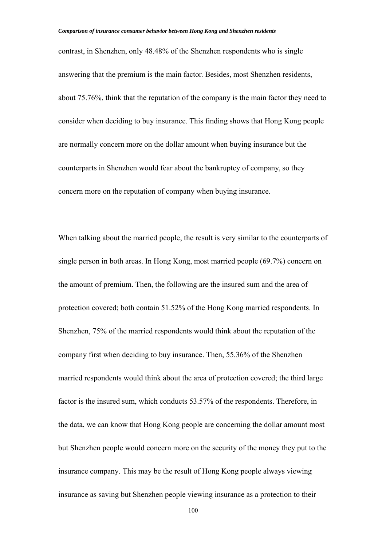contrast, in Shenzhen, only 48.48% of the Shenzhen respondents who is single answering that the premium is the main factor. Besides, most Shenzhen residents, about 75.76%, think that the reputation of the company is the main factor they need to consider when deciding to buy insurance. This finding shows that Hong Kong people are normally concern more on the dollar amount when buying insurance but the counterparts in Shenzhen would fear about the bankruptcy of company, so they concern more on the reputation of company when buying insurance.

When talking about the married people, the result is very similar to the counterparts of single person in both areas. In Hong Kong, most married people (69.7%) concern on the amount of premium. Then, the following are the insured sum and the area of protection covered; both contain 51.52% of the Hong Kong married respondents. In Shenzhen, 75% of the married respondents would think about the reputation of the company first when deciding to buy insurance. Then, 55.36% of the Shenzhen married respondents would think about the area of protection covered; the third large factor is the insured sum, which conducts 53.57% of the respondents. Therefore, in the data, we can know that Hong Kong people are concerning the dollar amount most but Shenzhen people would concern more on the security of the money they put to the insurance company. This may be the result of Hong Kong people always viewing insurance as saving but Shenzhen people viewing insurance as a protection to their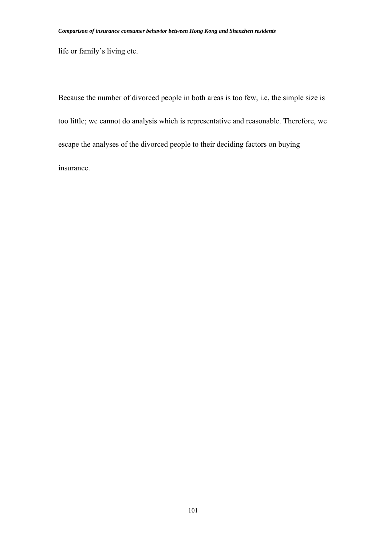life or family's living etc.

Because the number of divorced people in both areas is too few, i.e, the simple size is too little; we cannot do analysis which is representative and reasonable. Therefore, we escape the analyses of the divorced people to their deciding factors on buying insurance.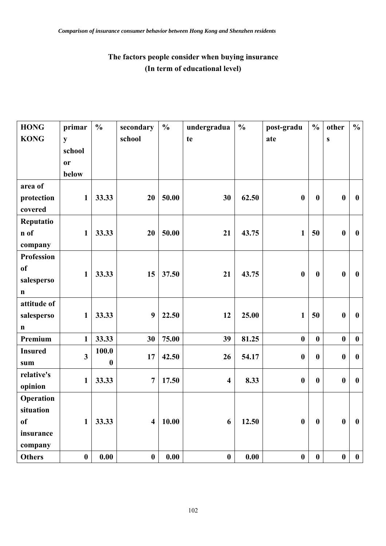# **The factors people consider when buying insurance (In term of educational level)**

| <b>HONG</b>       | primar                  | $\frac{0}{0}$    | secondary               | $\frac{0}{0}$ | undergradua             | $\frac{0}{0}$ | post-gradu       | $\frac{0}{0}$    | other            | $\frac{0}{0}$    |
|-------------------|-------------------------|------------------|-------------------------|---------------|-------------------------|---------------|------------------|------------------|------------------|------------------|
| <b>KONG</b>       | ${\bf y}$               |                  | school                  |               | te                      |               | ate              |                  | ${\bf S}$        |                  |
|                   | school                  |                  |                         |               |                         |               |                  |                  |                  |                  |
|                   | or                      |                  |                         |               |                         |               |                  |                  |                  |                  |
|                   | below                   |                  |                         |               |                         |               |                  |                  |                  |                  |
| area of           |                         |                  |                         |               |                         |               |                  |                  |                  |                  |
| protection        | $\mathbf{1}$            | 33.33            | 20                      | 50.00         | 30                      | 62.50         | $\boldsymbol{0}$ | $\boldsymbol{0}$ | $\boldsymbol{0}$ | $\boldsymbol{0}$ |
| covered           |                         |                  |                         |               |                         |               |                  |                  |                  |                  |
| Reputatio         |                         |                  |                         |               |                         |               |                  |                  |                  |                  |
| n of              | $\mathbf{1}$            | 33.33            | 20                      | 50.00         | 21                      | 43.75         | $\mathbf{1}$     | 50               | $\boldsymbol{0}$ | $\boldsymbol{0}$ |
| company           |                         |                  |                         |               |                         |               |                  |                  |                  |                  |
| <b>Profession</b> |                         |                  |                         |               |                         |               |                  |                  |                  |                  |
| <sub>of</sub>     | $\mathbf{1}$            | 33.33            | 15                      | 37.50         | 21                      | 43.75         | $\boldsymbol{0}$ | $\boldsymbol{0}$ | $\boldsymbol{0}$ | $\bf{0}$         |
| salesperso        |                         |                  |                         |               |                         |               |                  |                  |                  |                  |
| $\mathbf n$       |                         |                  |                         |               |                         |               |                  |                  |                  |                  |
| attitude of       |                         |                  |                         |               |                         |               |                  |                  |                  |                  |
| salesperso        | $\mathbf{1}$            | 33.33            | 9                       | 22.50         | 12                      | 25.00         | $\mathbf{1}$     | 50               | $\boldsymbol{0}$ | $\boldsymbol{0}$ |
| $\mathbf n$       |                         |                  |                         |               |                         |               |                  |                  |                  |                  |
| Premium           | $\mathbf{1}$            | 33.33            | 30                      | 75.00         | 39                      | 81.25         | $\boldsymbol{0}$ | $\boldsymbol{0}$ | $\boldsymbol{0}$ | $\boldsymbol{0}$ |
| <b>Insured</b>    | $\overline{\mathbf{3}}$ | 100.0            | 17                      | 42.50         | 26                      | 54.17         | $\boldsymbol{0}$ | $\bf{0}$         | $\boldsymbol{0}$ | $\boldsymbol{0}$ |
| sum               |                         | $\boldsymbol{0}$ |                         |               |                         |               |                  |                  |                  |                  |
| relative's        | $\mathbf{1}$            | 33.33            | $\overline{7}$          | 17.50         | $\overline{\mathbf{4}}$ | 8.33          | $\boldsymbol{0}$ | $\boldsymbol{0}$ | $\boldsymbol{0}$ | $\boldsymbol{0}$ |
| opinion           |                         |                  |                         |               |                         |               |                  |                  |                  |                  |
| Operation         |                         |                  |                         |               |                         |               |                  |                  |                  |                  |
| situation         |                         |                  |                         |               |                         |               |                  |                  |                  |                  |
| <sub>of</sub>     | $\mathbf{1}$            | 33.33            | $\overline{\mathbf{4}}$ | 10.00         | 6                       | 12.50         | $\boldsymbol{0}$ | $\boldsymbol{0}$ | $\boldsymbol{0}$ | $\boldsymbol{0}$ |
| insurance         |                         |                  |                         |               |                         |               |                  |                  |                  |                  |
| company           |                         |                  |                         |               |                         |               |                  |                  |                  |                  |
| <b>Others</b>     | $\boldsymbol{0}$        | 0.00             | $\boldsymbol{0}$        | 0.00          | $\boldsymbol{0}$        | 0.00          | $\boldsymbol{0}$ | $\boldsymbol{0}$ | $\pmb{0}$        | $\boldsymbol{0}$ |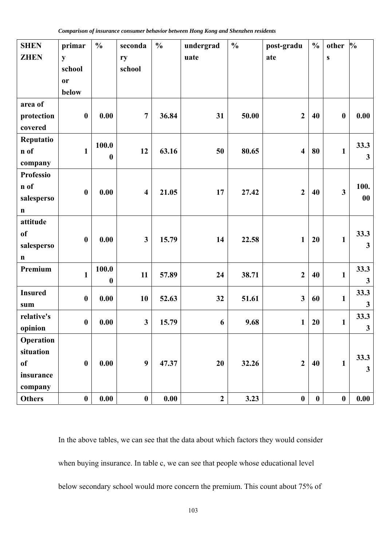| <b>SHEN</b>      | primar              | $\frac{0}{0}$    | seconda                 | $\frac{0}{0}$ | undergrad    | $\frac{0}{0}$ | post-gradu              | $\frac{0}{0}$    | other            | $\frac{0}{0}$ |
|------------------|---------------------|------------------|-------------------------|---------------|--------------|---------------|-------------------------|------------------|------------------|---------------|
| <b>ZHEN</b>      | y                   |                  | ry                      |               | uate         |               | ate                     |                  | ${\bf S}$        |               |
|                  | school<br><b>or</b> |                  | school                  |               |              |               |                         |                  |                  |               |
|                  | below               |                  |                         |               |              |               |                         |                  |                  |               |
| area of          |                     |                  |                         |               |              |               |                         |                  |                  |               |
| protection       | $\boldsymbol{0}$    | 0.00             | $\overline{7}$          | 36.84         | 31           | 50.00         | $\overline{2}$          | 40               | $\boldsymbol{0}$ | 0.00          |
| covered          |                     |                  |                         |               |              |               |                         |                  |                  |               |
| Reputatio        |                     |                  |                         |               |              |               |                         |                  |                  |               |
| n of             | $\mathbf{1}$        | 100.0            | 12                      | 63.16         | 50           | 80.65         | $\overline{\mathbf{4}}$ | 80               | $\mathbf{1}$     | 33.3          |
| company          |                     | $\boldsymbol{0}$ |                         |               |              |               |                         |                  |                  | $\mathbf{3}$  |
| <b>Professio</b> |                     |                  |                         |               |              |               |                         |                  |                  |               |
| n of             | $\boldsymbol{0}$    | 0.00             | $\overline{\mathbf{4}}$ | 21.05         | 17           | 27.42         | $\overline{2}$          | 40               | $\mathbf{3}$     | 100.          |
| salesperso       |                     |                  |                         |               |              |               |                         |                  |                  | $\bf{00}$     |
| $\mathbf n$      |                     |                  |                         |               |              |               |                         |                  |                  |               |
| attitude         |                     |                  |                         |               |              |               |                         |                  |                  |               |
| <sub>of</sub>    | $\boldsymbol{0}$    | 0.00             | $\overline{\mathbf{3}}$ | 15.79         | 14           | 22.58         | $\mathbf{1}$            | 20               | $\mathbf{1}$     | 33.3          |
| salesperso       |                     |                  |                         |               |              |               |                         |                  |                  | $\mathbf{3}$  |
| $\mathbf n$      |                     |                  |                         |               |              |               |                         |                  |                  |               |
| Premium          | $\mathbf{1}$        | 100.0            | 11                      | 57.89         | 24           | 38.71         | $\mathbf{2}$            | 40               | $\mathbf{1}$     | 33.3          |
|                  |                     | $\boldsymbol{0}$ |                         |               |              |               |                         |                  |                  | $\mathbf{3}$  |
| <b>Insured</b>   | $\boldsymbol{0}$    | 0.00             | 10                      | 52.63         | 32           | 51.61         | $\overline{\mathbf{3}}$ | 60               | $\mathbf{1}$     | 33.3          |
| sum              |                     |                  |                         |               |              |               |                         |                  |                  | $\mathbf{3}$  |
| relative's       | $\boldsymbol{0}$    | 0.00             | $\mathbf{3}$            | 15.79         | 6            | 9.68          | $\mathbf{1}$            | 20               | $\mathbf{1}$     | 33.3          |
| opinion          |                     |                  |                         |               |              |               |                         |                  |                  | $\mathbf{3}$  |
| Operation        |                     |                  |                         |               |              |               |                         |                  |                  |               |
| situation        |                     |                  |                         |               |              |               |                         |                  |                  | 33.3          |
| of               | $\boldsymbol{0}$    | 0.00             | $\boldsymbol{9}$        | 47.37         | 20           | 32.26         | $\overline{2}$          | 40               | $\mathbf{1}$     | $\mathbf{3}$  |
| insurance        |                     |                  |                         |               |              |               |                         |                  |                  |               |
| company          |                     |                  |                         |               |              |               |                         |                  |                  |               |
| <b>Others</b>    | $\boldsymbol{0}$    | 0.00             | $\boldsymbol{0}$        | 0.00          | $\mathbf{2}$ | 3.23          | $\pmb{0}$               | $\boldsymbol{0}$ | $\boldsymbol{0}$ | 0.00          |

In the above tables, we can see that the data about which factors they would consider when buying insurance. In table c, we can see that people whose educational level below secondary school would more concern the premium. This count about 75% of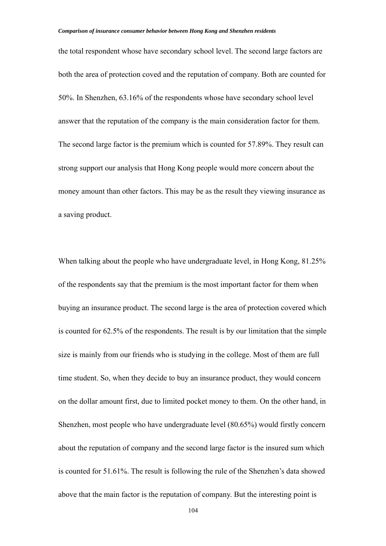the total respondent whose have secondary school level. The second large factors are both the area of protection coved and the reputation of company. Both are counted for 50%. In Shenzhen, 63.16% of the respondents whose have secondary school level answer that the reputation of the company is the main consideration factor for them. The second large factor is the premium which is counted for 57.89%. They result can strong support our analysis that Hong Kong people would more concern about the money amount than other factors. This may be as the result they viewing insurance as a saving product.

When talking about the people who have undergraduate level, in Hong Kong, 81.25% of the respondents say that the premium is the most important factor for them when buying an insurance product. The second large is the area of protection covered which is counted for 62.5% of the respondents. The result is by our limitation that the simple size is mainly from our friends who is studying in the college. Most of them are full time student. So, when they decide to buy an insurance product, they would concern on the dollar amount first, due to limited pocket money to them. On the other hand, in Shenzhen, most people who have undergraduate level (80.65%) would firstly concern about the reputation of company and the second large factor is the insured sum which is counted for 51.61%. The result is following the rule of the Shenzhen's data showed above that the main factor is the reputation of company. But the interesting point is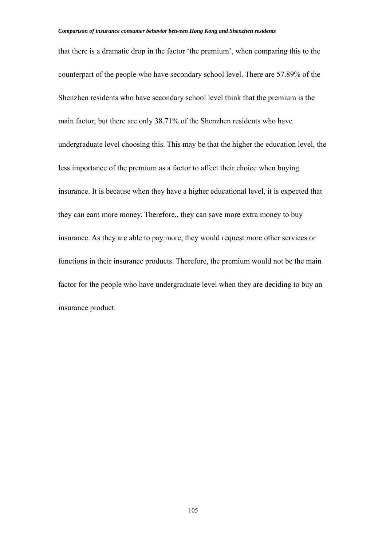that there is a dramatic drop in the factor 'the premium', when comparing this to the counterpart of the people who have secondary school level. There are 57.89% of the Shenzhen residents who have secondary school level think that the premium is the main factor; but there are only 38.71% of the Shenzhen residents who have undergraduate level choosing this. This may be that the higher the education level, the less importance of the premium as a factor to affect their choice when buying insurance. It is because when they have a higher educational level, it is expected that they can earn more money. Therefore,, they can save more extra money to buy insurance. As they are able to pay more, they would request more other services or functions in their insurance products. Therefore, the premium would not be the main factor for the people who have undergraduate level when they are deciding to buy an insurance product.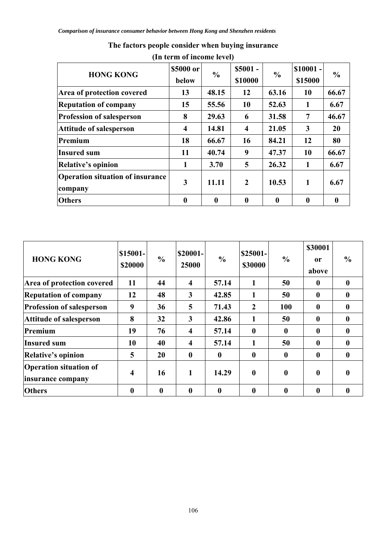| <b>HONG KONG</b>                                   | \$5000 or<br>below | $\frac{0}{0}$    | $$5001 -$<br>\$10000    | $\frac{0}{0}$    | $$10001 -$<br>\$15000 | $\frac{0}{0}$ |
|----------------------------------------------------|--------------------|------------------|-------------------------|------------------|-----------------------|---------------|
| Area of protection covered                         | 13                 | 48.15            | 12                      | 63.16            | 10                    | 66.67         |
| <b>Reputation of company</b>                       | 15                 | 55.56            | <b>10</b>               | 52.63            | 1                     | 6.67          |
| <b>Profession of salesperson</b>                   | 8                  | 29.63            | 6                       | 31.58            | 7                     | 46.67         |
| <b>Attitude of salesperson</b>                     | $\boldsymbol{4}$   | 14.81            | $\overline{\mathbf{4}}$ | 21.05            | 3                     | 20            |
| Premium                                            | 18                 | 66.67            | 16                      | 84.21            | 12                    | 80            |
| <b>Insured sum</b>                                 | 11                 | 40.74            | 9                       | 47.37            | 10                    | 66.67         |
| <b>Relative's opinion</b>                          | 1                  | 3.70             | 5                       | 26.32            | 1                     | 6.67          |
| <b>Operation situation of insurance</b><br>company | 3                  | 11.11            | $\overline{2}$          | 10.53            | 1                     | 6.67          |
| <b>Others</b>                                      | $\boldsymbol{0}$   | $\boldsymbol{0}$ | $\boldsymbol{0}$        | $\boldsymbol{0}$ | $\bf{0}$              | 0             |

# **The factors people consider when buying insurance**

| <b>HONG KONG</b>                                   | \$15001-<br>\$20000 | $\frac{6}{6}$ | \$20001-<br>25000       | $\frac{0}{0}$    | \$25001-<br>\$30000 | $\frac{0}{0}$    | \$30001<br><sub>or</sub><br>above | $\frac{0}{0}$    |
|----------------------------------------------------|---------------------|---------------|-------------------------|------------------|---------------------|------------------|-----------------------------------|------------------|
| Area of protection covered                         | 11                  | 44            | $\overline{\mathbf{4}}$ | 57.14            | 1                   | 50               | $\boldsymbol{0}$                  | $\mathbf 0$      |
| <b>Reputation of company</b>                       | 12                  | 48            | 3                       | 42.85            | 1                   | 50               | $\boldsymbol{0}$                  | 0                |
| <b>Profession of salesperson</b>                   | 9                   | 36            | 5                       | 71.43            | $\overline{2}$      | 100              | $\mathbf{0}$                      | $\mathbf 0$      |
| <b>Attitude of salesperson</b>                     | 8                   | 32            | 3                       | 42.86            | 1                   | 50               | $\boldsymbol{0}$                  | $\mathbf{0}$     |
| Premium                                            | 19                  | 76            | $\overline{\mathbf{4}}$ | 57.14            | $\boldsymbol{0}$    | $\boldsymbol{0}$ | $\boldsymbol{0}$                  | 0                |
| <b>Insured sum</b>                                 | 10                  | 40            | 4                       | 57.14            | 1                   | 50               | $\boldsymbol{0}$                  | $\mathbf 0$      |
| <b>Relative's opinion</b>                          | 5                   | 20            | $\boldsymbol{0}$        | $\bf{0}$         | $\boldsymbol{0}$    | $\boldsymbol{0}$ | $\boldsymbol{0}$                  | $\mathbf 0$      |
| <b>Operation situation of</b><br>insurance company | $\boldsymbol{4}$    | 16            | 1                       | 14.29            | $\boldsymbol{0}$    | $\boldsymbol{0}$ | $\boldsymbol{0}$                  | $\boldsymbol{0}$ |
| <b>Others</b>                                      | $\boldsymbol{0}$    | $\bf{0}$      | $\boldsymbol{0}$        | $\boldsymbol{0}$ | $\boldsymbol{0}$    | $\boldsymbol{0}$ | $\boldsymbol{0}$                  |                  |

### **(In term of income level)**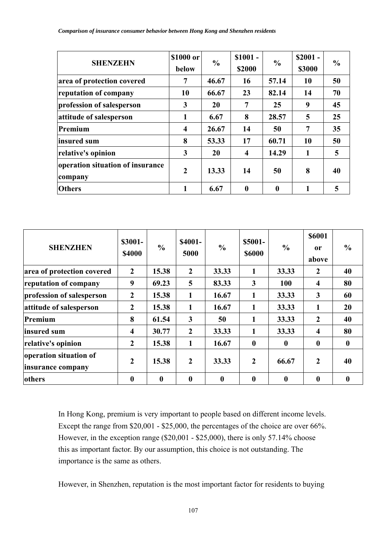| <b>SHENZEHN</b>                             | \$1000 or<br>below | $\frac{0}{0}$ | $$1001 -$<br>\$2000     | $\frac{0}{0}$    | $$2001 -$<br>\$3000 | $\frac{6}{9}$ |  |
|---------------------------------------------|--------------------|---------------|-------------------------|------------------|---------------------|---------------|--|
| area of protection covered                  | 7                  | 46.67         | 16                      | 57.14            | 10                  | 50            |  |
| reputation of company                       | 10                 | 66.67         | 23                      | 82.14            | 14                  | 70            |  |
| profession of salesperson                   | 3                  | 20            | 7                       | 25               | 9                   | 45            |  |
| attitude of salesperson                     | 1                  | 6.67          | 8                       | 28.57            | 5                   | 25            |  |
| Premium                                     | $\overline{4}$     | 26.67         | 14                      | 50               | 7                   | 35            |  |
| insured sum                                 | 8                  | 53.33         | 17                      | 60.71            | 10                  | 50            |  |
| relative's opinion                          | 3                  | 20            | $\overline{\mathbf{4}}$ | 14.29            | 1                   | 5             |  |
| operation situation of insurance<br>company | $\boldsymbol{2}$   | 13.33         | 14                      | 50               | 8                   | 40            |  |
| <b>Others</b>                               | $\mathbf{1}$       | 6.67          | $\bf{0}$                | $\boldsymbol{0}$ |                     | 5             |  |

| <b>SHENZHEN</b>                             | \$3001-<br><b>\$4000</b> | $\frac{0}{0}$    | <b>\$4001-</b><br>5000 | $\frac{0}{0}$    | $$5001-$<br><b>\$6000</b> | $\frac{0}{0}$ | \$6001<br>or<br>above   | $\frac{0}{0}$    |
|---------------------------------------------|--------------------------|------------------|------------------------|------------------|---------------------------|---------------|-------------------------|------------------|
| area of protection covered                  | $\boldsymbol{2}$         | 15.38            | $\overline{2}$         | 33.33            | 1                         | 33.33         | 2                       | 40               |
| reputation of company                       | 9                        | 69.23            | 5                      | 83.33            | $\mathbf{3}$              | 100           | 4                       | 80               |
| profession of salesperson                   | $\overline{2}$           | 15.38            | 1                      | 16.67            | 1                         | 33.33         | $\overline{\mathbf{3}}$ | 60               |
| attitude of salesperson                     | $\overline{2}$           | 15.38            | 1                      | 16.67            | 1                         | 33.33         | 1                       | 20               |
| Premium                                     | 8                        | 61.54            | $\mathbf{3}$           | 50               | 1                         | 33.33         | $\overline{2}$          | 40               |
| insured sum                                 | $\overline{\mathbf{4}}$  | 30.77            | $\overline{2}$         | 33.33            | 1                         | 33.33         | 4                       | 80               |
| relative's opinion                          | $\overline{2}$           | 15.38            | 1                      | 16.67            | $\boldsymbol{0}$          | $\bf{0}$      | $\boldsymbol{0}$        | $\boldsymbol{0}$ |
| operation situation of<br>insurance company | $\overline{2}$           | 15.38            | $\overline{2}$         | 33.33            | $\overline{2}$            | 66.67         | $\overline{2}$          | 40               |
| others                                      | $\bf{0}$                 | $\boldsymbol{0}$ | $\mathbf{0}$           | $\boldsymbol{0}$ | $\bf{0}$                  | $\bf{0}$      | $\mathbf{0}$            | $\bf{0}$         |

In Hong Kong, premium is very important to people based on different income levels. Except the range from \$20,001 - \$25,000, the percentages of the choice are over 66%. However, in the exception range (\$20,001 - \$25,000), there is only 57.14% choose this as important factor. By our assumption, this choice is not outstanding. The importance is the same as others.

However, in Shenzhen, reputation is the most important factor for residents to buying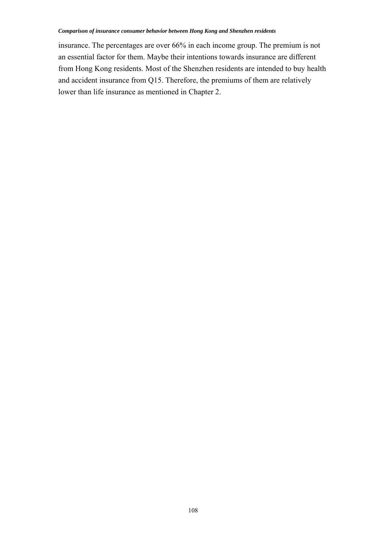insurance. The percentages are over 66% in each income group. The premium is not an essential factor for them. Maybe their intentions towards insurance are different from Hong Kong residents. Most of the Shenzhen residents are intended to buy health and accident insurance from Q15. Therefore, the premiums of them are relatively lower than life insurance as mentioned in Chapter 2.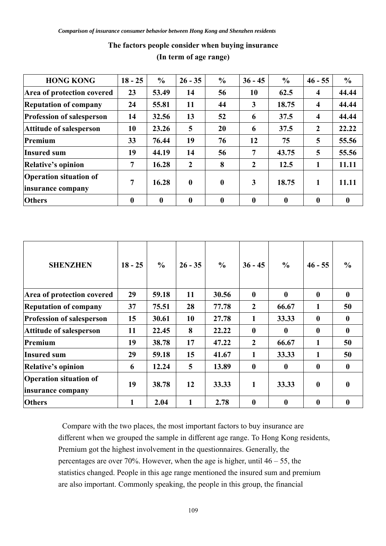| <b>HONG KONG</b>                                   | $18 - 25$ | $\frac{6}{9}$    | $26 - 35$        | $\frac{0}{0}$    | $36 - 45$        | $\frac{6}{6}$    | $46 - 55$           | $\frac{6}{6}$    |
|----------------------------------------------------|-----------|------------------|------------------|------------------|------------------|------------------|---------------------|------------------|
| Area of protection covered                         | 23        | 53.49            | 14               | 56               | 10               | 62.5             | 4                   | 44.44            |
| <b>Reputation of company</b>                       | 24        | 55.81            | 11               | 44               | 3                | 18.75            | $\boldsymbol{4}$    | 44.44            |
| <b>Profession of salesperson</b>                   | 14        | 32.56            | 13               | 52               | 6                | 37.5             | $\overline{\bf{4}}$ | 44.44            |
| <b>Attitude of salesperson</b>                     | 10        | 23.26            | 5                | 20               | 6                | 37.5             | 2                   | 22.22            |
| Premium                                            | 33        | 76.44            | 19               | 76               | 12               | 75               | 5                   | 55.56            |
| <b>Insured sum</b>                                 | 19        | 44.19            | 14               | 56               | 7                | 43.75            | 5                   | 55.56            |
| <b>Relative's opinion</b>                          | 7         | 16.28            | $\overline{2}$   | 8                | $\mathbf{2}$     | 12.5             |                     | 11.11            |
| <b>Operation situation of</b><br>insurance company | 7         | 16.28            | $\boldsymbol{0}$ | $\boldsymbol{0}$ | 3                | 18.75            |                     | 11.11            |
| <b>Others</b>                                      | $\bf{0}$  | $\boldsymbol{0}$ | $\boldsymbol{0}$ | $\boldsymbol{0}$ | $\boldsymbol{0}$ | $\boldsymbol{0}$ | $\mathbf{0}$        | $\boldsymbol{0}$ |

# **The factors people consider when buying insurance (In term of age range)**

| <b>SHENZHEN</b>                                    | $18 - 25$ | $\frac{0}{0}$ | $26 - 35$ | $\frac{0}{0}$ | $36 - 45$        | $\frac{0}{0}$    | $46 - 55$        | $\frac{6}{6}$    |
|----------------------------------------------------|-----------|---------------|-----------|---------------|------------------|------------------|------------------|------------------|
| Area of protection covered                         | 29        | 59.18         | 11        | 30.56         | $\bf{0}$         | $\bf{0}$         | $\boldsymbol{0}$ | $\boldsymbol{0}$ |
| <b>Reputation of company</b>                       | 37        | 75.51         | 28        | 77.78         | $\boldsymbol{2}$ | 66.67            | 1                | 50               |
| <b>Profession of salesperson</b>                   | 15        | 30.61         | 10        | 27.78         | 1                | 33.33            | $\boldsymbol{0}$ | $\mathbf{0}$     |
| <b>Attitude of salesperson</b>                     | 11        | 22.45         | 8         | 22.22         | $\mathbf{0}$     | $\bf{0}$         | $\mathbf{0}$     | $\mathbf{0}$     |
| Premium                                            | 19        | 38.78         | 17        | 47.22         | $\overline{2}$   | 66.67            | 1                | 50               |
| <b>Insured sum</b>                                 | 29        | 59.18         | 15        | 41.67         | 1                | 33.33            | 1                | 50               |
| <b>Relative's opinion</b>                          | 6         | 12.24         | 5         | 13.89         | $\mathbf{0}$     | $\bf{0}$         | $\mathbf{0}$     | $\bf{0}$         |
| <b>Operation situation of</b><br>insurance company | 19        | 38.78         | 12        | 33.33         | 1                | 33.33            | $\bf{0}$         | $\bf{0}$         |
| <b>Others</b>                                      | 1         | 2.04          | 1         | 2.78          | $\boldsymbol{0}$ | $\boldsymbol{0}$ | $\bf{0}$         | $\bf{0}$         |

 Compare with the two places, the most important factors to buy insurance are different when we grouped the sample in different age range. To Hong Kong residents, Premium got the highest involvement in the questionnaires. Generally, the percentages are over 70%. However, when the age is higher, until 46 – 55, the statistics changed. People in this age range mentioned the insured sum and premium are also important. Commonly speaking, the people in this group, the financial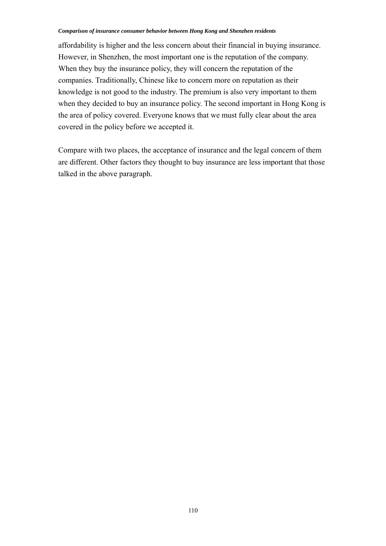affordability is higher and the less concern about their financial in buying insurance. However, in Shenzhen, the most important one is the reputation of the company. When they buy the insurance policy, they will concern the reputation of the companies. Traditionally, Chinese like to concern more on reputation as their knowledge is not good to the industry. The premium is also very important to them when they decided to buy an insurance policy. The second important in Hong Kong is the area of policy covered. Everyone knows that we must fully clear about the area covered in the policy before we accepted it.

Compare with two places, the acceptance of insurance and the legal concern of them are different. Other factors they thought to buy insurance are less important that those talked in the above paragraph.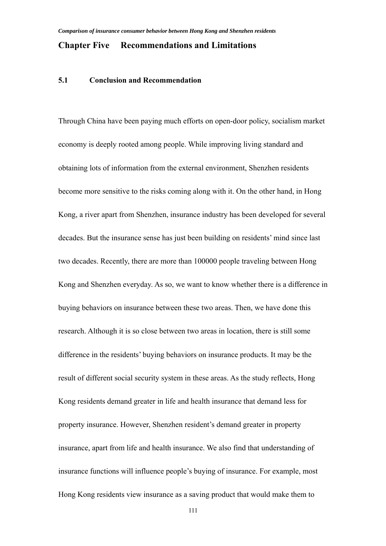# **Chapter Five Recommendations and Limitations**

# **5.1 Conclusion and Recommendation**

Through China have been paying much efforts on open-door policy, socialism market economy is deeply rooted among people. While improving living standard and obtaining lots of information from the external environment, Shenzhen residents become more sensitive to the risks coming along with it. On the other hand, in Hong Kong, a river apart from Shenzhen, insurance industry has been developed for several decades. But the insurance sense has just been building on residents' mind since last two decades. Recently, there are more than 100000 people traveling between Hong Kong and Shenzhen everyday. As so, we want to know whether there is a difference in buying behaviors on insurance between these two areas. Then, we have done this research. Although it is so close between two areas in location, there is still some difference in the residents' buying behaviors on insurance products. It may be the result of different social security system in these areas. As the study reflects, Hong Kong residents demand greater in life and health insurance that demand less for property insurance. However, Shenzhen resident's demand greater in property insurance, apart from life and health insurance. We also find that understanding of insurance functions will influence people's buying of insurance. For example, most Hong Kong residents view insurance as a saving product that would make them to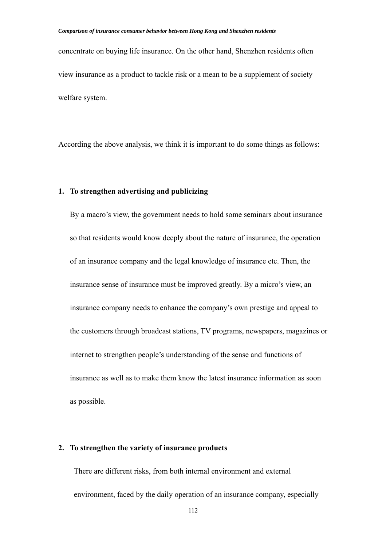concentrate on buying life insurance. On the other hand, Shenzhen residents often view insurance as a product to tackle risk or a mean to be a supplement of society welfare system.

According the above analysis, we think it is important to do some things as follows:

## **1. To strengthen advertising and publicizing**

By a macro's view, the government needs to hold some seminars about insurance so that residents would know deeply about the nature of insurance, the operation of an insurance company and the legal knowledge of insurance etc. Then, the insurance sense of insurance must be improved greatly. By a micro's view, an insurance company needs to enhance the company's own prestige and appeal to the customers through broadcast stations, TV programs, newspapers, magazines or internet to strengthen people's understanding of the sense and functions of insurance as well as to make them know the latest insurance information as soon as possible.

# **2. To strengthen the variety of insurance products**

There are different risks, from both internal environment and external environment, faced by the daily operation of an insurance company, especially

112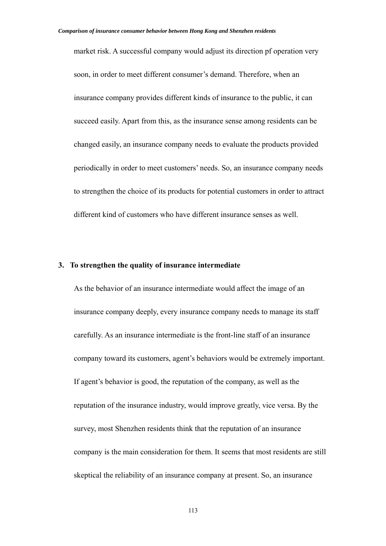market risk. A successful company would adjust its direction pf operation very soon, in order to meet different consumer's demand. Therefore, when an insurance company provides different kinds of insurance to the public, it can succeed easily. Apart from this, as the insurance sense among residents can be changed easily, an insurance company needs to evaluate the products provided periodically in order to meet customers' needs. So, an insurance company needs to strengthen the choice of its products for potential customers in order to attract different kind of customers who have different insurance senses as well.

## **3. To strengthen the quality of insurance intermediate**

As the behavior of an insurance intermediate would affect the image of an insurance company deeply, every insurance company needs to manage its staff carefully. As an insurance intermediate is the front-line staff of an insurance company toward its customers, agent's behaviors would be extremely important. If agent's behavior is good, the reputation of the company, as well as the reputation of the insurance industry, would improve greatly, vice versa. By the survey, most Shenzhen residents think that the reputation of an insurance company is the main consideration for them. It seems that most residents are still skeptical the reliability of an insurance company at present. So, an insurance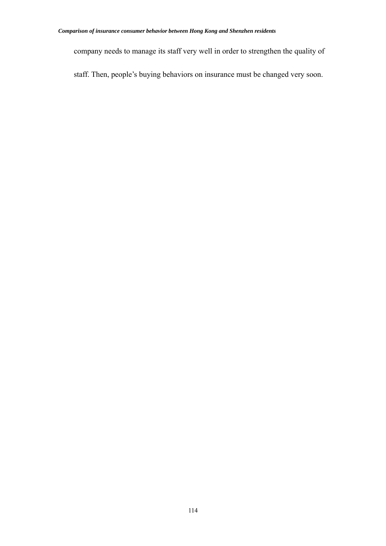company needs to manage its staff very well in order to strengthen the quality of

staff. Then, people's buying behaviors on insurance must be changed very soon.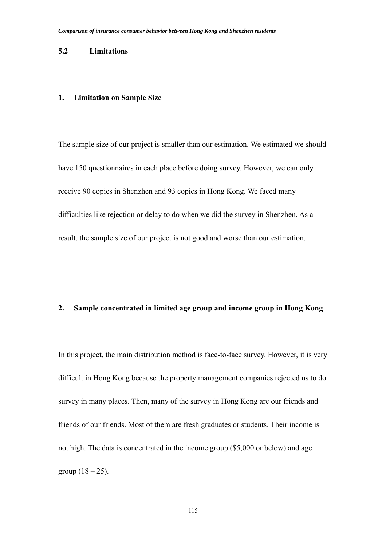## **5.2 Limitations**

# **1. Limitation on Sample Size**

The sample size of our project is smaller than our estimation. We estimated we should have 150 questionnaires in each place before doing survey. However, we can only receive 90 copies in Shenzhen and 93 copies in Hong Kong. We faced many difficulties like rejection or delay to do when we did the survey in Shenzhen. As a result, the sample size of our project is not good and worse than our estimation.

#### **2. Sample concentrated in limited age group and income group in Hong Kong**

In this project, the main distribution method is face-to-face survey. However, it is very difficult in Hong Kong because the property management companies rejected us to do survey in many places. Then, many of the survey in Hong Kong are our friends and friends of our friends. Most of them are fresh graduates or students. Their income is not high. The data is concentrated in the income group (\$5,000 or below) and age group  $(18 - 25)$ .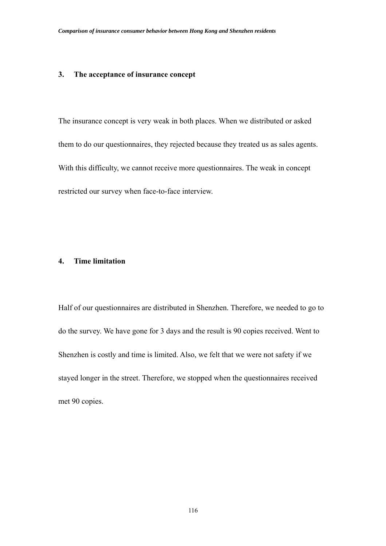## **3. The acceptance of insurance concept**

The insurance concept is very weak in both places. When we distributed or asked them to do our questionnaires, they rejected because they treated us as sales agents. With this difficulty, we cannot receive more questionnaires. The weak in concept restricted our survey when face-to-face interview.

# **4. Time limitation**

Half of our questionnaires are distributed in Shenzhen. Therefore, we needed to go to do the survey. We have gone for 3 days and the result is 90 copies received. Went to Shenzhen is costly and time is limited. Also, we felt that we were not safety if we stayed longer in the street. Therefore, we stopped when the questionnaires received met 90 copies.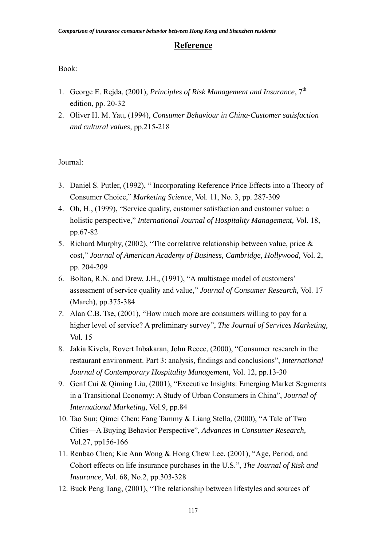# **Reference**

# Book:

- 1. George E. Rejda, (2001), *Principles of Risk Management and Insurance*, 7th edition, pp. 20-32
- 2. Oliver H. M. Yau, (1994), *Consumer Behaviour in China-Customer satisfaction and cultural values,* pp.215-218

# Journal:

- 3. Daniel S. Putler, (1992), " Incorporating Reference Price Effects into a Theory of Consumer Choice," *Marketing Science*, Vol. 11, No. 3, pp. 287-309
- 4. Oh, H., (1999), "Service quality, customer satisfaction and customer value: a holistic perspective," *International Journal of Hospitality Management,* Vol. 18, pp.67-82
- 5. Richard Murphy, (2002), "The correlative relationship between value, price & cost," *Journal of American Academy of Business, Cambridge, Hollywood,* Vol. 2, pp. 204-209
- 6. Bolton, R.N. and Drew, J.H., (1991), "A multistage model of customers' assessment of service quality and value," *Journal of Consumer Research,* Vol. 17 (March), pp.375-384
- *7.* Alan C.B. Tse, (2001), "How much more are consumers willing to pay for a higher level of service? A preliminary survey", *The Journal of Services Marketing,* Vol. 15
- 8. Jakia Kivela, Rovert Inbakaran, John Reece, (2000), "Consumer research in the restaurant environment. Part 3: analysis, findings and conclusions", *International Journal of Contemporary Hospitality Management,* Vol. 12, pp.13-30
- 9. Genf Cui & Qiming Liu, (2001), "Executive Insights: Emerging Market Segments in a Transitional Economy: A Study of Urban Consumers in China", *Journal of International Marketing,* Vol.9, pp.84
- 10. Tao Sun; Qimei Chen; Fang Tammy & Liang Stella, (2000), "A Tale of Two Cities—A Buying Behavior Perspective", *Advances in Consumer Research,*  Vol.27, pp156-166
- 11. Renbao Chen; Kie Ann Wong & Hong Chew Lee, (2001), "Age, Period, and Cohort effects on life insurance purchases in the U.S.", *The Journal of Risk and Insurance,* Vol. 68, No.2, pp.303-328
- 12. Buck Peng Tang, (2001), "The relationship between lifestyles and sources of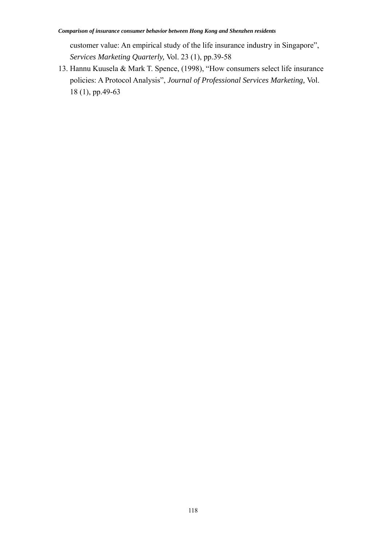customer value: An empirical study of the life insurance industry in Singapore", *Services Marketing Quarterly,* Vol. 23 (1), pp.39-58

13. Hannu Kuusela & Mark T. Spence, (1998), "How consumers select life insurance policies: A Protocol Analysis", *Journal of Professional Services Marketing,* Vol. 18 (1), pp.49-63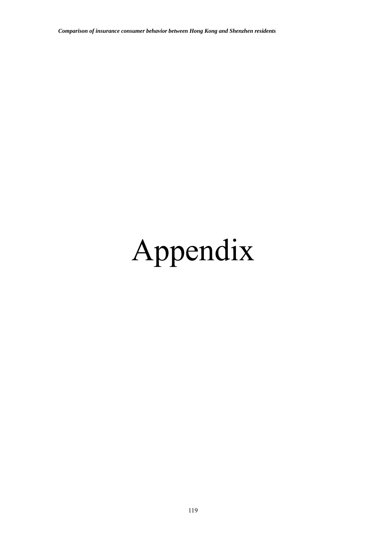# Appendix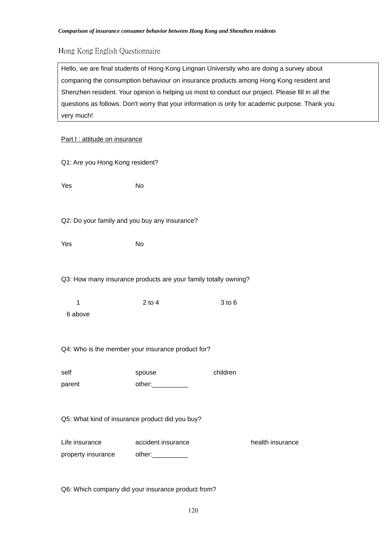# Hong Kong English Questionnaire

Hello, we are final students of Hong Kong Lingnan University who are doing a survey about comparing the consumption behaviour on insurance products among Hong Kong resident and Shenzhen resident. Your opinion is helping us most to conduct our project. Please fill in all the questions as follows. Don't worry that your information is only for academic purpose. Thank you very much!

## Part I : attitude on insurance

| Q1: Are you Hong Kong resident?                 |                                                                 |          |                  |
|-------------------------------------------------|-----------------------------------------------------------------|----------|------------------|
| Yes                                             | No                                                              |          |                  |
| Q2: Do your family and you buy any insurance?   |                                                                 |          |                  |
|                                                 |                                                                 |          |                  |
| Yes                                             | <b>No</b>                                                       |          |                  |
|                                                 | Q3: How many insurance products are your family totally owning? |          |                  |
| $\mathbf 1$                                     | $2$ to $4$                                                      | 3 to 6   |                  |
| 6 above                                         |                                                                 |          |                  |
|                                                 | Q4: Who is the member your insurance product for?               |          |                  |
| self                                            | spouse                                                          | children |                  |
| parent                                          | other:____________                                              |          |                  |
| Q5: What kind of insurance product did you buy? |                                                                 |          |                  |
| Life insurance                                  | accident insurance                                              |          | health insurance |
| property insurance other:                       |                                                                 |          |                  |

Q6: Which company did your insurance product from?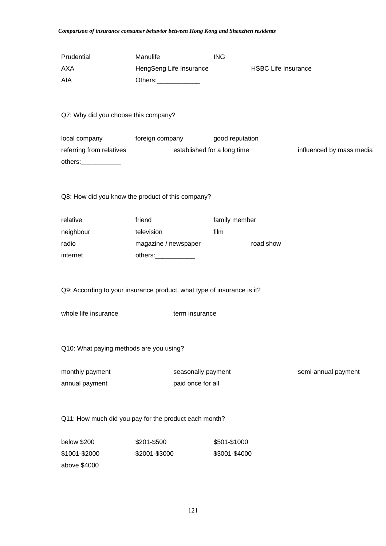| Prudential<br><b>AXA</b><br>AIA                  | Manulife<br>HengSeng Life Insurance<br>Others:______________                             | <b>ING</b>                  | <b>HSBC Life Insurance</b> |                          |
|--------------------------------------------------|------------------------------------------------------------------------------------------|-----------------------------|----------------------------|--------------------------|
| Q7: Why did you choose this company?             |                                                                                          |                             |                            |                          |
| referring from relatives<br>others:_____________ | local company foreign company good reputation                                            | established for a long time |                            | influenced by mass media |
|                                                  | Q8: How did you know the product of this company?                                        |                             |                            |                          |
| relative                                         | friend                                                                                   | family member               |                            |                          |
| neighbour                                        | television                                                                               | film                        |                            |                          |
| radio                                            | magazine / newspaper                                                                     |                             | road show                  |                          |
| internet                                         | others:_____________                                                                     |                             |                            |                          |
| whole life insurance                             | Q9: According to your insurance product, what type of insurance is it?<br>term insurance |                             |                            |                          |
| Q10: What paying methods are you using?          |                                                                                          |                             |                            |                          |
| monthly payment                                  | seasonally payment                                                                       |                             |                            | semi-annual payment      |
| annual payment                                   | paid once for all                                                                        |                             |                            |                          |
|                                                  | Q11: How much did you pay for the product each month?                                    |                             |                            |                          |
| below \$200                                      | \$201-\$500                                                                              | \$501-\$1000                |                            |                          |
| \$1001-\$2000                                    | \$2001-\$3000                                                                            | \$3001-\$4000               |                            |                          |

above \$4000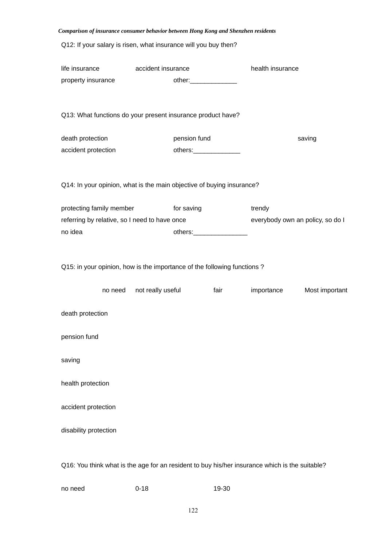| Comparison of insurance consumer behavior between Hong Kong and Shenzhen residents             |                    |                             |      |                                  |                |
|------------------------------------------------------------------------------------------------|--------------------|-----------------------------|------|----------------------------------|----------------|
| Q12: If your salary is risen, what insurance will you buy then?                                |                    |                             |      |                                  |                |
| life insurance                                                                                 | accident insurance |                             |      | health insurance                 |                |
| property insurance                                                                             |                    |                             |      |                                  |                |
| Q13: What functions do your present insurance product have?                                    |                    |                             |      |                                  |                |
| death protection                                                                               |                    | pension fund                |      |                                  | saving         |
| accident protection                                                                            |                    | others:_________________    |      |                                  |                |
| Q14: In your opinion, what is the main objective of buying insurance?                          |                    |                             |      |                                  |                |
| protecting family member                                                                       |                    | for saving                  |      | trendy                           |                |
| referring by relative, so I need to have once                                                  |                    |                             |      | everybody own an policy, so do I |                |
| no idea                                                                                        |                    | others:____________________ |      |                                  |                |
| Q15: in your opinion, how is the importance of the following functions?                        |                    |                             |      |                                  |                |
| no need                                                                                        | not really useful  |                             | fair | importance                       | Most important |
| death protection                                                                               |                    |                             |      |                                  |                |
| pension fund                                                                                   |                    |                             |      |                                  |                |
| saving                                                                                         |                    |                             |      |                                  |                |
| health protection                                                                              |                    |                             |      |                                  |                |
| accident protection                                                                            |                    |                             |      |                                  |                |
| disability protection                                                                          |                    |                             |      |                                  |                |
| Q16: You think what is the age for an resident to buy his/her insurance which is the suitable? |                    |                             |      |                                  |                |

no need 0-18 19-30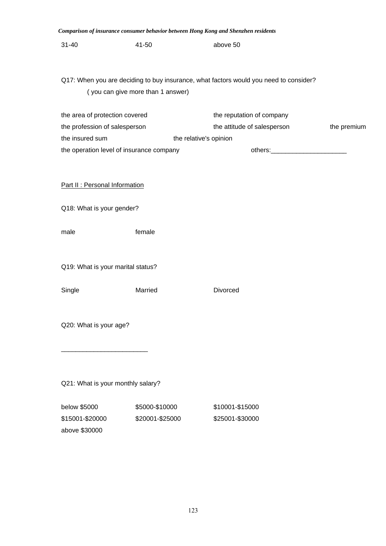|                                   |                                          | Comparison of insurance consumer behavior between Hong Kong and Shenzhen residents    |             |
|-----------------------------------|------------------------------------------|---------------------------------------------------------------------------------------|-------------|
| $31 - 40$                         | 41-50                                    | above 50                                                                              |             |
|                                   |                                          |                                                                                       |             |
|                                   |                                          | Q17: When you are deciding to buy insurance, what factors would you need to consider? |             |
|                                   | (you can give more than 1 answer)        |                                                                                       |             |
| the area of protection covered    |                                          | the reputation of company                                                             |             |
| the profession of salesperson     |                                          | the attitude of salesperson                                                           | the premium |
| the insured sum                   |                                          | the relative's opinion                                                                |             |
|                                   | the operation level of insurance company | others: www.astername.com                                                             |             |
|                                   |                                          |                                                                                       |             |
|                                   |                                          |                                                                                       |             |
| Part II : Personal Information    |                                          |                                                                                       |             |
|                                   |                                          |                                                                                       |             |
| Q18: What is your gender?         |                                          |                                                                                       |             |
|                                   |                                          |                                                                                       |             |
| male                              | female                                   |                                                                                       |             |
|                                   |                                          |                                                                                       |             |
|                                   |                                          |                                                                                       |             |
| Q19: What is your marital status? |                                          |                                                                                       |             |
|                                   |                                          |                                                                                       |             |
| Single                            | Married                                  | Divorced                                                                              |             |
|                                   |                                          |                                                                                       |             |
| Q20: What is your age?            |                                          |                                                                                       |             |
|                                   |                                          |                                                                                       |             |
|                                   |                                          |                                                                                       |             |
|                                   |                                          |                                                                                       |             |
|                                   |                                          |                                                                                       |             |
| Q21: What is your monthly salary? |                                          |                                                                                       |             |
| below \$5000                      | \$5000-\$10000                           | \$10001-\$15000                                                                       |             |
| \$15001-\$20000                   | \$20001-\$25000                          | \$25001-\$30000                                                                       |             |
|                                   |                                          |                                                                                       |             |

above \$30000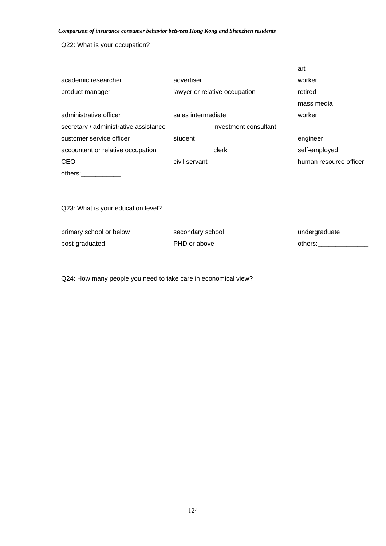Q22: What is your occupation?

|                                       |                    |                               | art                    |
|---------------------------------------|--------------------|-------------------------------|------------------------|
| academic researcher                   | advertiser         |                               | worker                 |
| product manager                       |                    | lawyer or relative occupation | retired                |
|                                       |                    |                               | mass media             |
| administrative officer                | sales intermediate |                               | worker                 |
| secretary / administrative assistance |                    | investment consultant         |                        |
| customer service officer              | student            |                               | engineer               |
| accountant or relative occupation     |                    | clerk                         | self-employed          |
| CEO                                   | civil servant      |                               | human resource officer |
| others:                               |                    |                               |                        |

Q23: What is your education level?

\_\_\_\_\_\_\_\_\_\_\_\_\_\_\_\_\_\_\_\_\_\_\_\_\_\_\_\_\_\_\_\_\_

| primary school or below | secondary school | undergraduate |
|-------------------------|------------------|---------------|
| post-graduated          | PHD or above     | others:       |

Q24: How many people you need to take care in economical view?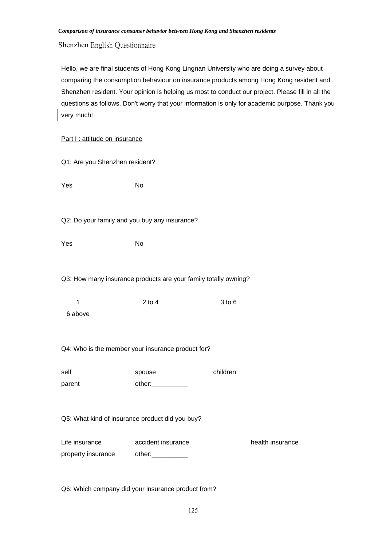Shenzhen English Questionnaire

Hello, we are final students of Hong Kong Lingnan University who are doing a survey about comparing the consumption behaviour on insurance products among Hong Kong resident and Shenzhen resident. Your opinion is helping us most to conduct our project. Please fill in all the questions as follows. Don't worry that your information is only for academic purpose. Thank you very much!

| Part I : attitude on insurance                                  |                                                   |          |                  |  |  |
|-----------------------------------------------------------------|---------------------------------------------------|----------|------------------|--|--|
| Q1: Are you Shenzhen resident?                                  |                                                   |          |                  |  |  |
| Yes                                                             | No                                                |          |                  |  |  |
| Q2: Do your family and you buy any insurance?                   |                                                   |          |                  |  |  |
| Yes                                                             | <b>No</b>                                         |          |                  |  |  |
| Q3: How many insurance products are your family totally owning? |                                                   |          |                  |  |  |
| 1<br>6 above                                                    | $2$ to $4$                                        | 3 to 6   |                  |  |  |
|                                                                 | Q4: Who is the member your insurance product for? |          |                  |  |  |
| self<br>parent                                                  | spouse<br>other:                                  | children |                  |  |  |
|                                                                 | Q5: What kind of insurance product did you buy?   |          |                  |  |  |
| Life insurance<br>property insurance                            | accident insurance                                |          | health insurance |  |  |

Q6: Which company did your insurance product from?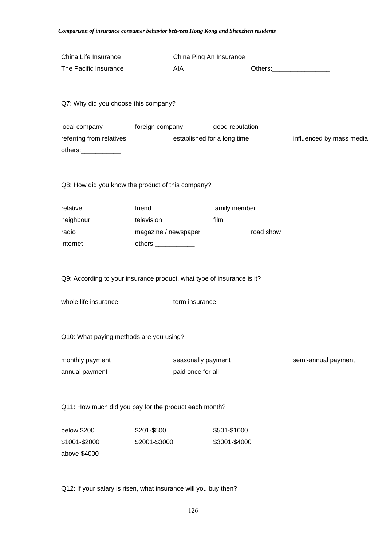| China Life Insurance<br>The Pacific Insurance                                     | AIA                                                                  |                                         | China Ping An Insurance                        |           |                          |
|-----------------------------------------------------------------------------------|----------------------------------------------------------------------|-----------------------------------------|------------------------------------------------|-----------|--------------------------|
| Q7: Why did you choose this company?                                              |                                                                      |                                         |                                                |           |                          |
| local company foreign company<br>referring from relatives<br>others:_____________ |                                                                      |                                         | good reputation<br>established for a long time |           | influenced by mass media |
| Q8: How did you know the product of this company?                                 |                                                                      |                                         |                                                |           |                          |
| relative<br>neighbour<br>radio<br>internet                                        | friend<br>television<br>magazine / newspaper<br>others:_____________ |                                         | family member<br>film                          | road show |                          |
| Q9: According to your insurance product, what type of insurance is it?            |                                                                      |                                         |                                                |           |                          |
| whole life insurance                                                              |                                                                      | term insurance                          |                                                |           |                          |
| Q10: What paying methods are you using?                                           |                                                                      |                                         |                                                |           |                          |
| monthly payment<br>annual payment                                                 |                                                                      | seasonally payment<br>paid once for all |                                                |           | semi-annual payment      |
| Q11: How much did you pay for the product each month?                             |                                                                      |                                         |                                                |           |                          |
| below \$200<br>\$1001-\$2000<br>above \$4000                                      | \$201-\$500<br>\$2001-\$3000                                         |                                         | \$501-\$1000<br>\$3001-\$4000                  |           |                          |

Q12: If your salary is risen, what insurance will you buy then?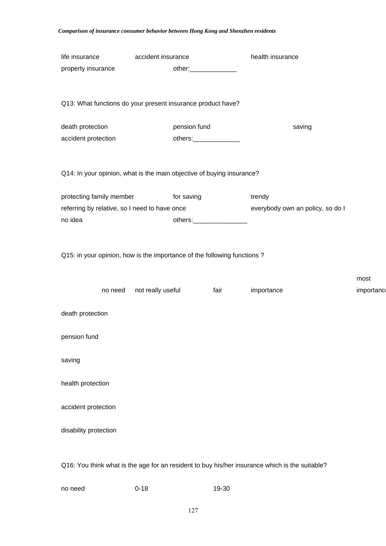| life insurance                                                                                 | accident insurance |                                |            | health insurance                 |            |
|------------------------------------------------------------------------------------------------|--------------------|--------------------------------|------------|----------------------------------|------------|
| property insurance                                                                             |                    | other:________________         |            |                                  |            |
|                                                                                                |                    |                                |            |                                  |            |
|                                                                                                |                    |                                |            |                                  |            |
| Q13: What functions do your present insurance product have?                                    |                    |                                |            |                                  |            |
| death protection                                                                               |                    | pension fund                   |            | saving                           |            |
| accident protection                                                                            |                    | others:_________________       |            |                                  |            |
|                                                                                                |                    |                                |            |                                  |            |
|                                                                                                |                    |                                |            |                                  |            |
| Q14: In your opinion, what is the main objective of buying insurance?                          |                    |                                |            |                                  |            |
| protecting family member for saving                                                            |                    |                                | trendy     |                                  |            |
| referring by relative, so I need to have once                                                  |                    |                                |            | everybody own an policy, so do I |            |
| no idea                                                                                        |                    | others:_______________________ |            |                                  |            |
|                                                                                                |                    |                                |            |                                  |            |
|                                                                                                |                    |                                |            |                                  |            |
| Q15: in your opinion, how is the importance of the following functions?                        |                    |                                |            |                                  |            |
|                                                                                                |                    |                                |            |                                  |            |
|                                                                                                |                    |                                |            |                                  | most       |
| no need                                                                                        | not really useful  | fair                           | importance |                                  | importance |
| death protection                                                                               |                    |                                |            |                                  |            |
|                                                                                                |                    |                                |            |                                  |            |
| pension fund                                                                                   |                    |                                |            |                                  |            |
|                                                                                                |                    |                                |            |                                  |            |
| saving                                                                                         |                    |                                |            |                                  |            |
|                                                                                                |                    |                                |            |                                  |            |
| health protection                                                                              |                    |                                |            |                                  |            |
| accident protection                                                                            |                    |                                |            |                                  |            |
|                                                                                                |                    |                                |            |                                  |            |
| disability protection                                                                          |                    |                                |            |                                  |            |
|                                                                                                |                    |                                |            |                                  |            |
|                                                                                                |                    |                                |            |                                  |            |
| Q16: You think what is the age for an resident to buy his/her insurance which is the suitable? |                    |                                |            |                                  |            |
|                                                                                                |                    |                                |            |                                  |            |

| no need | $0 - 18$ | 19-30 |
|---------|----------|-------|
|         |          |       |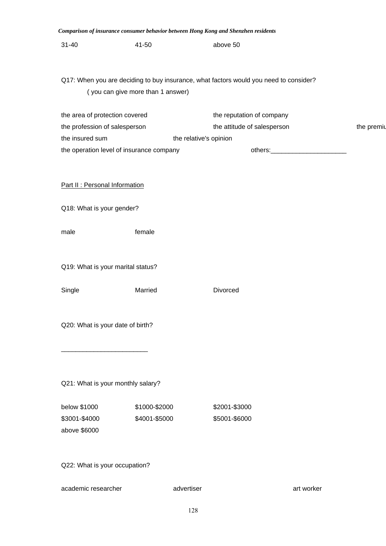| Comparison of insurance consumer behavior between Hong Kong and Shenzhen residents    |                                   |                             |            |            |  |  |  |  |  |
|---------------------------------------------------------------------------------------|-----------------------------------|-----------------------------|------------|------------|--|--|--|--|--|
| $31 - 40$                                                                             | 41-50                             | above 50                    |            |            |  |  |  |  |  |
|                                                                                       |                                   |                             |            |            |  |  |  |  |  |
| Q17: When you are deciding to buy insurance, what factors would you need to consider? |                                   |                             |            |            |  |  |  |  |  |
|                                                                                       | (you can give more than 1 answer) |                             |            |            |  |  |  |  |  |
| the area of protection covered                                                        |                                   | the reputation of company   |            |            |  |  |  |  |  |
| the profession of salesperson                                                         |                                   | the attitude of salesperson |            | the premiu |  |  |  |  |  |
| the insured sum                                                                       | the relative's opinion            |                             |            |            |  |  |  |  |  |
| the operation level of insurance company                                              |                                   |                             |            |            |  |  |  |  |  |
|                                                                                       |                                   |                             |            |            |  |  |  |  |  |
| Part II : Personal Information                                                        |                                   |                             |            |            |  |  |  |  |  |
| Q18: What is your gender?                                                             |                                   |                             |            |            |  |  |  |  |  |
| male                                                                                  | female                            |                             |            |            |  |  |  |  |  |
|                                                                                       |                                   |                             |            |            |  |  |  |  |  |
| Q19: What is your marital status?                                                     |                                   |                             |            |            |  |  |  |  |  |
|                                                                                       |                                   |                             |            |            |  |  |  |  |  |
| Single                                                                                | Married                           | Divorced                    |            |            |  |  |  |  |  |
|                                                                                       |                                   |                             |            |            |  |  |  |  |  |
| Q20: What is your date of birth?                                                      |                                   |                             |            |            |  |  |  |  |  |
|                                                                                       |                                   |                             |            |            |  |  |  |  |  |
|                                                                                       |                                   |                             |            |            |  |  |  |  |  |
| Q21: What is your monthly salary?                                                     |                                   |                             |            |            |  |  |  |  |  |
|                                                                                       |                                   |                             |            |            |  |  |  |  |  |
| below \$1000                                                                          | \$1000-\$2000                     | \$2001-\$3000               |            |            |  |  |  |  |  |
| \$3001-\$4000                                                                         | \$4001-\$5000                     | \$5001-\$6000               |            |            |  |  |  |  |  |
| above \$6000                                                                          |                                   |                             |            |            |  |  |  |  |  |
| Q22: What is your occupation?                                                         |                                   |                             |            |            |  |  |  |  |  |
| academic researcher                                                                   | advertiser                        |                             | art worker |            |  |  |  |  |  |
|                                                                                       |                                   |                             |            |            |  |  |  |  |  |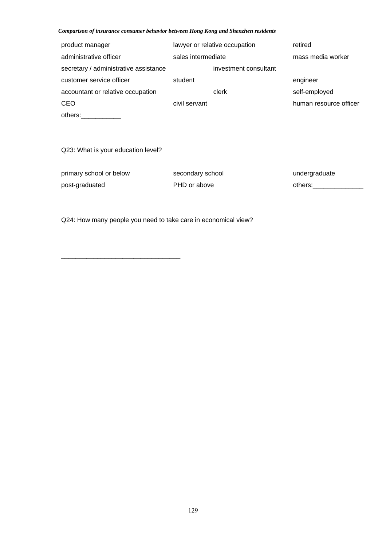| product manager                       | lawyer or relative occupation |                       | retired                |
|---------------------------------------|-------------------------------|-----------------------|------------------------|
| administrative officer                | sales intermediate            |                       | mass media worker      |
| secretary / administrative assistance |                               | investment consultant |                        |
| customer service officer              | student                       |                       | engineer               |
| accountant or relative occupation     |                               | clerk                 | self-employed          |
| <b>CEO</b>                            | civil servant                 |                       | human resource officer |
| others:                               |                               |                       |                        |

Q23: What is your education level?

\_\_\_\_\_\_\_\_\_\_\_\_\_\_\_\_\_\_\_\_\_\_\_\_\_\_\_\_\_\_\_\_\_

primary school or below secondary school example and undergraduate post-graduated PHD or above others:\_\_\_\_\_\_\_\_\_\_\_\_\_\_

Q24: How many people you need to take care in economical view?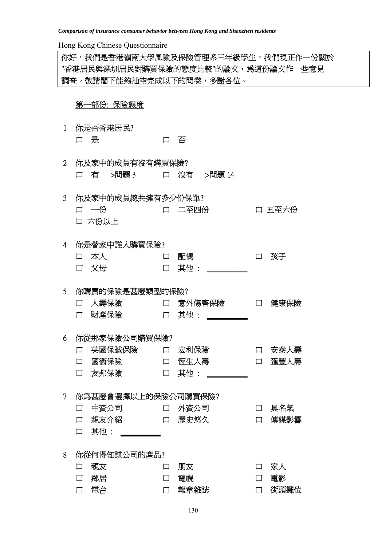Hong Kong Chinese Questionnaire

你好,我們是香港嶺南大學風險及保險管理系三年級學生,我們現正作一份關於 "香港居民與深圳居民對購買保險的態度比較"的論文,為這份論文作一些意見 調查。敬請閣下能夠抽空完成以下的問卷,多謝各位。

# 第一部份: 保險態度

- 1 你是否香港居民? 口 是 日 百 百 百
- 2 你及家中的成員有沒有購買保險? 口 有 >問題 3 口 沒有 >問題 14
- 3 你及家中的成員總共擁有多少份保單? 口 一份 口 二至四份 口 五至六份 口 六份以上

4 你是替家中誰人購買保險? 口 本人 口 配偶 口 孩子 口 父母 口 其他 :

5 你購買的保險是甚麼類型的保險? 口 人壽保險 口 意外傷害保險 口 健康保險 口 財產保險 口 其他 : \_\_\_\_\_\_

# 6 你從那家保險公司購買保險? 口 英國保誠保險 口 宏利保險 口 安泰人壽 口 國衞保險 口 恆生人壽 口 匯豐人壽

|  | 口 幽偏依厥 | 口   凶工八冊 |  |
|--|--------|----------|--|
|  | 口 友邦保險 | 口 其他     |  |

7 你為甚麼會選擇以上的保險公司購買保險?

| 口中資公司 | 口 外資公司 | 口 具名氣  |
|-------|--------|--------|
| 口親友介紹 | 口 歷史悠久 | 口 傳媒影響 |

口 其他 : \_\_\_\_\_\_\_

8 你從何得知該公司的產品?

| 口親友  | 口 朋友   | 口 家人   |
|------|--------|--------|
| 口 鄰居 | 口 雷視   | 口 雷影   |
| 口 電台 | 口 報章雜誌 | 口 街頭攤位 |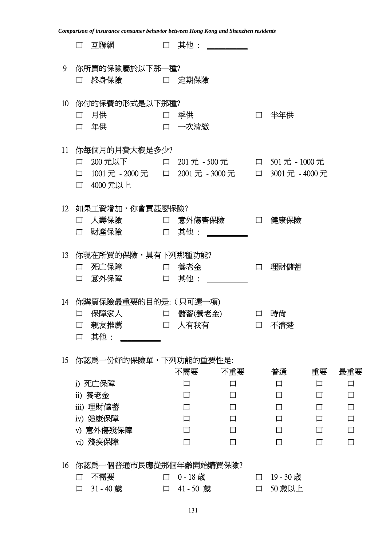|    | Comparison of insurance consumer behavior between Hong Kong and Shenzhen residents |                                               |              |        |           |        |        |  |  |  |  |
|----|------------------------------------------------------------------------------------|-----------------------------------------------|--------------|--------|-----------|--------|--------|--|--|--|--|
|    | 互聯網<br>口                                                                           | $\Box$                                        | 其他: ________ |        |           |        |        |  |  |  |  |
| 9  | 你所買的保險屬於以下那一種?                                                                     |                                               |              |        |           |        |        |  |  |  |  |
|    | 終身保險<br>□                                                                          | 定期保險<br>$\Box$                                |              |        |           |        |        |  |  |  |  |
| 10 | 你付的保費的形式是以下那種?                                                                     |                                               |              |        |           |        |        |  |  |  |  |
|    | 月供<br>口                                                                            | 季供<br>$\Box$                                  |              | $\Box$ | 半年供       |        |        |  |  |  |  |
|    | 年供<br>口                                                                            | 一次清繳<br>$\Box$                                |              |        |           |        |        |  |  |  |  |
| 11 | 你每個月的月費大概是多少?                                                                      |                                               |              |        |           |        |        |  |  |  |  |
|    | 囗                                                                                  | 200元以下    口 201元 - 500元   口 501元 - 1000元      |              |        |           |        |        |  |  |  |  |
|    | $\Box$                                                                             | 1001元 - 2000元 口 2001元 - 3000元 口 3001元 - 4000元 |              |        |           |        |        |  |  |  |  |
|    | 4000 元以上<br>$\Box$                                                                 |                                               |              |        |           |        |        |  |  |  |  |
| 12 | 如果工資增加,你會買甚麼保險?                                                                    |                                               |              |        |           |        |        |  |  |  |  |
|    | 人壽保險<br>口                                                                          | $\Box$                                        | 意外傷害保險       | $\Box$ | 健康保險      |        |        |  |  |  |  |
|    | 財產保險<br>口                                                                          | 其他:<br>$\Box$                                 |              |        |           |        |        |  |  |  |  |
|    |                                                                                    |                                               |              |        |           |        |        |  |  |  |  |
| 13 | 你現在所買的保險,具有下列那種功能?                                                                 |                                               |              |        |           |        |        |  |  |  |  |
|    | 死亡保障<br>囗                                                                          | 養老金<br>$\Box$                                 |              | 囗      | 理財儲蓄      |        |        |  |  |  |  |
|    | 意外保障<br>口                                                                          | 其他:<br>$\Box$                                 |              |        |           |        |        |  |  |  |  |
| 14 | 你購買保險最重要的目的是: (只可選一項)                                                              |                                               |              |        |           |        |        |  |  |  |  |
|    | 保障家人<br>口                                                                          | 儲蓄(養老金)<br>口                                  |              | 口      | 時尙        |        |        |  |  |  |  |
|    | 親友推薦<br>口                                                                          | 人有我有<br>$\Box$                                |              | 口      | 不清楚       |        |        |  |  |  |  |
|    | 其他:<br>$\Box$                                                                      |                                               |              |        |           |        |        |  |  |  |  |
| 15 | 你認爲一份好的保險單,下列功能的重要性是:                                                              |                                               |              |        |           |        |        |  |  |  |  |
|    |                                                                                    | 不需要                                           | 不重要          |        | 普通        | 重要     | 最重要    |  |  |  |  |
|    | i) 死亡保障                                                                            | 囗                                             | 口            |        | 口         | □      | 口      |  |  |  |  |
|    | ii) 養老金                                                                            | 口                                             | 口            |        | 囗         | □      | 口      |  |  |  |  |
|    | iii) 理財儲蓄                                                                          | $\Box$                                        | 口            |        | $\Box$    | □      | $\Box$ |  |  |  |  |
|    | iv) 健康保障                                                                           | $\Box$                                        | 口            |        | $\Box$    | П      | $\Box$ |  |  |  |  |
|    | v) 意外傷殘保障                                                                          | $\Box$                                        | $\Box$       |        | $\Box$    | $\Box$ | 口      |  |  |  |  |
|    | vi) 殘疾保障                                                                           | $\Box$                                        | $\Box$       |        | $\Box$    | $\Box$ | $\Box$ |  |  |  |  |
| 16 | 你認爲一個普通市民應從那個年齡開始購買保險?                                                             |                                               |              |        |           |        |        |  |  |  |  |
|    | 不需要<br>口                                                                           | $0 - 18$ 歳<br>$\Box$                          |              | $\Box$ | 19 - 30 歳 |        |        |  |  |  |  |
|    | 31-40歳<br>$\Box$                                                                   | 41-50 歳<br>$\Box$                             |              | 口      | 50 歳以上    |        |        |  |  |  |  |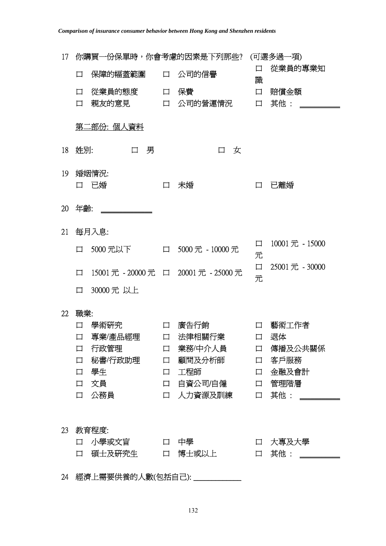| 17 | 你購買一份保單時,你會考慮的因素是下列那些? |              |        |                                                               |                  | (可選多過一項)               |  |  |  |
|----|------------------------|--------------|--------|---------------------------------------------------------------|------------------|------------------------|--|--|--|
|    | 口                      |              |        | 保障的幅蓋範圍  口 公司的信譽                                              | 口<br>識           | 從業員的專業知                |  |  |  |
|    | 口                      | 從業員的態度       |        | 口 保費                                                          | 口                | 賠償金額                   |  |  |  |
|    | 口                      |              |        | 親友的意見    口 公司的營運情況                                            | 口                | 其他:                    |  |  |  |
|    |                        |              |        |                                                               |                  |                        |  |  |  |
|    | 第二部份: 個人資料             |              |        |                                                               |                  |                        |  |  |  |
| 18 | 姓別:                    | 男<br>$\Box$  |        | 女<br>$\Box$                                                   |                  |                        |  |  |  |
| 19 | 婚姻情況:                  |              |        |                                                               |                  |                        |  |  |  |
|    | 已婚<br>口                |              | $\Box$ | 未婚                                                            | 口                | 已離婚                    |  |  |  |
| 20 | 年齡:                    |              |        |                                                               |                  |                        |  |  |  |
|    |                        |              |        |                                                               |                  |                        |  |  |  |
| 21 | 每月入息:                  |              |        |                                                               |                  |                        |  |  |  |
|    | $\Box$                 | 5000 元以下     |        | 口 5000元 - 10000元                                              | 口<br>元           | 10001元 - 15000         |  |  |  |
|    |                        |              |        |                                                               | 口                | 25001 元 - 30000        |  |  |  |
|    | $\Box$                 |              |        | 15001元 - 20000元 口 20001元 - 25000元                             | 元                |                        |  |  |  |
|    | 30000元 以上<br>口         |              |        |                                                               |                  |                        |  |  |  |
| 22 | 職業:                    |              |        |                                                               |                  |                        |  |  |  |
|    | 學術研究<br>口              |              | $\Box$ | 廣告行銷                                                          | 口                | 藝術工作者                  |  |  |  |
|    | 專業/產品經理<br>□           |              | $\Box$ | 法律相關行業                                                        | □                | 退体                     |  |  |  |
|    | 口                      | 行政管理         |        | 口 業務/中介人員                                                     | $\Box$           | 傳播及公共關係                |  |  |  |
|    | $\Box$                 |              |        | 秘書/行政助理   口 顧問及分析師                                            |                  | 口 客戶服務                 |  |  |  |
|    | 學生<br>口                | しんじょう ロー 工程師 |        |                                                               | $\Box$           | 金融及會計                  |  |  |  |
|    | 文員<br>$\Box$           |              |        | 口 自資公司/自僱                                                     |                  | 口 管理階層                 |  |  |  |
|    | 公務員<br>口               |              |        | 口 人力資源及訓練                                                     | $\Box$           | 其他: _______            |  |  |  |
|    |                        |              |        |                                                               |                  |                        |  |  |  |
| 23 | 教育程度:                  |              |        |                                                               |                  |                        |  |  |  |
|    |                        |              |        | ロ 小學或文盲 ロ 中學 ロ インストリック 中學 しんしょう しょうしょう<br>口 碩士及硏究生    口 博士或以上 | $\Box$<br>$\Box$ | 大專及大學<br>其他: _________ |  |  |  |
|    |                        |              |        |                                                               |                  |                        |  |  |  |
|    |                        |              |        | 24 經濟上需要供養的人數(包括自己): _____________                            |                  |                        |  |  |  |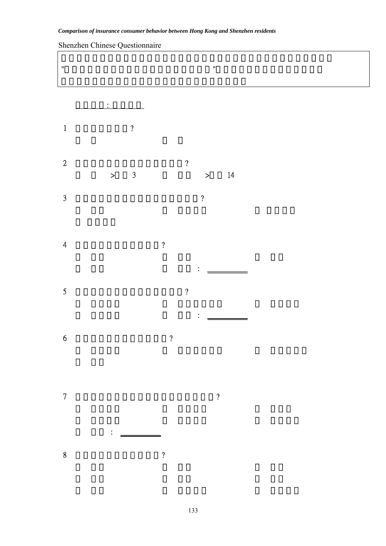|                    | Shenzhen Chinese Questionnaire |                                     |
|--------------------|--------------------------------|-------------------------------------|
| $\bar{\mathbf{u}}$ |                                | $\boldsymbol{\theta}$               |
|                    |                                |                                     |
|                    | $\bullet$                      |                                     |
| $\,1\,$            | $\boldsymbol{\mathcal{C}}$     |                                     |
| $\sqrt{2}$         | $\overline{3}$<br>$\, >$       | $\boldsymbol{\eta}$<br>14<br>$\geq$ |
| $\mathfrak{Z}$     |                                | $\boldsymbol{\mathcal{C}}$          |
|                    |                                |                                     |
| $\overline{4}$     |                                | $\boldsymbol{\mathcal{L}}$          |
| $\mathfrak{S}$     |                                | $\boldsymbol{\mathcal{C}}$          |
|                    |                                |                                     |
| $\boldsymbol{6}$   |                                | $\boldsymbol{\mathcal{P}}$          |
|                    |                                |                                     |
| $\overline{7}$     |                                | $\overline{\mathcal{L}}$            |
|                    | $\ddot{\cdot}$                 |                                     |
| $\bf 8$            |                                | $\overline{\mathfrak{c}}$           |

# Shenzhen Chinese Questionnaire

133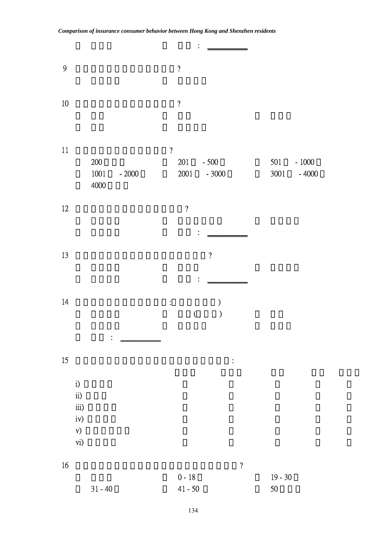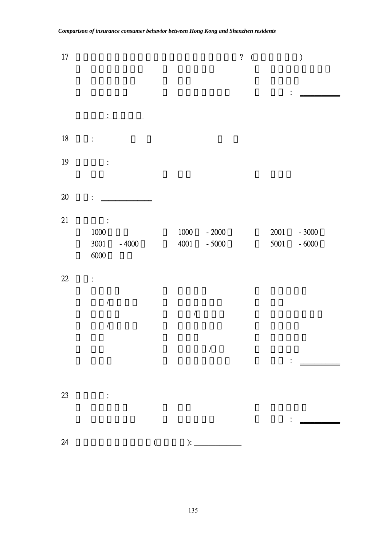| $17\,$ |                             |                      | $\boldsymbol{\mathcal{C}}$<br>$\overline{\mathcal{L}}$                                                                                                                                                                                                                                                    |                  | $\mathcal{E}$      |
|--------|-----------------------------|----------------------|-----------------------------------------------------------------------------------------------------------------------------------------------------------------------------------------------------------------------------------------------------------------------------------------------------------|------------------|--------------------|
|        |                             |                      |                                                                                                                                                                                                                                                                                                           |                  |                    |
|        |                             |                      |                                                                                                                                                                                                                                                                                                           | $\bullet$        |                    |
|        | ٠                           |                      |                                                                                                                                                                                                                                                                                                           |                  |                    |
| 18     | $\ddot{\cdot}$              |                      |                                                                                                                                                                                                                                                                                                           |                  |                    |
| 19     | $\ddot{\cdot}$              |                      |                                                                                                                                                                                                                                                                                                           |                  |                    |
|        |                             |                      |                                                                                                                                                                                                                                                                                                           |                  |                    |
| $20\,$ |                             |                      |                                                                                                                                                                                                                                                                                                           |                  |                    |
| 21     |                             |                      |                                                                                                                                                                                                                                                                                                           |                  |                    |
|        | $1000\,$<br>3001<br>$-4000$ | $1000\,$<br>4001     | $-2000$<br>$-5000$                                                                                                                                                                                                                                                                                        | $2001\,$<br>5001 | $-3000$<br>$-6000$ |
|        | 6000                        |                      |                                                                                                                                                                                                                                                                                                           |                  |                    |
| 22     | $\ddot{\cdot}$              |                      |                                                                                                                                                                                                                                                                                                           |                  |                    |
|        | $\sqrt{\phantom{a}}$        |                      |                                                                                                                                                                                                                                                                                                           |                  |                    |
|        |                             | $\sqrt{\phantom{a}}$ |                                                                                                                                                                                                                                                                                                           |                  |                    |
|        | $\sqrt{\phantom{a}}$        |                      |                                                                                                                                                                                                                                                                                                           |                  |                    |
|        |                             |                      | $\overline{I}$                                                                                                                                                                                                                                                                                            |                  |                    |
|        |                             |                      |                                                                                                                                                                                                                                                                                                           | $\ddot{\cdot}$   |                    |
|        |                             |                      |                                                                                                                                                                                                                                                                                                           |                  |                    |
| 23     | $\ddot{\cdot}$              |                      |                                                                                                                                                                                                                                                                                                           |                  |                    |
|        |                             |                      |                                                                                                                                                                                                                                                                                                           |                  |                    |
| 24     | $\overline{(\ }$            |                      | $\frac{1}{2}$ : $\frac{1}{2}$ : $\frac{1}{2}$ : $\frac{1}{2}$ : $\frac{1}{2}$ : $\frac{1}{2}$ : $\frac{1}{2}$ : $\frac{1}{2}$ : $\frac{1}{2}$ : $\frac{1}{2}$ : $\frac{1}{2}$ : $\frac{1}{2}$ : $\frac{1}{2}$ : $\frac{1}{2}$ : $\frac{1}{2}$ : $\frac{1}{2}$ : $\frac{1}{2}$ : $\frac{1}{2}$ : $\frac{1$ |                  |                    |